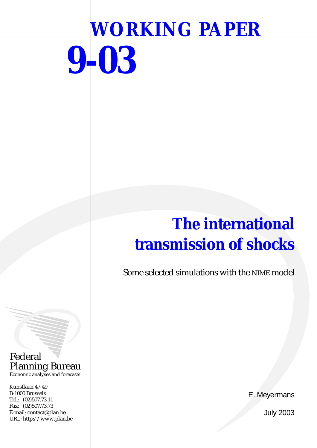# **WORKING PAPER 9-03**

## **The international transmission of shocks**

Some selected simulations with the NIME model

Federal Planning Bureau Economic analyses and forecasts

Kunstlaan 47-49 B-1000 Brussels Tel.: (02)507.73.11 Fax: (02)507.73.73 E-mail: contact@plan.be URL: http://www.plan.be

E. Meyermans

July 2003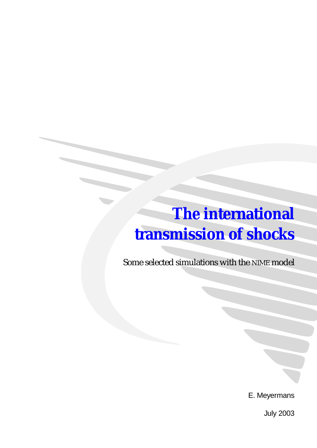## **The international transmission of shocks**

Some selected simulations with the NIME model

E. Meyermans

July 2003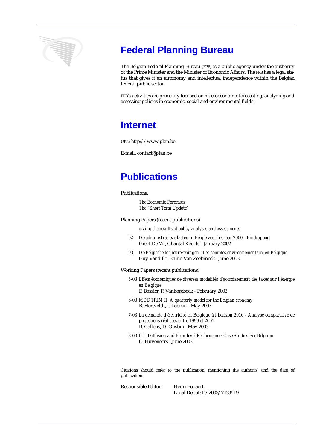

## **Federal Planning Bureau**

The Belgian Federal Planning Bureau (FPB) is a public agency under the authority of the Prime Minister and the Minister of Economic Affairs. The FPB has a legal status that gives it an autonomy and intellectual independence within the Belgian federal public sector.

FPB's activities are primarily focused on macroeconomic forecasting, analyzing and assessing policies in economic, social and environmental fields.

### **Internet**

URL: http://www.plan.be

E-mail: contact@plan.be

## **Publications**

Publications:

*The Economic Forecasts The "Short Term Update"*

Planning Papers (recent publications)

*giving the results of policy analyses and assessments*

- *92 De administratieve lasten in België voor het jaar 2000 Eindrapport* Greet De Vil, Chantal Kegels - January 2002
- *93 De Belgische Milieurekeningen Les comptes environnementaux en Belgique* Guy Vandille, Bruno Van Zeebroeck - June 2003

Working Papers (recent publications)

*5-03 Effets économiques de diverses modalités d'accroissement des taxes sur l'énergie en Belgique*

F. Bossier, F. Vanhorebeek - February 2003

- *6-03 MODTRIM II: A quarterly model for the Belgian economy*  B. Hertveldt, I. Lebrun - May 2003
- *7-03 La demande d'électricité en Belgique à l'horizon 2010 Analyse comparative de projections réalisées entre 1999 et 2001*  B. Callens, D. Gusbin - May 2003
- *8-03 ICT Diffusion and Firm-level Performance: Case Studies For Belgium* C. Huveneers - June 2003

Citations should refer to the publication, mentioning the author(s) and the date of publication.

Responsible Editor Henri Bogaert Legal Depot: D/2003/7433/19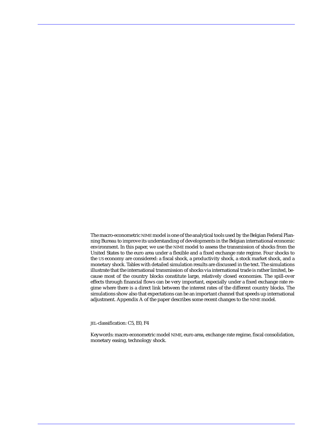The macro-econometric NIME model is one of the analytical tools used by the Belgian Federal Planning Bureau to improve its understanding of developments in the Belgian international economic environment. In this paper, we use the NIME model to assess the transmission of shocks from the United States to the euro area under a flexible and a fixed exchange rate regime. Four shocks to the US economy are considered: a fiscal shock, a productivity shock, a stock market shock, and a monetary shock. Tables with detailed simulation results are discussed in the text. The simulations illustrate that the international transmission of shocks via international trade is rather limited, because most of the country blocks constitute large, relatively closed economies. The spill-over effects through financial flows can be very important, especially under a fixed exchange rate regime where there is a direct link between the interest rates of the different country blocks. The simulations show also that expectations can be an important channel that speeds up international adjustment. Appendix A of the paper describes some recent changes to the NIME model.

JEL-classification: C5, E0, F4

Keywords: macro-econometric model NIME, euro area, exchange rate regime, fiscal consolidation, monetary easing, technology shock.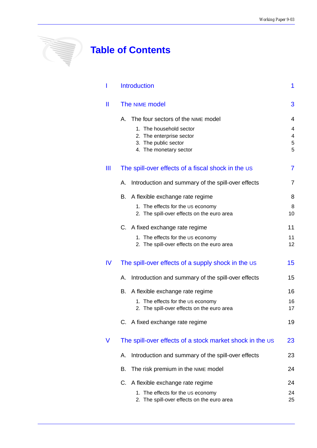## **Table of Contents**

**Alline** 

|    | <b>Introduction</b>                                      | 1              |
|----|----------------------------------------------------------|----------------|
| Ш  | The NIME model                                           | 3              |
|    | The four sectors of the NIME model<br>Α.                 | 4              |
|    | 1. The household sector                                  | 4              |
|    | 2. The enterprise sector                                 | 4              |
|    | 3. The public sector<br>4. The monetary sector           | 5<br>5         |
| Ш  | The spill-over effects of a fiscal shock in the US       | $\overline{7}$ |
|    | Introduction and summary of the spill-over effects<br>А. | 7              |
|    | A flexible exchange rate regime<br>В.                    | 8              |
|    | 1. The effects for the US economy                        | 8              |
|    | 2. The spill-over effects on the euro area               | 10             |
|    | C. A fixed exchange rate regime                          | 11             |
|    | 1. The effects for the US economy                        | 11             |
|    | 2. The spill-over effects on the euro area               | 12             |
| IV | The spill-over effects of a supply shock in the US       | 15             |
|    | A. Introduction and summary of the spill-over effects    | 15             |
|    | A flexible exchange rate regime<br>В.                    | 16             |
|    | 1. The effects for the US economy                        | 16             |
|    | 2. The spill-over effects on the euro area               | 17             |
|    | C. A fixed exchange rate regime                          | 19             |
| V  | The spill-over effects of a stock market shock in the US | 23             |
|    | Introduction and summary of the spill-over effects<br>А. | 23             |
|    | The risk premium in the NIME model<br>В.                 | 24             |
|    | C. A flexible exchange rate regime                       | 24             |
|    | 1. The effects for the US economy                        | 24             |
|    | 2. The spill-over effects on the euro area               | 25             |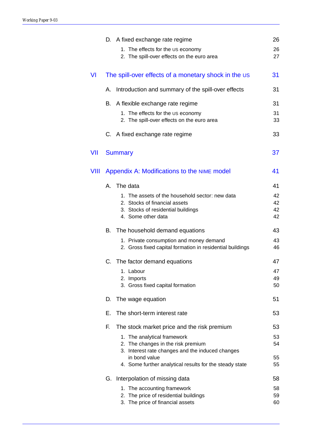|      |                                  | D. A fixed exchange rate regime                                                                      | 26       |
|------|----------------------------------|------------------------------------------------------------------------------------------------------|----------|
|      |                                  | 1. The effects for the US economy<br>2. The spill-over effects on the euro area                      | 26<br>27 |
| VI   |                                  | The spill-over effects of a monetary shock in the US                                                 | 31       |
|      | А.                               | Introduction and summary of the spill-over effects                                                   | 31       |
|      | В.                               | A flexible exchange rate regime                                                                      | 31       |
|      |                                  | 1. The effects for the US economy<br>2. The spill-over effects on the euro area                      | 31<br>33 |
|      |                                  | C. A fixed exchange rate regime                                                                      | 33       |
| VII  | <b>Summary</b>                   |                                                                                                      | 37       |
| VIII |                                  | Appendix A: Modifications to the NIME model                                                          | 41       |
|      | The data<br>A.                   |                                                                                                      | 41       |
|      |                                  | 1. The assets of the household sector: new data                                                      | 42       |
|      |                                  | 2. Stocks of financial assets<br>3. Stocks of residential buildings                                  | 42<br>42 |
|      | 4. Some other data               |                                                                                                      | 42       |
|      | В.                               | The household demand equations                                                                       | 43       |
|      |                                  | 1. Private consumption and money demand<br>2. Gross fixed capital formation in residential buildings | 43<br>46 |
|      |                                  | C. The factor demand equations                                                                       | 47       |
|      | 1. Labour                        |                                                                                                      | 47       |
|      | 2. Imports                       | 3. Gross fixed capital formation                                                                     | 49<br>50 |
|      | The wage equation<br>D.          |                                                                                                      | 51       |
|      | Е.                               | The short-term interest rate                                                                         | 53       |
|      | F.                               | The stock market price and the risk premium                                                          | 53       |
|      |                                  | 1. The analytical framework                                                                          | 53       |
|      |                                  | 2. The changes in the risk premium<br>3. Interest rate changes and the induced changes               | 54       |
|      | in bond value                    |                                                                                                      | 55       |
|      |                                  | 4. Some further analytical results for the steady state                                              | 55       |
|      | G. Interpolation of missing data |                                                                                                      | 58       |
|      |                                  | 1. The accounting framework                                                                          | 58       |
|      |                                  | 2. The price of residential buildings<br>3. The price of financial assets                            | 59<br>60 |
|      |                                  |                                                                                                      |          |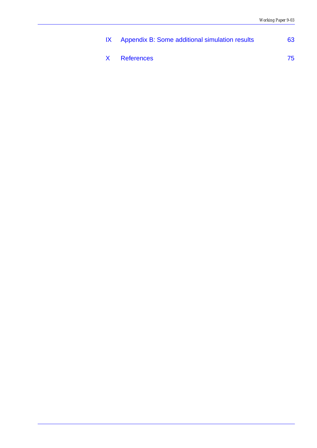| IX Appendix B: Some additional simulation results | 63 |
|---------------------------------------------------|----|
| X References                                      | 75 |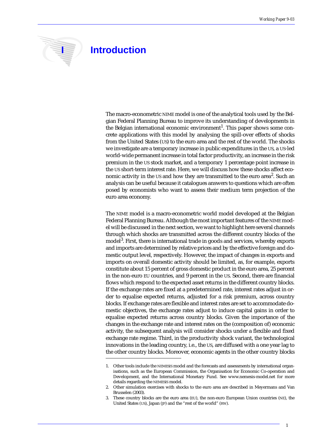

## **I** Introduction

The macro-econometric NIME model is one of the analytical tools used by the Belgian Federal Planning Bureau to improve its understanding of developments in the Belgian international economic environment<sup>1</sup>. This paper shows some concrete applications with this model by analysing the spill-over effects of shocks from the United States (US) to the euro area and the rest of the world. The shocks we investigate are a temporary increase in public expenditures in the US, a US-led world-wide permanent increase in total factor productivity, an increase in the risk premium in the US stock market, and a temporary 1 percentage point increase in the US short-term interest rate. Here, we will discuss how these shocks affect economic activity in the US and how they are transmitted to the euro area<sup>2</sup>. Such an analysis can be useful because it catalogues answers to questions which are often posed by economists who want to assess their medium term projection of the euro area economy.

The NIME model is a macro-econometric world model developed at the Belgian Federal Planning Bureau. Although the most important features of the NIME model will be discussed in the next section, we want to highlight here several channels through which shocks are transmitted across the different country blocks of the model<sup>3</sup>. First, there is international trade in goods and services, whereby exports and imports are determined by relative prices and by the effective foreign and domestic output level, respectively. However, the impact of changes in exports and imports on overall domestic activity should be limited, as, for example, exports constitute about 15 percent of gross domestic product in the euro area, 25 percent in the non-euro EU countries, and 9 percent in the US. Second, there are financial flows which respond to the expected asset returns in the different country blocks. If the exchange rates are fixed at a predetermined rate, interest rates adjust in order to equalise expected returns, adjusted for a risk premium, across country blocks. If exchange rates are flexible and interest rates are set to accommodate domestic objectives, the exchange rates adjust to induce capital gains in order to equalise expected returns across country blocks. Given the importance of the changes in the exchange rate and interest rates on the (composition of) economic activity, the subsequent analysis will consider shocks under a flexible and fixed exchange rate regime. Third, in the productivity shock variant, the technological innovations in the leading country, i.e., the US, are diffused with a one year lag to the other country blocks. Moreover, economic agents in the other country blocks

<sup>1.</sup> Other tools include the NEMESIS model and the forecasts and assessments by international organisations, such as the European Commission, the Organisation for Economic Co-operation and Development, and the International Monetary Fund. See www.nemesis-model.net for more details regarding the NEMESIS model.

<sup>2.</sup> Other simulation exercises with shocks to the euro area are described in Meyermans and Van Brusselen (2003).

<sup>3.</sup> These country blocks are the euro area (EU), the non-euro European Union countries (NE), the United States (US), Japan (JP) and the "rest of the world" (RW).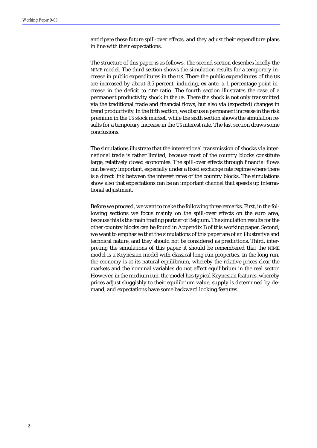anticipate these future spill-over effects, and they adjust their expenditure plans in line with their expectations.

The structure of this paper is as follows. The second section describes briefly the NIME model. The third section shows the simulation results for a temporary increase in public expenditures in the US. There the public expenditures of the US are increased by about 3.5 percent, inducing, ex ante, a 1 percentage point increase in the deficit to GDP ratio. The fourth section illustrates the case of a permanent productivity shock in the US. There the shock is not only transmitted via the traditional trade and financial flows, but also via (expected) changes in trend productivity. In the fifth section, we discuss a permanent increase in the risk premium in the US stock market, while the sixth section shows the simulation results for a temporary increase in the US interest rate. The last section draws some conclusions.

The simulations illustrate that the international transmission of shocks via international trade is rather limited, because most of the country blocks constitute large, relatively closed economies. The spill-over effects through financial flows can be very important, especially under a fixed exchange rate regime where there is a direct link between the interest rates of the country blocks. The simulations show also that expectations can be an important channel that speeds up international adjustment.

Before we proceed, we want to make the following three remarks. First, in the following sections we focus mainly on the spill-over effects on the euro area, because this is the main trading partner of Belgium. The simulation results for the other country blocks can be found in Appendix B of this working paper. Second, we want to emphasise that the simulations of this paper are of an illustrative and technical nature, and they should not be considered as predictions. Third, interpreting the simulations of this paper, it should be remembered that the NIME model is a Keynesian model with classical long run properties. In the long run, the economy is at its natural equilibrium, whereby the relative prices clear the markets and the nominal variables do not affect equilibrium in the real sector. However, in the medium run, the model has typical Keynesian features, whereby prices adjust sluggishly to their equilibrium value, supply is determined by demand, and expectations have some backward looking features.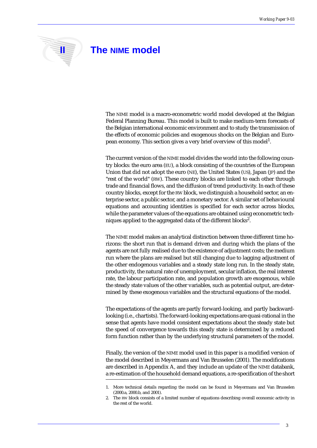### **II I** The NIME model

The NIME model is a macro-econometric world model developed at the Belgian Federal Planning Bureau. This model is built to make medium-term forecasts of the Belgian international economic environment and to study the transmission of the effects of economic policies and exogenous shocks on the Belgian and European economy. This section gives a very brief overview of this model<sup>1</sup>.

The current version of the NIME model divides the world into the following country blocks: the euro area (EU), a block consisting of the countries of the European Union that did not adopt the euro (NE), the United States (US), Japan (JP) and the "rest of the world" (RW). These country blocks are linked to each other through trade and financial flows, and the diffusion of trend productivity. In each of these country blocks, except for the RW block, we distinguish a household sector, an enterprise sector, a public sector, and a monetary sector. A similar set of behavioural equations and accounting identities is specified for each sector across blocks, while the parameter values of the equations are obtained using econometric techniques applied to the aggregated data of the different blocks $^2$ .

The NIME model makes an analytical distinction between three different time horizons: the short run that is demand driven and during which the plans of the agents are not fully realised due to the existence of adjustment costs; the medium run where the plans are realised but still changing due to lagging adjustment of the other endogenous variables and a steady state long run. In the steady state, productivity, the natural rate of unemployment, secular inflation, the real interest rate, the labour participation rate, and population growth are exogenous, while the steady state values of the other variables, such as potential output, are determined by these exogenous variables and the structural equations of the model.

The expectations of the agents are partly forward-looking, and partly backwardlooking (i.e., chartists). The forward-looking expectations are quasi-rational in the sense that agents have model consistent expectations about the steady state but the speed of convergence towards this steady state is determined by a reduced form function rather than by the underlying structural parameters of the model.

Finally, the version of the NIME model used in this paper is a modified version of the model described in Meyermans and Van Brusselen (2001). The modifications are described in Appendix A, and they include an update of the NIME databank, a re-estimation of the household demand equations, a re-specification of the short

<sup>1.</sup> More technical details regarding the model can be found in Meyermans and Van Brusselen (2000.a, 2000.b, and 2001).

<sup>2.</sup> The RW block consists of a limited number of equations describing overall economic activity in the rest of the world.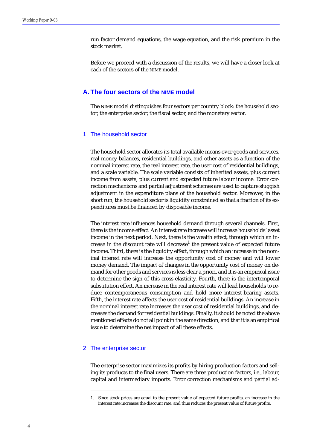run factor demand equations, the wage equation, and the risk premium in the stock market.

Before we proceed with a discussion of the results, we will have a closer look at each of the sectors of the NIME model.

#### **A. The four sectors of the NIME model**

The NIME model distinguishes four sectors per country block: the household sector, the enterprise sector, the fiscal sector, and the monetary sector.

#### 1. The household sector

The household sector allocates its total available means over goods and services, real money balances, residential buildings, and other assets as a function of the nominal interest rate, the real interest rate, the user cost of residential buildings, and a scale variable. The scale variable consists of inherited assets, plus current income from assets, plus current and expected future labour income. Error correction mechanisms and partial adjustment schemes are used to capture sluggish adjustment in the expenditure plans of the household sector. Moreover, in the short run, the household sector is liquidity constrained so that a fraction of its expenditures must be financed by disposable income.

The interest rate influences household demand through several channels. First, there is the income effect. An interest rate increase will increase households' asset income in the next period. Next, there is the wealth effect, through which an increase in the discount rate will decrease<sup>1</sup> the present value of expected future income. Third, there is the liquidity effect, through which an increase in the nominal interest rate will increase the opportunity cost of money and will lower money demand. The impact of changes in the opportunity cost of money on demand for other goods and services is less clear a priori, and it is an empirical issue to determine the sign of this cross-elasticity. Fourth, there is the intertemporal substitution effect. An increase in the real interest rate will lead households to reduce contemporaneous consumption and hold more interest-bearing assets. Fifth, the interest rate affects the user cost of residential buildings. An increase in the nominal interest rate increases the user cost of residential buildings, and decreases the demand for residential buildings. Finally, it should be noted the above mentioned effects do not all point in the same direction, and that it is an empirical issue to determine the net impact of all these effects.

#### 2. The enterprise sector

The enterprise sector maximizes its profits by hiring production factors and selling its products to the final users. There are three production factors, i.e., labour, capital and intermediary imports. Error correction mechanisms and partial ad-

<sup>1.</sup> Since stock prices are equal to the present value of expected future profits, an increase in the interest rate increases the discount rate, and thus reduces the present value of future profits.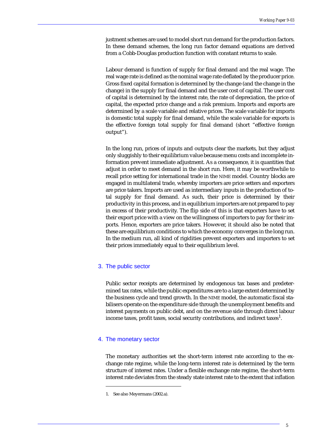justment schemes are used to model short run demand for the production factors. In these demand schemes, the long run factor demand equations are derived from a Cobb-Douglas production function with constant returns to scale.

Labour demand is function of supply for final demand and the real wage. The real wage rate is defined as the nominal wage rate deflated by the producer price. Gross fixed capital formation is determined by the change (and the change in the change) in the supply for final demand and the user cost of capital. The user cost of capital is determined by the interest rate, the rate of depreciation, the price of capital, the expected price change and a risk premium. Imports and exports are determined by a scale variable and relative prices. The scale variable for imports is domestic total supply for final demand, while the scale variable for exports is the effective foreign total supply for final demand (short "effective foreign output").

In the long run, prices of inputs and outputs clear the markets, but they adjust only sluggishly to their equilibrium value because menu costs and incomplete information prevent immediate adjustment. As a consequence, it is quantities that adjust in order to meet demand in the short run. Here, it may be worthwhile to recall price setting for international trade in the NIME model. Country blocks are engaged in multilateral trade, whereby importers are price setters and exporters are price takers. Imports are used as intermediary inputs in the production of total supply for final demand. As such, their price is determined by their productivity in this process, and in equilibrium importers are not prepared to pay in excess of their productivity. The flip side of this is that exporters have to set their export price with a view on the willingness of importers to pay for their imports. Hence, exporters are price takers. However, it should also be noted that these are equilibrium conditions to which the economy converges in the long run. In the medium run, all kind of rigidities prevent exporters and importers to set their prices immediately equal to their equilibrium level.

#### 3. The public sector

Public sector receipts are determined by endogenous tax bases and predetermined tax rates, while the public expenditures are to a large extent determined by the business cycle and trend growth. In the NIME model, the automatic fiscal stabilisers operate on the expenditure side through the unemployment benefits and interest payments on public debt, and on the revenue side through direct labour income taxes, profit taxes, social security contributions, and indirect taxes $^{\rm l}$ .

#### 4. The monetary sector

The monetary authorities set the short-term interest rate according to the exchange rate regime, while the long-term interest rate is determined by the term structure of interest rates. Under a flexible exchange rate regime, the short-term interest rate deviates from the steady state interest rate to the extent that inflation

<sup>1.</sup> See also Meyermans (2002.a).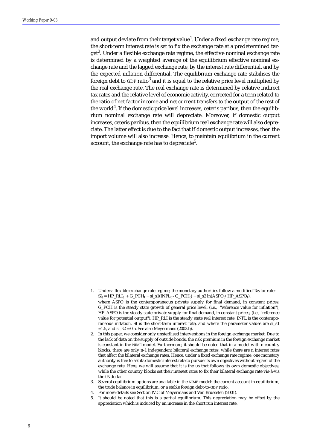and output deviate from their target value<sup>1</sup>. Under a fixed exchange rate regime, the short-term interest rate is set to fix the exchange rate at a predetermined target $^{\rm 2}$ . Under a flexible exchange rate regime, the effective nominal exchange rate is determined by a weighted average of the equilibrium effective nominal exchange rate and the lagged exchange rate, by the interest rate differential, and by the expected inflation differential. The equilibrium exchange rate stabilises the foreign debt to GDP ratio $^3$  and it is equal to the relative price level multiplied by the real exchange rate. The real exchange rate is determined by relative indirect tax rates and the relative level of economic activity, corrected for a term related to the ratio of net factor income and net current transfers to the output of the rest of the world<sup>4</sup>. If the domestic price level increases, ceteris paribus, then the equilibrium nominal exchange rate will depreciate. Moreover, if domestic output increases, ceteris paribus, then the equilibrium real exchange rate will also depreciate. The latter effect is due to the fact that if domestic output increases, then the import volume will also increase. Hence, to maintain equilibrium in the current account, the exchange rate has to depreciate $^5\!$ 

<sup>1.</sup> Under a flexible exchange rate regime, the monetary authorities follow a modified Taylor rule:  $SI_t = HP_RLI_t + G_PCH_t + si_s1(INFL_t - G_PCH_t) + si_s2 ln(ASPO_t/HP_ASPO_t),$ 

where ASPO is the contemporaneous private supply for final demand, in constant prices, G\_PCH is the steady state growth of general price level, (i.e., "reference value for inflation"), HP\_ASPO is the steady state private supply for final demand, in constant prices, (i.e., "reference value for potential output"), HP\_RLI is the steady state real interest rate, INFL is the contemporaneous inflation, SI is the short-term interest rate, and where the parameter values are si\_s1  $=1.5$ , and  $si_s2 = 0.5$ . See also Meyermans (2002.b).

<sup>2.</sup> In this paper, we consider only unsterilised interventions in the foreign exchange market. Due to the lack of data on the supply of outside bonds, the risk premium in the foreign exchange market is constant in the NIME model. Furthermore, it should be noted that in a model with n country blocks, there are only n-1 independent bilateral exchange rates, while there are n interest rates that affect the bilateral exchange rates. Hence, under a fixed exchange rate regime, one monetary authority is free to set its domestic interest rate to pursue its own objectives without regard of the exchange rate. Here, we will assume that it is the US that follows its own domestic objectives, while the other country blocks set their interest rates to fix their bilateral exchange rate vis-à-vis the US dollar

<sup>3.</sup> Several equilibrium options are available in the NIME model: the current account in equilibrium, the trade balance in equilibrium, or a stable foreign debt-to-GDP ratio.

<sup>4.</sup> For more details see Section IV.C of Meyermans and Van Brusselen (2001).

<sup>5.</sup> It should be noted that this is a partial equilibrium. This depreciation may be offset by the appreciation which is induced by an increase in the short run interest rate.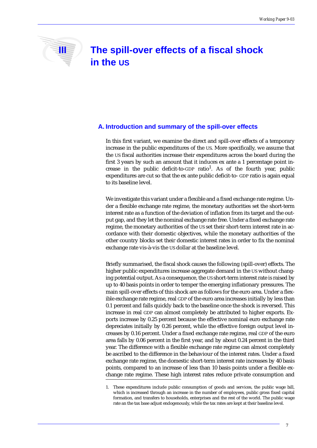## **III** The spill-over effects of a fiscal shock **in the US**

#### **A. Introduction and summary of the spill-over effects**

In this first variant, we examine the direct and spill-over effects of a temporary increase in the public expenditures of the US. More specifically, we assume that the US fiscal authorities increase their expenditures across the board during the first 3 years by such an amount that it induces ex ante a 1 percentage point increase in the public deficit-to-GDP ratio<sup>1</sup>. As of the fourth year, public expenditures are cut so that the ex ante public deficit-to- GDP ratio is again equal to its baseline level.

We investigate this variant under a flexible and a fixed exchange rate regime. Under a flexible exchange rate regime, the monetary authorities set the short-term interest rate as a function of the deviation of inflation from its target and the output gap, and they let the nominal exchange rate free. Under a fixed exchange rate regime, the monetary authorities of the US set their short-term interest rate in accordance with their domestic objectives, while the monetary authorities of the other country blocks set their domestic interest rates in order to fix the nominal exchange rate vis-à-vis the US dollar at the baseline level.

Briefly summarised, the fiscal shock causes the following (spill-over) effects. The higher public expenditures increase aggregate demand in the US without changing potential output. As a consequence, the US short-term interest rate is raised by up to 40 basis points in order to temper the emerging inflationary pressures. The main spill-over effects of this shock are as follows for the euro area. Under a flexible exchange rate regime, real GDP of the euro area increases initially by less than 0.1 percent and falls quickly back to the baseline once the shock is reversed. This increase in real GDP can almost completely be attributed to higher exports. Exports increase by 0.25 percent because the effective nominal euro exchange rate depreciates initially by 0.26 percent, while the effective foreign output level increases by 0.16 percent. Under a fixed exchange rate regime, real GDP of the euro area falls by 0.06 percent in the first year, and by about 0.24 percent in the third year. The difference with a flexible exchange rate regime can almost completely be ascribed to the difference in the behaviour of the interest rates. Under a fixed exchange rate regime, the domestic short-term interest rate increases by 40 basis points, compared to an increase of less than 10 basis points under a flexible exchange rate regime. These high interest rates reduce private consumption and

<sup>1.</sup> These expenditures include public consumption of goods and services, the public wage bill, which is increased through an increase in the number of employees, public gross fixed capital formation, and transfers to households, enterprises and the rest of the world. The public wage rate an the tax base adjust endogenously, while the tax rates are kept at their baseline level.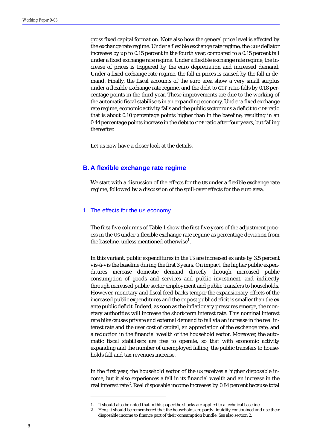gross fixed capital formation. Note also how the general price level is affected by the exchange rate regime. Under a flexible exchange rate regime, the GDP deflator increases by up to 0.15 percent in the fourth year, compared to a 0.15 percent fall under a fixed exchange rate regime. Under a flexible exchange rate regime, the increase of prices is triggered by the euro depreciation and increased demand. Under a fixed exchange rate regime, the fall in prices is caused by the fall in demand. Finally, the fiscal accounts of the euro area show a very small surplus under a flexible exchange rate regime, and the debt to GDP ratio falls by 0.18 percentage points in the third year. These improvements are due to the working of the automatic fiscal stabilisers in an expanding economy. Under a fixed exchange rate regime, economic activity falls and the public sector runs a deficit to GDP ratio that is about 0.10 percentage points higher than in the baseline, resulting in an 0.44 percentage points increase in the debt to GDP ratio after four years, but falling thereafter.

Let us now have a closer look at the details.

#### **B. A flexible exchange rate regime**

We start with a discussion of the effects for the US under a flexible exchange rate regime, followed by a discussion of the spill-over effects for the euro area.

#### 1. The effects for the US economy

The first five columns of Table 1 show the first five years of the adjustment process in the US under a flexible exchange rate regime as percentage deviation from the baseline, unless mentioned otherwise<sup>1</sup>.

In this variant, public expenditures in the US are increased ex ante by 3.5 percent vis-à-vis the baseline during the first 3 years. On impact, the higher public expenditures increase domestic demand directly through increased public consumption of goods and services and public investment, and indirectly through increased public sector employment and public transfers to households. However, monetary and fiscal feed-backs temper the expansionary effects of the increased public expenditures and the ex post public deficit is smaller than the ex ante public deficit. Indeed, as soon as the inflationary pressures emerge, the monetary authorities will increase the short-term interest rate. This nominal interest rate hike causes private and external demand to fall via an increase in the real interest rate and the user cost of capital, an appreciation of the exchange rate, and a reduction in the financial wealth of the household sector. Moreover, the automatic fiscal stabilisers are free to operate, so that with economic activity expanding and the number of unemployed falling, the public transfers to households fall and tax revenues increase.

In the first year, the household sector of the US receives a higher disposable income, but it also experiences a fall in its financial wealth and an increase in the real interest rate<sup>2</sup>. Real disposable income increases by 0.84 percent because total

<sup>1.</sup> It should also be noted that in this paper the shocks are applied to a technical baseline.

<sup>2.</sup> Here, it should be remembered that the households are partly liquidity constrained and use their disposable income to finance part of their consumption bundle. See also section 2.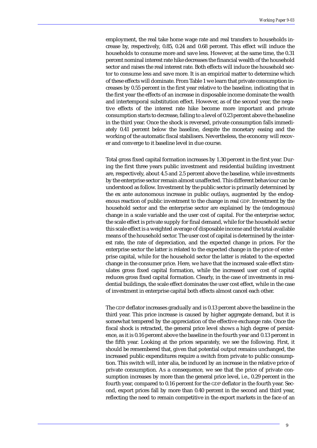employment, the real take home wage rate and real transfers to households increase by, respectively, 0.85, 0.24 and 0.68 percent. This effect will induce the households to consume more and save less. However, at the same time, the 0.31 percent nominal interest rate hike decreases the financial wealth of the household sector and raises the real interest rate. Both effects will induce the household sector to consume less and save more. It is an empirical matter to determine which of these effects will dominate. From Table 1 we learn that private consumption increases by 0.55 percent in the first year relative to the baseline, indicating that in the first year the effects of an increase in disposable income dominate the wealth and intertemporal substitution effect. However, as of the second year, the negative effects of the interest rate hike become more important and private consumption starts to decrease, falling to a level of 0.23 percent above the baseline in the third year. Once the shock is reversed, private consumption falls immediately 0.41 percent below the baseline, despite the monetary easing and the working of the automatic fiscal stabilisers. Nevertheless, the economy will recover and converge to it baseline level in due course.

Total gross fixed capital formation increases by 1.30 percent in the first year. During the first three years public investment and residential building investment are, respectively, about 4.5 and 2.5 percent above the baseline, while investments by the enterprise sector remain almost unaffected. This different behaviour can be understood as follow. Investment by the public sector is primarily determined by the ex ante autonomous increase in public outlays, augmented by the endogenous reaction of public investment to the change in real GDP. Investment by the household sector and the enterprise sector are explained by the (endogenous) change in a scale variable and the user cost of capital. For the enterprise sector, the scale effect is private supply for final demand, while for the household sector this scale effect is a weighted average of disposable income and the total available means of the household sector. The user cost of capital is determined by the interest rate, the rate of depreciation, and the expected change in prices. For the enterprise sector the latter is related to the expected change in the price of enterprise capital, while for the household sector the latter is related to the expected change in the consumer price. Here, we have that the increased scale effect stimulates gross fixed capital formation, while the increased user cost of capital reduces gross fixed capital formation. Clearly, in the case of investments in residential buildings, the scale effect dominates the user cost effect, while in the case of investment in enterprise capital both effects almost cancel each other.

The GDP deflator increases gradually and is 0.13 percent above the baseline in the third year. This price increase is caused by higher aggregate demand, but it is somewhat tempered by the appreciation of the effective exchange rate. Once the fiscal shock is retracted, the general price level shows a high degree of persistence, as it is 0.16 percent above the baseline in the fourth year and 0.13 percent in the fifth year. Looking at the prices separately, we see the following. First, it should be remembered that, given that potential output remains unchanged, the increased public expenditures require a switch from private to public consumption. This switch will, inter alia, be induced by an increase in the relative price of private consumption. As a consequence, we see that the price of private consumption increases by more than the general price level, i.e., 0.29 percent in the fourth year, compared to 0.16 percent for the GDP deflator in the fourth year. Second, export prices fall by more than 0.40 percent in the second and third year, reflecting the need to remain competitive in the export markets in the face of an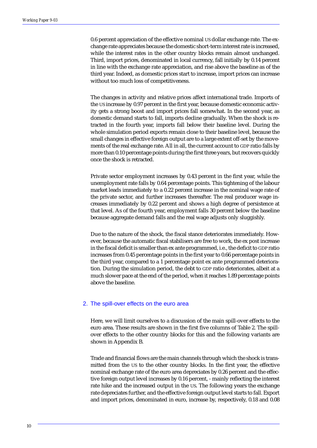0.6 percent appreciation of the effective nominal US dollar exchange rate. The exchange rate appreciates because the domestic short-term interest rate is increased, while the interest rates in the other country blocks remain almost unchanged. Third, import prices, denominated in local currency, fall initially by 0.14 percent in line with the exchange rate appreciation, and rise above the baseline as of the third year. Indeed, as domestic prices start to increase, import prices can increase without too much loss of competitiveness.

The changes in activity and relative prices affect international trade. Imports of the US increase by 0.97 percent in the first year, because domestic economic activity gets a strong boost and import prices fall somewhat. In the second year, as domestic demand starts to fall, imports decline gradually. When the shock is retracted in the fourth year, imports fall below their baseline level. During the whole simulation period exports remain close to their baseline level, because the small changes in effective foreign output are to a large extent off-set by the movements of the real exchange rate. All in all, the current account to GDP ratio falls by more than 0.10 percentage points during the first three years, but recovers quickly once the shock is retracted.

Private sector employment increases by 0.43 percent in the first year, while the unemployment rate falls by 0.64 percentage points. This tightening of the labour market leads immediately to a 0.22 percent increase in the nominal wage rate of the private sector, and further increases thereafter. The real producer wage increases immediately by 0.22 percent and shows a high degree of persistence at that level. As of the fourth year, employment falls 30 percent below the baseline because aggregate demand falls and the real wage adjusts only sluggishly.

Due to the nature of the shock, the fiscal stance deteriorates immediately. However, because the automatic fiscal stabilisers are free to work, the ex post increase in the fiscal deficit is smaller than ex ante programmed, i.e., the deficit to GDP ratio increases from 0.45 percentage points in the first year to 0.66 percentage points in the third year, compared to a 1 percentage point ex ante programmed deterioration. During the simulation period, the debt to GDP ratio deteriorates, albeit at a much slower pace at the end of the period, when it reaches 1.89 percentage points above the baseline.

#### 2. The spill-over effects on the euro area

Here, we will limit ourselves to a discussion of the main spill-over effects to the euro area. These results are shown in the first five columns of Table 2. The spillover effects to the other country blocks for this and the following variants are shown in Appendix B.

Trade and financial flows are the main channels through which the shock is transmitted from the US to the other country blocks. In the first year, the effective nominal exchange rate of the euro area depreciates by 0.26 percent and the effective foreign output level increases by 0.16 percent, - mainly reflecting the interest rate hike and the increased output in the US. The following years the exchange rate depreciates further, and the effective foreign output level starts to fall. Export and import prices, denominated in euro, increase by, respectively, 0.18 and 0.08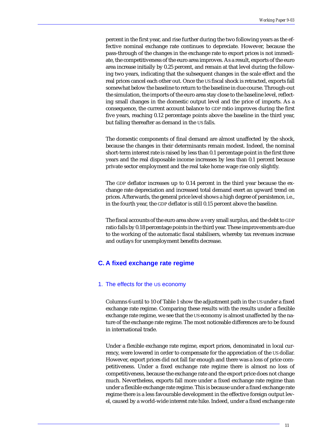percent in the first year, and rise further during the two following years as the effective nominal exchange rate continues to depreciate. However, because the pass-through of the changes in the exchange rate to export prices is not immediate, the competitiveness of the euro area improves. As a result, exports of the euro area increase initially by 0.25 percent, and remain at that level during the following two years, indicating that the subsequent changes in the scale effect and the real prices cancel each other out. Once the US fiscal shock is retracted, exports fall somewhat below the baseline to return to the baseline in due course. Through-out the simulation, the imports of the euro area stay close to the baseline level, reflecting small changes in the domestic output level and the price of imports. As a consequence, the current account balance to GDP ratio improves during the first five years, reaching 0.12 percentage points above the baseline in the third year, but falling thereafter as demand in the US falls.

The domestic components of final demand are almost unaffected by the shock, because the changes in their determinants remain modest. Indeed, the nominal short-term interest rate is raised by less than 0.1 percentage point in the first three years and the real disposable income increases by less than 0.1 percent because private sector employment and the real take home wage rise only slightly.

The GDP deflator increases up to 0.14 percent in the third year because the exchange rate depreciation and increased total demand exert an upward trend on prices. Afterwards, the general price level shows a high degree of persistence, i.e., in the fourth year, the GDP deflator is still 0.15 percent above the baseline.

The fiscal accounts of the euro area show a very small surplus, and the debt to GDP ratio falls by 0.18 percentage points in the third year. These improvements are due to the working of the automatic fiscal stabilisers, whereby tax revenues increase and outlays for unemployment benefits decrease.

#### **C. A fixed exchange rate regime**

#### 1. The effects for the US economy

Columns 6 until to 10 of Table 1 show the adjustment path in the US under a fixed exchange rate regime. Comparing these results with the results under a flexible exchange rate regime, we see that the US economy is almost unaffected by the nature of the exchange rate regime. The most noticeable differences are to be found in international trade.

Under a flexible exchange rate regime, export prices, denominated in local currency, were lowered in order to compensate for the appreciation of the US dollar. However, export prices did not fall far enough and there was a loss of price competitiveness. Under a fixed exchange rate regime there is almost no loss of competitiveness, because the exchange rate and the export price does not change much. Nevertheless, exports fall more under a fixed exchange rate regime than under a flexible exchange rate regime. This is because under a fixed exchange rate regime there is a less favourable development in the effective foreign output level, caused by a world-wide interest rate hike. Indeed, under a fixed exchange rate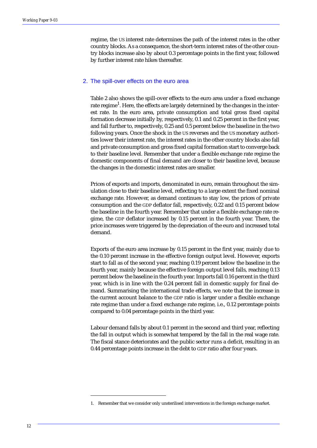regime, the US interest rate determines the path of the interest rates in the other country blocks. As a consequence, the short-term interest rates of the other country blocks increase also by about 0.3 percentage points in the first year, followed by further interest rate hikes thereafter.

#### 2. The spill-over effects on the euro area

Table 2 also shows the spill-over effects to the euro area under a fixed exchange rate regime $^1$ . Here, the effects are largely determined by the changes in the interest rate. In the euro area, private consumption and total gross fixed capital formation decrease initially by, respectively, 0.1 and 0.25 percent in the first year, and fall further to, respectively, 0.25 and 0.5 percent below the baseline in the two following years. Once the shock in the US reverses and the US monetary authorities lower their interest rate, the interest rates in the other country blocks also fall and private consumption and gross fixed capital formation start to converge back to their baseline level. Remember that under a flexible exchange rate regime the domestic components of final demand are closer to their baseline level, because the changes in the domestic interest rates are smaller.

Prices of exports and imports, denominated in euro, remain throughout the simulation close to their baseline level, reflecting to a large extent the fixed nominal exchange rate. However, as demand continues to stay low, the prices of private consumption and the GDP deflator fall, respectively, 0.22 and 0.15 percent below the baseline in the fourth year. Remember that under a flexible exchange rate regime, the GDP deflator increased by 0.15 percent in the fourth year. There, the price increases were triggered by the depreciation of the euro and increased total demand.

Exports of the euro area increase by 0.15 percent in the first year, mainly due to the 0.10 percent increase in the effective foreign output level. However, exports start to fall as of the second year, reaching 0.19 percent below the baseline in the fourth year, mainly because the effective foreign output level falls, reaching 0.13 percent below the baseline in the fourth year. Imports fall 0.16 percent in the third year, which is in line with the 0.24 percent fall in domestic supply for final demand. Summarising the international trade effects, we note that the increase in the current account balance to the GDP ratio is larger under a flexible exchange rate regime than under a fixed exchange rate regime, i.e., 0.12 percentage points compared to 0.04 percentage points in the third year.

Labour demand falls by about 0.1 percent in the second and third year, reflecting the fall in output which is somewhat tempered by the fall in the real wage rate. The fiscal stance deteriorates and the public sector runs a deficit, resulting in an 0.44 percentage points increase in the debt to GDP ratio after four years.

<sup>1.</sup> Remember that we consider only unsterilised interventions in the foreign exchange market.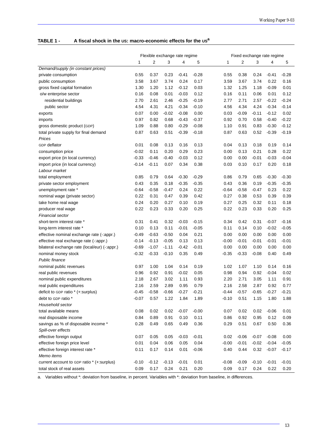#### **TABLE 1 - A fiscal shock in the US: macro-economic effects for the USa**

|                                                | Flexible exchange rate regime |         |         |         |         |         | Fixed exchange rate regime |         |         |         |  |  |
|------------------------------------------------|-------------------------------|---------|---------|---------|---------|---------|----------------------------|---------|---------|---------|--|--|
|                                                | 1                             | 2       | 3       | 4       | 5       | 1       | 2                          | 3       | 4       | 5       |  |  |
| Demand/supply (in constant prices)             |                               |         |         |         |         |         |                            |         |         |         |  |  |
| private consumption                            | 0.55                          | 0.37    | 0.23    | $-0.41$ | $-0.28$ | 0.55    | 0.38                       | 0.24    | $-0.41$ | $-0.28$ |  |  |
| public consumption                             | 3.58                          | 3.67    | 3.74    | 0.24    | 0.17    | 3.59    | 3.67                       | 3.74    | 0.22    | 0.16    |  |  |
| gross fixed capital formation                  | 1.30                          | 1.20    | 1.12    | $-0.12$ | 0.03    | 1.32    | 1.25                       | 1.18    | $-0.09$ | 0.01    |  |  |
| o/w enterprise sector                          | 0.16                          | 0.08    | 0.01    | $-0.03$ | 0.12    | 0.16    | 0.11                       | 0.06    | 0.01    | 0.12    |  |  |
| residential buildings                          | 2.70                          | 2.61    | 2.46    | $-0.25$ | $-0.19$ | 2.77    | 2.71                       | 2.57    | $-0.22$ | $-0.24$ |  |  |
| public sector                                  | 4.54                          | 4.31    | 4.21    | $-0.34$ | $-0.10$ | 4.56    | 4.34                       | 4.24    | $-0.34$ | $-0.14$ |  |  |
| exports                                        | 0.07                          | 0.00    | $-0.02$ | $-0.08$ | 0.00    | 0.03    | $-0.09$                    | $-0.11$ | $-0.12$ | 0.02    |  |  |
| imports                                        | 0.97                          | 0.82    | 0.68    | $-0.43$ | $-0.37$ | 0.92    | 0.70                       | 0.58    | $-0.40$ | $-0.22$ |  |  |
| gross domestic product (GDP)                   | 1.09                          | 0.88    | 0.80    | $-0.29$ | $-0.08$ | 1.10    | 0.91                       | 0.83    | $-0.30$ | $-0.12$ |  |  |
| total private supply for final demand          | 0.87                          | 0.63    | 0.51    | $-0.39$ | $-0.18$ | 0.87    | 0.63                       | 0.52    | $-0.39$ | $-0.19$ |  |  |
| Prices                                         |                               |         |         |         |         |         |                            |         |         |         |  |  |
| GDP deflator                                   | 0.01                          | 0.08    | 0.13    | 0.16    | 0.13    | 0.04    | 0.13                       | 0.18    | 0.19    | 0.14    |  |  |
| consumption price                              | $-0.02$                       | 0.11    | 0.20    | 0.29    | 0.23    | 0.00    | 0.13                       | 0.21    | 0.28    | 0.22    |  |  |
| export price (in local currency)               | $-0.33$                       | $-0.46$ | $-0.40$ | $-0.03$ | 0.12    | 0.00    | 0.00                       | $-0.01$ | $-0.03$ | $-0.04$ |  |  |
| import price (in local currency)               | $-0.14$                       | $-0.11$ | 0.07    | 0.34    | 0.38    | 0.03    | 0.10                       | 0.17    | 0.20    | 0.18    |  |  |
| Labour market                                  |                               |         |         |         |         |         |                            |         |         |         |  |  |
| total employment                               | 0.85                          | 0.79    | 0.64    | $-0.30$ | $-0.29$ | 0.86    | 0.79                       | 0.65    | $-0.30$ | $-0.30$ |  |  |
| private sector employment                      | 0.43                          | 0.35    | 0.18    | $-0.35$ | $-0.35$ | 0.43    | 0.36                       | 0.19    | $-0.35$ | $-0.35$ |  |  |
| unemployment rate *                            | $-0.64$                       | $-0.58$ | -0.47   | 0.24    | 0.22    | $-0.64$ | $-0.58$                    | $-0.47$ | 0.23    | 0.22    |  |  |
| nominal wage (private sector)                  | 0.22                          | 0.31    | 0.47    | 0.39    | 0.42    | 0.27    | 0.38                       | 0.53    | 0.39    | 0.39    |  |  |
| take home real wage                            | 0.24                          | 0.20    | 0.27    | 0.10    | 0.19    | 0.27    | 0.25                       | 0.32    | 0.11    | 0.18    |  |  |
| producer real wage                             | 0.22                          | 0.23    | 0.33    | 0.20    | 0.25    | 0.22    | 0.23                       | 0.33    | 0.20    | 0.25    |  |  |
| <b>Financial sector</b>                        |                               |         |         |         |         |         |                            |         |         |         |  |  |
| short-term interest rate *                     | 0.31                          | 0.41    | 0.32    | $-0.03$ | $-0.15$ | 0.34    | 0.42                       | 0.31    | $-0.07$ | $-0.16$ |  |  |
| long-term interest rate *                      | 0.10                          | 0.13    | 0.11    | $-0.01$ | $-0.05$ | 0.11    | 0.14                       | 0.10    | $-0.02$ | $-0.05$ |  |  |
| effective nominal exchange rate (-: appr.)     | $-0.49$                       | $-0.63$ | $-0.50$ | 0.04    | 0.21    | 0.00    | 0.00                       | 0.00    | 0.00    | 0.00    |  |  |
| effective real exchange rate (-: appr.)        | $-0.14$                       | $-0.13$ | $-0.05$ | 0.13    | 0.13    | $-0.00$ | -0.01                      | $-0.01$ | $-0.01$ | $-0.01$ |  |  |
| bilateral exchange rate (local/eur) (-: appr.) | $-0.69$                       | $-1.07$ | $-1.11$ | $-0.42$ | $-0.01$ | 0.00    | 0.00                       | 0.00    | 0.00    | 0.00    |  |  |
| nominal money stock                            | $-0.32$                       | $-0.33$ | $-0.10$ | 0.35    | 0.49    | $-0.35$ | $-0.33$                    | $-0.08$ | 0.40    | 0.49    |  |  |
| <b>Public finance</b>                          |                               |         |         |         |         |         |                            |         |         |         |  |  |
| nominal public revenues                        | 0.97                          | 1.00    | 1.04    | 0.14    | 0.19    | 1.02    | 1.07                       | 1.10    | 0.14    | 0.16    |  |  |
| real public revenues                           | 0.96                          | 0.92    | 0.91    | $-0.02$ | 0.05    | 0.98    | 0.94                       | 0.92    | $-0.04$ | 0.02    |  |  |
| nominal public expenditures                    | 2.18                          | 2.67    | 3.02    | 1.11    | 0.93    | 2.20    | 2.71                       | 3.05    | 1.11    | 0.91    |  |  |
| real public expenditures                       | 2.16                          | 2.59    | 2.89    | 0.95    | 0.79    | 2.16    | 2.58                       | 2.87    | 0.92    | 0.77    |  |  |
| deficit to GDP ratio * (+:surplus)             | $-0.45$                       | $-0.58$ | $-0.66$ | $-0.27$ | $-0.21$ | $-0.44$ | $-0.57$                    | $-0.65$ | $-0.27$ | $-0.21$ |  |  |
| debt to GDP ratio *                            | $-0.07$                       | 0.57    | 1.22    | 1.84    | 1.89    | $-0.10$ | 0.51                       | 1.15    | 1.80    | 1.88    |  |  |
| Household sector                               |                               |         |         |         |         |         |                            |         |         |         |  |  |
| total available means                          | 0.08                          | 0.02    | 0.02    | $-0.07$ | $-0.00$ | 0.07    | 0.02                       | 0.02    | $-0.06$ | 0.01    |  |  |
| real disposable income                         | 0.84                          | 0.89    | 0.91    | 0.10    | 0.11    | 0.86    | 0.92                       | 0.95    | 0.12    | 0.09    |  |  |
| savings as % of disposable income *            | 0.28                          | 0.49    | 0.65    | 0.49    | 0.36    | 0.29    | 0.51                       | 0.67    | 0.50    | 0.36    |  |  |
| Spill-over effects                             |                               |         |         |         |         |         |                            |         |         |         |  |  |
| effective foreign output                       | 0.07                          | 0.05    | 0.05    | $-0.03$ | $-0.01$ | 0.02    | $-0.06$                    | $-0.07$ | $-0.08$ | 0.00    |  |  |
| effective foreign price level                  | 0.01                          | 0.04    | 0.06    | 0.05    | 0.04    | $-0.00$ | $-0.01$                    | $-0.02$ | $-0.04$ | $-0.05$ |  |  |
| effective foreign interest rate *              | 0.11                          | 0.17    | 0.14    | 0.01    | $-0.06$ | 0.40    | 0.44                       | 0.32    | $-0.07$ | $-0.17$ |  |  |
| Memo items                                     |                               |         |         |         |         |         |                            |         |         |         |  |  |
| current account to GDP ratio * (+:surplus)     | $-0.10$                       | $-0.12$ | $-0.13$ | $-0.01$ | 0.01    | $-0.08$ | $-0.09$                    | $-0.10$ | $-0.01$ | $-0.01$ |  |  |
| total stock of real assets                     | 0.09                          | 0.17    | 0.24    | 0.21    | 0.20    | 0.09    | 0.17                       | 0.24    | 0.22    | 0.20    |  |  |

a. Variables without \*: deviation from baseline, in percent. Variables with \*: deviation from baseline, in differences.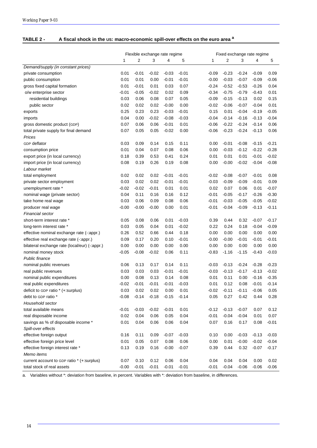| TABLE 2 - | A fiscal shock in the US: macro-economic spill-over effects on the euro area <sup>a</sup> |
|-----------|-------------------------------------------------------------------------------------------|
|-----------|-------------------------------------------------------------------------------------------|

| 2<br>$\overline{2}$<br>1<br>3<br>4<br>5<br>1<br>3<br>4<br>5<br>Demand/supply (in constant prices)<br>$-0.01$<br>$-0.02$<br>$-0.03$<br>$-0.01$<br>$-0.24$<br>private consumption<br>0.01<br>-0.09<br>$-0.23$<br>$-0.09$<br>0.09<br>0.01<br>0.00<br>$-0.07$<br>public consumption<br>0.01<br>$-0.01$<br>$-0.01$<br>$-0.00$<br>$-0.03$<br>$-0.09$<br>$-0.06$<br>$-0.52$<br>gross fixed capital formation<br>0.01<br>$-0.01$<br>0.01<br>0.03<br>0.07<br>$-0.24$<br>$-0.53$<br>$-0.26$<br>0.04<br>$-0.79$<br>o/w enterprise sector<br>$-0.01$<br>$-0.05$<br>$-0.02$<br>0.02<br>0.09<br>$-0.34$<br>$-0.75$<br>$-0.43$<br>0.01<br>residential buildings<br>0.03<br>0.06<br>0.08<br>0.07<br>0.05<br>$-0.09$<br>$-0.15$<br>$-0.13$<br>0.02<br>0.15<br>0.02<br>0.00<br>$-0.07$<br>0.02<br>0.02<br>$-0.00$<br>$-0.02$<br>$-0.06$<br>$-0.04$<br>0.01<br>public sector<br>0.25<br>0.23<br>0.23<br>$-0.03$<br>$-0.01$<br>0.15<br>0.01<br>$-0.04$<br>$-0.19$<br>$-0.05$<br>exports<br>0.04<br>0.00<br>$-0.02$<br>$-0.08$<br>$-0.03$<br>$-0.04$<br>$-0.14$<br>$-0.16$<br>$-0.13$<br>$-0.04$<br>imports<br>$-0.22$<br>$-0.24$<br>0.07<br>0.06<br>0.06<br>$-0.01$<br>0.01<br>$-0.06$<br>$-0.14$<br>0.06<br>gross domestic product (GDP)<br>0.05<br>$-0.23$<br>$-0.24$<br>total private supply for final demand<br>0.07<br>0.05<br>$-0.02$<br>0.00<br>$-0.06$<br>$-0.13$<br>0.06<br>Prices<br><b>GDP</b> deflator<br>0.03<br>0.09<br>0.15<br>0.11<br>0.00<br>$-0.01$<br>$-0.08$<br>$-0.15$<br>$-0.21$<br>0.14<br>$-0.12$<br>0.01<br>0.04<br>0.07<br>0.08<br>0.06<br>0.00<br>$-0.03$<br>$-0.22$<br>$-0.28$<br>consumption price<br>0.01<br>0.18<br>0.39<br>0.53<br>0.24<br>0.01<br>0.01<br>$-0.01$<br>$-0.02$<br>export price (in local currency)<br>0.41<br>$-0.02$<br>0.08<br>0.19<br>0.26<br>0.19<br>0.08<br>0.00<br>$-0.00$<br>$-0.04$<br>$-0.08$<br>import price (in local currency)<br>Labour market<br>0.02<br>0.02<br>0.02<br>$-0.01$<br>$-0.01$<br>$-0.02$<br>$-0.08$<br>$-0.07$<br>0.08<br>total employment<br>$-0.01$<br>0.02<br>0.02<br>$-0.09$<br>0.03<br>$-0.01$<br>$-0.01$<br>$-0.03$<br>$-0.09$<br>$-0.01$<br>0.09<br>private sector employment<br>$-0.02$<br>unemployment rate *<br>$-0.02$<br>$-0.01$<br>0.01<br>0.01<br>0.02<br>0.07<br>0.06<br>0.01<br>$-0.07$<br>0.11<br>0.04<br>0.16<br>0.16<br>0.12<br>$-0.01$<br>$-0.05$<br>$-0.17$<br>$-0.26$<br>$-0.30$<br>nominal wage (private sector)<br>0.06<br>$-0.05$<br>0.03<br>0.09<br>0.08<br>0.06<br>$-0.01$<br>$-0.03$<br>$-0.05$<br>$-0.02$<br>take home real wage<br>$-0.00$<br>0.01<br>$-0.04$<br>$-0.09$<br>$-0.11$<br>$-0.00$<br>$-0.00$<br>0.00<br>$-0.01$<br>$-0.13$<br>producer real wage<br><b>Financial sector</b><br>short-term interest rate *<br>0.05<br>0.08<br>0.06<br>0.01<br>$-0.03$<br>0.39<br>0.32<br>$-0.07$<br>$-0.17$<br>0.44<br>0.18<br>0.03<br>0.05<br>0.04<br>0.01<br>$-0.02$<br>0.22<br>0.24<br>$-0.04$<br>$-0.09$<br>long-term interest rate *<br>0.26<br>0.52<br>0.66<br>0.18<br>0.00<br>0.00<br>0.00<br>0.00<br>0.00<br>effective nominal exchange rate (-:appr.)<br>0.44<br>0.09<br>0.17<br>0.20<br>0.10<br>$-0.01$<br>$-0.00$<br>$-0.00$<br>$-0.01$<br>$-0.01$<br>$-0.01$<br>effective real exchange rate (-:appr.)<br>0.00<br>0.00<br>0.00<br>0.00<br>0.00<br>0.00<br>0.00<br>0.00<br>0.00<br>0.00<br>bilateral exchange rate (local/eur) (-:appr.)<br>$-0.02$<br>0.11<br>$-0.05$<br>$-0.08$<br>0.06<br>$-0.83$<br>$-1.16$<br>$-1.15$<br>$-0.43$<br>$-0.03$<br>nominal money stock<br>Public finance<br>0.06<br>0.13<br>0.17<br>0.14<br>0.11<br>$-0.03$<br>$-0.13$<br>$-0.24$<br>$-0.28$<br>$-0.23$<br>nominal public revenues<br>0.03<br>0.03<br>0.03<br>$-0.01$<br>$-0.03$<br>$-0.13$<br>$-0.17$<br>$-0.13$<br>$-0.02$<br>real public revenues<br>$-0.01$<br>nominal public expenditures<br>0.00<br>0.08<br>0.13<br>0.14<br>0.08<br>0.01<br>0.11<br>0.00<br>$-0.16$<br>$-0.35$<br>$-0.01$<br>0.08<br>$-0.14$<br>$-0.02$<br>$-0.01$<br>$-0.01$<br>$-0.03$<br>0.01<br>0.12<br>$-0.01$<br>real public expenditures<br>0.02<br>$-0.11$<br>deficit to GDP ratio * (+:surplus)<br>0.03<br>0.02<br>0.00<br>0.01<br>$-0.02$<br>$-0.11$<br>$-0.06$<br>0.05<br>$-0.14$<br>$-0.18$<br>0.05<br>0.27<br>0.42<br>debt to GDP ratio *<br>$-0.08$<br>$-0.15$<br>$-0.14$<br>0.44<br>0.28<br>Household sector<br>total available means<br>$-0.01$<br>$-0.03$<br>$-0.02$<br>$-0.01$<br>0.01<br>$-0.13$<br>$-0.07$<br>0.12<br>$-0.12$<br>0.07<br>0.04<br>0.06<br>$-0.04$<br>$-0.04$<br>real disposable income<br>0.02<br>0.05<br>0.04<br>$-0.01$<br>0.01<br>0.07<br>0.17<br>savings as % of disposable income *<br>0.01<br>0.04<br>0.06<br>0.06<br>0.04<br>0.07<br>0.16<br>0.08<br>$-0.01$<br>Spill-over effects<br>effective foreign output<br>0.16<br>0.11<br>0.09<br>$-0.07$<br>$-0.03$<br>0.10<br>0.00<br>$-0.03$<br>$-0.13$<br>$-0.03$<br>0.01<br>0.05<br>0.07<br>0.06<br>$-0.00$<br>effective foreign price level<br>0.08<br>0.00<br>0.01<br>$-0.02$<br>$-0.04$<br>effective foreign interest rate *<br>0.13<br>0.19<br>0.16<br>$-0.00$<br>$-0.07$<br>0.39<br>0.44<br>0.32<br>$-0.07$<br>$-0.17$<br>Memo items<br>current account to GDP ratio * (+:surplus)<br>0.07<br>0.10<br>0.12<br>0.06<br>0.04<br>0.04<br>0.04<br>0.04<br>0.00<br>0.02 |                            |         |         | Flexible exchange rate regime |         |         | Fixed exchange rate regime |         |         |         |         |  |
|-------------------------------------------------------------------------------------------------------------------------------------------------------------------------------------------------------------------------------------------------------------------------------------------------------------------------------------------------------------------------------------------------------------------------------------------------------------------------------------------------------------------------------------------------------------------------------------------------------------------------------------------------------------------------------------------------------------------------------------------------------------------------------------------------------------------------------------------------------------------------------------------------------------------------------------------------------------------------------------------------------------------------------------------------------------------------------------------------------------------------------------------------------------------------------------------------------------------------------------------------------------------------------------------------------------------------------------------------------------------------------------------------------------------------------------------------------------------------------------------------------------------------------------------------------------------------------------------------------------------------------------------------------------------------------------------------------------------------------------------------------------------------------------------------------------------------------------------------------------------------------------------------------------------------------------------------------------------------------------------------------------------------------------------------------------------------------------------------------------------------------------------------------------------------------------------------------------------------------------------------------------------------------------------------------------------------------------------------------------------------------------------------------------------------------------------------------------------------------------------------------------------------------------------------------------------------------------------------------------------------------------------------------------------------------------------------------------------------------------------------------------------------------------------------------------------------------------------------------------------------------------------------------------------------------------------------------------------------------------------------------------------------------------------------------------------------------------------------------------------------------------------------------------------------------------------------------------------------------------------------------------------------------------------------------------------------------------------------------------------------------------------------------------------------------------------------------------------------------------------------------------------------------------------------------------------------------------------------------------------------------------------------------------------------------------------------------------------------------------------------------------------------------------------------------------------------------------------------------------------------------------------------------------------------------------------------------------------------------------------------------------------------------------------------------------------------------------------------------------------------------------------------------------------------------------------------------------------------------------------------------------------------------------------------------------------------------------------------------------------------------------------------------------------------------------------------------------------------------------------------------------------------------------------------------------------------------------------------------------------------------------------------------------------------------------------------------------------------------------------------------------------------------------------------------------------------------------------------------------------------------------------------------------------------------------------------------------------------------------------------------------------------------------------------------------------------------------------------------------------------------------------------------------------------------------------------------------------|----------------------------|---------|---------|-------------------------------|---------|---------|----------------------------|---------|---------|---------|---------|--|
|                                                                                                                                                                                                                                                                                                                                                                                                                                                                                                                                                                                                                                                                                                                                                                                                                                                                                                                                                                                                                                                                                                                                                                                                                                                                                                                                                                                                                                                                                                                                                                                                                                                                                                                                                                                                                                                                                                                                                                                                                                                                                                                                                                                                                                                                                                                                                                                                                                                                                                                                                                                                                                                                                                                                                                                                                                                                                                                                                                                                                                                                                                                                                                                                                                                                                                                                                                                                                                                                                                                                                                                                                                                                                                                                                                                                                                                                                                                                                                                                                                                                                                                                                                                                                                                                                                                                                                                                                                                                                                                                                                                                                                                                                                                                                                                                                                                                                                                                                                                                                                                                                                                                                                                                                   |                            |         |         |                               |         |         |                            |         |         |         |         |  |
|                                                                                                                                                                                                                                                                                                                                                                                                                                                                                                                                                                                                                                                                                                                                                                                                                                                                                                                                                                                                                                                                                                                                                                                                                                                                                                                                                                                                                                                                                                                                                                                                                                                                                                                                                                                                                                                                                                                                                                                                                                                                                                                                                                                                                                                                                                                                                                                                                                                                                                                                                                                                                                                                                                                                                                                                                                                                                                                                                                                                                                                                                                                                                                                                                                                                                                                                                                                                                                                                                                                                                                                                                                                                                                                                                                                                                                                                                                                                                                                                                                                                                                                                                                                                                                                                                                                                                                                                                                                                                                                                                                                                                                                                                                                                                                                                                                                                                                                                                                                                                                                                                                                                                                                                                   |                            |         |         |                               |         |         |                            |         |         |         |         |  |
|                                                                                                                                                                                                                                                                                                                                                                                                                                                                                                                                                                                                                                                                                                                                                                                                                                                                                                                                                                                                                                                                                                                                                                                                                                                                                                                                                                                                                                                                                                                                                                                                                                                                                                                                                                                                                                                                                                                                                                                                                                                                                                                                                                                                                                                                                                                                                                                                                                                                                                                                                                                                                                                                                                                                                                                                                                                                                                                                                                                                                                                                                                                                                                                                                                                                                                                                                                                                                                                                                                                                                                                                                                                                                                                                                                                                                                                                                                                                                                                                                                                                                                                                                                                                                                                                                                                                                                                                                                                                                                                                                                                                                                                                                                                                                                                                                                                                                                                                                                                                                                                                                                                                                                                                                   |                            |         |         |                               |         |         |                            |         |         |         |         |  |
|                                                                                                                                                                                                                                                                                                                                                                                                                                                                                                                                                                                                                                                                                                                                                                                                                                                                                                                                                                                                                                                                                                                                                                                                                                                                                                                                                                                                                                                                                                                                                                                                                                                                                                                                                                                                                                                                                                                                                                                                                                                                                                                                                                                                                                                                                                                                                                                                                                                                                                                                                                                                                                                                                                                                                                                                                                                                                                                                                                                                                                                                                                                                                                                                                                                                                                                                                                                                                                                                                                                                                                                                                                                                                                                                                                                                                                                                                                                                                                                                                                                                                                                                                                                                                                                                                                                                                                                                                                                                                                                                                                                                                                                                                                                                                                                                                                                                                                                                                                                                                                                                                                                                                                                                                   |                            |         |         |                               |         |         |                            |         |         |         |         |  |
|                                                                                                                                                                                                                                                                                                                                                                                                                                                                                                                                                                                                                                                                                                                                                                                                                                                                                                                                                                                                                                                                                                                                                                                                                                                                                                                                                                                                                                                                                                                                                                                                                                                                                                                                                                                                                                                                                                                                                                                                                                                                                                                                                                                                                                                                                                                                                                                                                                                                                                                                                                                                                                                                                                                                                                                                                                                                                                                                                                                                                                                                                                                                                                                                                                                                                                                                                                                                                                                                                                                                                                                                                                                                                                                                                                                                                                                                                                                                                                                                                                                                                                                                                                                                                                                                                                                                                                                                                                                                                                                                                                                                                                                                                                                                                                                                                                                                                                                                                                                                                                                                                                                                                                                                                   |                            |         |         |                               |         |         |                            |         |         |         |         |  |
|                                                                                                                                                                                                                                                                                                                                                                                                                                                                                                                                                                                                                                                                                                                                                                                                                                                                                                                                                                                                                                                                                                                                                                                                                                                                                                                                                                                                                                                                                                                                                                                                                                                                                                                                                                                                                                                                                                                                                                                                                                                                                                                                                                                                                                                                                                                                                                                                                                                                                                                                                                                                                                                                                                                                                                                                                                                                                                                                                                                                                                                                                                                                                                                                                                                                                                                                                                                                                                                                                                                                                                                                                                                                                                                                                                                                                                                                                                                                                                                                                                                                                                                                                                                                                                                                                                                                                                                                                                                                                                                                                                                                                                                                                                                                                                                                                                                                                                                                                                                                                                                                                                                                                                                                                   |                            |         |         |                               |         |         |                            |         |         |         |         |  |
|                                                                                                                                                                                                                                                                                                                                                                                                                                                                                                                                                                                                                                                                                                                                                                                                                                                                                                                                                                                                                                                                                                                                                                                                                                                                                                                                                                                                                                                                                                                                                                                                                                                                                                                                                                                                                                                                                                                                                                                                                                                                                                                                                                                                                                                                                                                                                                                                                                                                                                                                                                                                                                                                                                                                                                                                                                                                                                                                                                                                                                                                                                                                                                                                                                                                                                                                                                                                                                                                                                                                                                                                                                                                                                                                                                                                                                                                                                                                                                                                                                                                                                                                                                                                                                                                                                                                                                                                                                                                                                                                                                                                                                                                                                                                                                                                                                                                                                                                                                                                                                                                                                                                                                                                                   |                            |         |         |                               |         |         |                            |         |         |         |         |  |
|                                                                                                                                                                                                                                                                                                                                                                                                                                                                                                                                                                                                                                                                                                                                                                                                                                                                                                                                                                                                                                                                                                                                                                                                                                                                                                                                                                                                                                                                                                                                                                                                                                                                                                                                                                                                                                                                                                                                                                                                                                                                                                                                                                                                                                                                                                                                                                                                                                                                                                                                                                                                                                                                                                                                                                                                                                                                                                                                                                                                                                                                                                                                                                                                                                                                                                                                                                                                                                                                                                                                                                                                                                                                                                                                                                                                                                                                                                                                                                                                                                                                                                                                                                                                                                                                                                                                                                                                                                                                                                                                                                                                                                                                                                                                                                                                                                                                                                                                                                                                                                                                                                                                                                                                                   |                            |         |         |                               |         |         |                            |         |         |         |         |  |
|                                                                                                                                                                                                                                                                                                                                                                                                                                                                                                                                                                                                                                                                                                                                                                                                                                                                                                                                                                                                                                                                                                                                                                                                                                                                                                                                                                                                                                                                                                                                                                                                                                                                                                                                                                                                                                                                                                                                                                                                                                                                                                                                                                                                                                                                                                                                                                                                                                                                                                                                                                                                                                                                                                                                                                                                                                                                                                                                                                                                                                                                                                                                                                                                                                                                                                                                                                                                                                                                                                                                                                                                                                                                                                                                                                                                                                                                                                                                                                                                                                                                                                                                                                                                                                                                                                                                                                                                                                                                                                                                                                                                                                                                                                                                                                                                                                                                                                                                                                                                                                                                                                                                                                                                                   |                            |         |         |                               |         |         |                            |         |         |         |         |  |
|                                                                                                                                                                                                                                                                                                                                                                                                                                                                                                                                                                                                                                                                                                                                                                                                                                                                                                                                                                                                                                                                                                                                                                                                                                                                                                                                                                                                                                                                                                                                                                                                                                                                                                                                                                                                                                                                                                                                                                                                                                                                                                                                                                                                                                                                                                                                                                                                                                                                                                                                                                                                                                                                                                                                                                                                                                                                                                                                                                                                                                                                                                                                                                                                                                                                                                                                                                                                                                                                                                                                                                                                                                                                                                                                                                                                                                                                                                                                                                                                                                                                                                                                                                                                                                                                                                                                                                                                                                                                                                                                                                                                                                                                                                                                                                                                                                                                                                                                                                                                                                                                                                                                                                                                                   |                            |         |         |                               |         |         |                            |         |         |         |         |  |
|                                                                                                                                                                                                                                                                                                                                                                                                                                                                                                                                                                                                                                                                                                                                                                                                                                                                                                                                                                                                                                                                                                                                                                                                                                                                                                                                                                                                                                                                                                                                                                                                                                                                                                                                                                                                                                                                                                                                                                                                                                                                                                                                                                                                                                                                                                                                                                                                                                                                                                                                                                                                                                                                                                                                                                                                                                                                                                                                                                                                                                                                                                                                                                                                                                                                                                                                                                                                                                                                                                                                                                                                                                                                                                                                                                                                                                                                                                                                                                                                                                                                                                                                                                                                                                                                                                                                                                                                                                                                                                                                                                                                                                                                                                                                                                                                                                                                                                                                                                                                                                                                                                                                                                                                                   |                            |         |         |                               |         |         |                            |         |         |         |         |  |
|                                                                                                                                                                                                                                                                                                                                                                                                                                                                                                                                                                                                                                                                                                                                                                                                                                                                                                                                                                                                                                                                                                                                                                                                                                                                                                                                                                                                                                                                                                                                                                                                                                                                                                                                                                                                                                                                                                                                                                                                                                                                                                                                                                                                                                                                                                                                                                                                                                                                                                                                                                                                                                                                                                                                                                                                                                                                                                                                                                                                                                                                                                                                                                                                                                                                                                                                                                                                                                                                                                                                                                                                                                                                                                                                                                                                                                                                                                                                                                                                                                                                                                                                                                                                                                                                                                                                                                                                                                                                                                                                                                                                                                                                                                                                                                                                                                                                                                                                                                                                                                                                                                                                                                                                                   |                            |         |         |                               |         |         |                            |         |         |         |         |  |
|                                                                                                                                                                                                                                                                                                                                                                                                                                                                                                                                                                                                                                                                                                                                                                                                                                                                                                                                                                                                                                                                                                                                                                                                                                                                                                                                                                                                                                                                                                                                                                                                                                                                                                                                                                                                                                                                                                                                                                                                                                                                                                                                                                                                                                                                                                                                                                                                                                                                                                                                                                                                                                                                                                                                                                                                                                                                                                                                                                                                                                                                                                                                                                                                                                                                                                                                                                                                                                                                                                                                                                                                                                                                                                                                                                                                                                                                                                                                                                                                                                                                                                                                                                                                                                                                                                                                                                                                                                                                                                                                                                                                                                                                                                                                                                                                                                                                                                                                                                                                                                                                                                                                                                                                                   |                            |         |         |                               |         |         |                            |         |         |         |         |  |
|                                                                                                                                                                                                                                                                                                                                                                                                                                                                                                                                                                                                                                                                                                                                                                                                                                                                                                                                                                                                                                                                                                                                                                                                                                                                                                                                                                                                                                                                                                                                                                                                                                                                                                                                                                                                                                                                                                                                                                                                                                                                                                                                                                                                                                                                                                                                                                                                                                                                                                                                                                                                                                                                                                                                                                                                                                                                                                                                                                                                                                                                                                                                                                                                                                                                                                                                                                                                                                                                                                                                                                                                                                                                                                                                                                                                                                                                                                                                                                                                                                                                                                                                                                                                                                                                                                                                                                                                                                                                                                                                                                                                                                                                                                                                                                                                                                                                                                                                                                                                                                                                                                                                                                                                                   |                            |         |         |                               |         |         |                            |         |         |         |         |  |
|                                                                                                                                                                                                                                                                                                                                                                                                                                                                                                                                                                                                                                                                                                                                                                                                                                                                                                                                                                                                                                                                                                                                                                                                                                                                                                                                                                                                                                                                                                                                                                                                                                                                                                                                                                                                                                                                                                                                                                                                                                                                                                                                                                                                                                                                                                                                                                                                                                                                                                                                                                                                                                                                                                                                                                                                                                                                                                                                                                                                                                                                                                                                                                                                                                                                                                                                                                                                                                                                                                                                                                                                                                                                                                                                                                                                                                                                                                                                                                                                                                                                                                                                                                                                                                                                                                                                                                                                                                                                                                                                                                                                                                                                                                                                                                                                                                                                                                                                                                                                                                                                                                                                                                                                                   |                            |         |         |                               |         |         |                            |         |         |         |         |  |
|                                                                                                                                                                                                                                                                                                                                                                                                                                                                                                                                                                                                                                                                                                                                                                                                                                                                                                                                                                                                                                                                                                                                                                                                                                                                                                                                                                                                                                                                                                                                                                                                                                                                                                                                                                                                                                                                                                                                                                                                                                                                                                                                                                                                                                                                                                                                                                                                                                                                                                                                                                                                                                                                                                                                                                                                                                                                                                                                                                                                                                                                                                                                                                                                                                                                                                                                                                                                                                                                                                                                                                                                                                                                                                                                                                                                                                                                                                                                                                                                                                                                                                                                                                                                                                                                                                                                                                                                                                                                                                                                                                                                                                                                                                                                                                                                                                                                                                                                                                                                                                                                                                                                                                                                                   |                            |         |         |                               |         |         |                            |         |         |         |         |  |
|                                                                                                                                                                                                                                                                                                                                                                                                                                                                                                                                                                                                                                                                                                                                                                                                                                                                                                                                                                                                                                                                                                                                                                                                                                                                                                                                                                                                                                                                                                                                                                                                                                                                                                                                                                                                                                                                                                                                                                                                                                                                                                                                                                                                                                                                                                                                                                                                                                                                                                                                                                                                                                                                                                                                                                                                                                                                                                                                                                                                                                                                                                                                                                                                                                                                                                                                                                                                                                                                                                                                                                                                                                                                                                                                                                                                                                                                                                                                                                                                                                                                                                                                                                                                                                                                                                                                                                                                                                                                                                                                                                                                                                                                                                                                                                                                                                                                                                                                                                                                                                                                                                                                                                                                                   |                            |         |         |                               |         |         |                            |         |         |         |         |  |
|                                                                                                                                                                                                                                                                                                                                                                                                                                                                                                                                                                                                                                                                                                                                                                                                                                                                                                                                                                                                                                                                                                                                                                                                                                                                                                                                                                                                                                                                                                                                                                                                                                                                                                                                                                                                                                                                                                                                                                                                                                                                                                                                                                                                                                                                                                                                                                                                                                                                                                                                                                                                                                                                                                                                                                                                                                                                                                                                                                                                                                                                                                                                                                                                                                                                                                                                                                                                                                                                                                                                                                                                                                                                                                                                                                                                                                                                                                                                                                                                                                                                                                                                                                                                                                                                                                                                                                                                                                                                                                                                                                                                                                                                                                                                                                                                                                                                                                                                                                                                                                                                                                                                                                                                                   |                            |         |         |                               |         |         |                            |         |         |         |         |  |
|                                                                                                                                                                                                                                                                                                                                                                                                                                                                                                                                                                                                                                                                                                                                                                                                                                                                                                                                                                                                                                                                                                                                                                                                                                                                                                                                                                                                                                                                                                                                                                                                                                                                                                                                                                                                                                                                                                                                                                                                                                                                                                                                                                                                                                                                                                                                                                                                                                                                                                                                                                                                                                                                                                                                                                                                                                                                                                                                                                                                                                                                                                                                                                                                                                                                                                                                                                                                                                                                                                                                                                                                                                                                                                                                                                                                                                                                                                                                                                                                                                                                                                                                                                                                                                                                                                                                                                                                                                                                                                                                                                                                                                                                                                                                                                                                                                                                                                                                                                                                                                                                                                                                                                                                                   |                            |         |         |                               |         |         |                            |         |         |         |         |  |
|                                                                                                                                                                                                                                                                                                                                                                                                                                                                                                                                                                                                                                                                                                                                                                                                                                                                                                                                                                                                                                                                                                                                                                                                                                                                                                                                                                                                                                                                                                                                                                                                                                                                                                                                                                                                                                                                                                                                                                                                                                                                                                                                                                                                                                                                                                                                                                                                                                                                                                                                                                                                                                                                                                                                                                                                                                                                                                                                                                                                                                                                                                                                                                                                                                                                                                                                                                                                                                                                                                                                                                                                                                                                                                                                                                                                                                                                                                                                                                                                                                                                                                                                                                                                                                                                                                                                                                                                                                                                                                                                                                                                                                                                                                                                                                                                                                                                                                                                                                                                                                                                                                                                                                                                                   |                            |         |         |                               |         |         |                            |         |         |         |         |  |
|                                                                                                                                                                                                                                                                                                                                                                                                                                                                                                                                                                                                                                                                                                                                                                                                                                                                                                                                                                                                                                                                                                                                                                                                                                                                                                                                                                                                                                                                                                                                                                                                                                                                                                                                                                                                                                                                                                                                                                                                                                                                                                                                                                                                                                                                                                                                                                                                                                                                                                                                                                                                                                                                                                                                                                                                                                                                                                                                                                                                                                                                                                                                                                                                                                                                                                                                                                                                                                                                                                                                                                                                                                                                                                                                                                                                                                                                                                                                                                                                                                                                                                                                                                                                                                                                                                                                                                                                                                                                                                                                                                                                                                                                                                                                                                                                                                                                                                                                                                                                                                                                                                                                                                                                                   |                            |         |         |                               |         |         |                            |         |         |         |         |  |
|                                                                                                                                                                                                                                                                                                                                                                                                                                                                                                                                                                                                                                                                                                                                                                                                                                                                                                                                                                                                                                                                                                                                                                                                                                                                                                                                                                                                                                                                                                                                                                                                                                                                                                                                                                                                                                                                                                                                                                                                                                                                                                                                                                                                                                                                                                                                                                                                                                                                                                                                                                                                                                                                                                                                                                                                                                                                                                                                                                                                                                                                                                                                                                                                                                                                                                                                                                                                                                                                                                                                                                                                                                                                                                                                                                                                                                                                                                                                                                                                                                                                                                                                                                                                                                                                                                                                                                                                                                                                                                                                                                                                                                                                                                                                                                                                                                                                                                                                                                                                                                                                                                                                                                                                                   |                            |         |         |                               |         |         |                            |         |         |         |         |  |
|                                                                                                                                                                                                                                                                                                                                                                                                                                                                                                                                                                                                                                                                                                                                                                                                                                                                                                                                                                                                                                                                                                                                                                                                                                                                                                                                                                                                                                                                                                                                                                                                                                                                                                                                                                                                                                                                                                                                                                                                                                                                                                                                                                                                                                                                                                                                                                                                                                                                                                                                                                                                                                                                                                                                                                                                                                                                                                                                                                                                                                                                                                                                                                                                                                                                                                                                                                                                                                                                                                                                                                                                                                                                                                                                                                                                                                                                                                                                                                                                                                                                                                                                                                                                                                                                                                                                                                                                                                                                                                                                                                                                                                                                                                                                                                                                                                                                                                                                                                                                                                                                                                                                                                                                                   |                            |         |         |                               |         |         |                            |         |         |         |         |  |
|                                                                                                                                                                                                                                                                                                                                                                                                                                                                                                                                                                                                                                                                                                                                                                                                                                                                                                                                                                                                                                                                                                                                                                                                                                                                                                                                                                                                                                                                                                                                                                                                                                                                                                                                                                                                                                                                                                                                                                                                                                                                                                                                                                                                                                                                                                                                                                                                                                                                                                                                                                                                                                                                                                                                                                                                                                                                                                                                                                                                                                                                                                                                                                                                                                                                                                                                                                                                                                                                                                                                                                                                                                                                                                                                                                                                                                                                                                                                                                                                                                                                                                                                                                                                                                                                                                                                                                                                                                                                                                                                                                                                                                                                                                                                                                                                                                                                                                                                                                                                                                                                                                                                                                                                                   |                            |         |         |                               |         |         |                            |         |         |         |         |  |
|                                                                                                                                                                                                                                                                                                                                                                                                                                                                                                                                                                                                                                                                                                                                                                                                                                                                                                                                                                                                                                                                                                                                                                                                                                                                                                                                                                                                                                                                                                                                                                                                                                                                                                                                                                                                                                                                                                                                                                                                                                                                                                                                                                                                                                                                                                                                                                                                                                                                                                                                                                                                                                                                                                                                                                                                                                                                                                                                                                                                                                                                                                                                                                                                                                                                                                                                                                                                                                                                                                                                                                                                                                                                                                                                                                                                                                                                                                                                                                                                                                                                                                                                                                                                                                                                                                                                                                                                                                                                                                                                                                                                                                                                                                                                                                                                                                                                                                                                                                                                                                                                                                                                                                                                                   |                            |         |         |                               |         |         |                            |         |         |         |         |  |
|                                                                                                                                                                                                                                                                                                                                                                                                                                                                                                                                                                                                                                                                                                                                                                                                                                                                                                                                                                                                                                                                                                                                                                                                                                                                                                                                                                                                                                                                                                                                                                                                                                                                                                                                                                                                                                                                                                                                                                                                                                                                                                                                                                                                                                                                                                                                                                                                                                                                                                                                                                                                                                                                                                                                                                                                                                                                                                                                                                                                                                                                                                                                                                                                                                                                                                                                                                                                                                                                                                                                                                                                                                                                                                                                                                                                                                                                                                                                                                                                                                                                                                                                                                                                                                                                                                                                                                                                                                                                                                                                                                                                                                                                                                                                                                                                                                                                                                                                                                                                                                                                                                                                                                                                                   |                            |         |         |                               |         |         |                            |         |         |         |         |  |
|                                                                                                                                                                                                                                                                                                                                                                                                                                                                                                                                                                                                                                                                                                                                                                                                                                                                                                                                                                                                                                                                                                                                                                                                                                                                                                                                                                                                                                                                                                                                                                                                                                                                                                                                                                                                                                                                                                                                                                                                                                                                                                                                                                                                                                                                                                                                                                                                                                                                                                                                                                                                                                                                                                                                                                                                                                                                                                                                                                                                                                                                                                                                                                                                                                                                                                                                                                                                                                                                                                                                                                                                                                                                                                                                                                                                                                                                                                                                                                                                                                                                                                                                                                                                                                                                                                                                                                                                                                                                                                                                                                                                                                                                                                                                                                                                                                                                                                                                                                                                                                                                                                                                                                                                                   |                            |         |         |                               |         |         |                            |         |         |         |         |  |
|                                                                                                                                                                                                                                                                                                                                                                                                                                                                                                                                                                                                                                                                                                                                                                                                                                                                                                                                                                                                                                                                                                                                                                                                                                                                                                                                                                                                                                                                                                                                                                                                                                                                                                                                                                                                                                                                                                                                                                                                                                                                                                                                                                                                                                                                                                                                                                                                                                                                                                                                                                                                                                                                                                                                                                                                                                                                                                                                                                                                                                                                                                                                                                                                                                                                                                                                                                                                                                                                                                                                                                                                                                                                                                                                                                                                                                                                                                                                                                                                                                                                                                                                                                                                                                                                                                                                                                                                                                                                                                                                                                                                                                                                                                                                                                                                                                                                                                                                                                                                                                                                                                                                                                                                                   |                            |         |         |                               |         |         |                            |         |         |         |         |  |
|                                                                                                                                                                                                                                                                                                                                                                                                                                                                                                                                                                                                                                                                                                                                                                                                                                                                                                                                                                                                                                                                                                                                                                                                                                                                                                                                                                                                                                                                                                                                                                                                                                                                                                                                                                                                                                                                                                                                                                                                                                                                                                                                                                                                                                                                                                                                                                                                                                                                                                                                                                                                                                                                                                                                                                                                                                                                                                                                                                                                                                                                                                                                                                                                                                                                                                                                                                                                                                                                                                                                                                                                                                                                                                                                                                                                                                                                                                                                                                                                                                                                                                                                                                                                                                                                                                                                                                                                                                                                                                                                                                                                                                                                                                                                                                                                                                                                                                                                                                                                                                                                                                                                                                                                                   |                            |         |         |                               |         |         |                            |         |         |         |         |  |
|                                                                                                                                                                                                                                                                                                                                                                                                                                                                                                                                                                                                                                                                                                                                                                                                                                                                                                                                                                                                                                                                                                                                                                                                                                                                                                                                                                                                                                                                                                                                                                                                                                                                                                                                                                                                                                                                                                                                                                                                                                                                                                                                                                                                                                                                                                                                                                                                                                                                                                                                                                                                                                                                                                                                                                                                                                                                                                                                                                                                                                                                                                                                                                                                                                                                                                                                                                                                                                                                                                                                                                                                                                                                                                                                                                                                                                                                                                                                                                                                                                                                                                                                                                                                                                                                                                                                                                                                                                                                                                                                                                                                                                                                                                                                                                                                                                                                                                                                                                                                                                                                                                                                                                                                                   |                            |         |         |                               |         |         |                            |         |         |         |         |  |
|                                                                                                                                                                                                                                                                                                                                                                                                                                                                                                                                                                                                                                                                                                                                                                                                                                                                                                                                                                                                                                                                                                                                                                                                                                                                                                                                                                                                                                                                                                                                                                                                                                                                                                                                                                                                                                                                                                                                                                                                                                                                                                                                                                                                                                                                                                                                                                                                                                                                                                                                                                                                                                                                                                                                                                                                                                                                                                                                                                                                                                                                                                                                                                                                                                                                                                                                                                                                                                                                                                                                                                                                                                                                                                                                                                                                                                                                                                                                                                                                                                                                                                                                                                                                                                                                                                                                                                                                                                                                                                                                                                                                                                                                                                                                                                                                                                                                                                                                                                                                                                                                                                                                                                                                                   |                            |         |         |                               |         |         |                            |         |         |         |         |  |
|                                                                                                                                                                                                                                                                                                                                                                                                                                                                                                                                                                                                                                                                                                                                                                                                                                                                                                                                                                                                                                                                                                                                                                                                                                                                                                                                                                                                                                                                                                                                                                                                                                                                                                                                                                                                                                                                                                                                                                                                                                                                                                                                                                                                                                                                                                                                                                                                                                                                                                                                                                                                                                                                                                                                                                                                                                                                                                                                                                                                                                                                                                                                                                                                                                                                                                                                                                                                                                                                                                                                                                                                                                                                                                                                                                                                                                                                                                                                                                                                                                                                                                                                                                                                                                                                                                                                                                                                                                                                                                                                                                                                                                                                                                                                                                                                                                                                                                                                                                                                                                                                                                                                                                                                                   |                            |         |         |                               |         |         |                            |         |         |         |         |  |
|                                                                                                                                                                                                                                                                                                                                                                                                                                                                                                                                                                                                                                                                                                                                                                                                                                                                                                                                                                                                                                                                                                                                                                                                                                                                                                                                                                                                                                                                                                                                                                                                                                                                                                                                                                                                                                                                                                                                                                                                                                                                                                                                                                                                                                                                                                                                                                                                                                                                                                                                                                                                                                                                                                                                                                                                                                                                                                                                                                                                                                                                                                                                                                                                                                                                                                                                                                                                                                                                                                                                                                                                                                                                                                                                                                                                                                                                                                                                                                                                                                                                                                                                                                                                                                                                                                                                                                                                                                                                                                                                                                                                                                                                                                                                                                                                                                                                                                                                                                                                                                                                                                                                                                                                                   |                            |         |         |                               |         |         |                            |         |         |         |         |  |
|                                                                                                                                                                                                                                                                                                                                                                                                                                                                                                                                                                                                                                                                                                                                                                                                                                                                                                                                                                                                                                                                                                                                                                                                                                                                                                                                                                                                                                                                                                                                                                                                                                                                                                                                                                                                                                                                                                                                                                                                                                                                                                                                                                                                                                                                                                                                                                                                                                                                                                                                                                                                                                                                                                                                                                                                                                                                                                                                                                                                                                                                                                                                                                                                                                                                                                                                                                                                                                                                                                                                                                                                                                                                                                                                                                                                                                                                                                                                                                                                                                                                                                                                                                                                                                                                                                                                                                                                                                                                                                                                                                                                                                                                                                                                                                                                                                                                                                                                                                                                                                                                                                                                                                                                                   |                            |         |         |                               |         |         |                            |         |         |         |         |  |
|                                                                                                                                                                                                                                                                                                                                                                                                                                                                                                                                                                                                                                                                                                                                                                                                                                                                                                                                                                                                                                                                                                                                                                                                                                                                                                                                                                                                                                                                                                                                                                                                                                                                                                                                                                                                                                                                                                                                                                                                                                                                                                                                                                                                                                                                                                                                                                                                                                                                                                                                                                                                                                                                                                                                                                                                                                                                                                                                                                                                                                                                                                                                                                                                                                                                                                                                                                                                                                                                                                                                                                                                                                                                                                                                                                                                                                                                                                                                                                                                                                                                                                                                                                                                                                                                                                                                                                                                                                                                                                                                                                                                                                                                                                                                                                                                                                                                                                                                                                                                                                                                                                                                                                                                                   |                            |         |         |                               |         |         |                            |         |         |         |         |  |
|                                                                                                                                                                                                                                                                                                                                                                                                                                                                                                                                                                                                                                                                                                                                                                                                                                                                                                                                                                                                                                                                                                                                                                                                                                                                                                                                                                                                                                                                                                                                                                                                                                                                                                                                                                                                                                                                                                                                                                                                                                                                                                                                                                                                                                                                                                                                                                                                                                                                                                                                                                                                                                                                                                                                                                                                                                                                                                                                                                                                                                                                                                                                                                                                                                                                                                                                                                                                                                                                                                                                                                                                                                                                                                                                                                                                                                                                                                                                                                                                                                                                                                                                                                                                                                                                                                                                                                                                                                                                                                                                                                                                                                                                                                                                                                                                                                                                                                                                                                                                                                                                                                                                                                                                                   |                            |         |         |                               |         |         |                            |         |         |         |         |  |
|                                                                                                                                                                                                                                                                                                                                                                                                                                                                                                                                                                                                                                                                                                                                                                                                                                                                                                                                                                                                                                                                                                                                                                                                                                                                                                                                                                                                                                                                                                                                                                                                                                                                                                                                                                                                                                                                                                                                                                                                                                                                                                                                                                                                                                                                                                                                                                                                                                                                                                                                                                                                                                                                                                                                                                                                                                                                                                                                                                                                                                                                                                                                                                                                                                                                                                                                                                                                                                                                                                                                                                                                                                                                                                                                                                                                                                                                                                                                                                                                                                                                                                                                                                                                                                                                                                                                                                                                                                                                                                                                                                                                                                                                                                                                                                                                                                                                                                                                                                                                                                                                                                                                                                                                                   |                            |         |         |                               |         |         |                            |         |         |         |         |  |
|                                                                                                                                                                                                                                                                                                                                                                                                                                                                                                                                                                                                                                                                                                                                                                                                                                                                                                                                                                                                                                                                                                                                                                                                                                                                                                                                                                                                                                                                                                                                                                                                                                                                                                                                                                                                                                                                                                                                                                                                                                                                                                                                                                                                                                                                                                                                                                                                                                                                                                                                                                                                                                                                                                                                                                                                                                                                                                                                                                                                                                                                                                                                                                                                                                                                                                                                                                                                                                                                                                                                                                                                                                                                                                                                                                                                                                                                                                                                                                                                                                                                                                                                                                                                                                                                                                                                                                                                                                                                                                                                                                                                                                                                                                                                                                                                                                                                                                                                                                                                                                                                                                                                                                                                                   |                            |         |         |                               |         |         |                            |         |         |         |         |  |
|                                                                                                                                                                                                                                                                                                                                                                                                                                                                                                                                                                                                                                                                                                                                                                                                                                                                                                                                                                                                                                                                                                                                                                                                                                                                                                                                                                                                                                                                                                                                                                                                                                                                                                                                                                                                                                                                                                                                                                                                                                                                                                                                                                                                                                                                                                                                                                                                                                                                                                                                                                                                                                                                                                                                                                                                                                                                                                                                                                                                                                                                                                                                                                                                                                                                                                                                                                                                                                                                                                                                                                                                                                                                                                                                                                                                                                                                                                                                                                                                                                                                                                                                                                                                                                                                                                                                                                                                                                                                                                                                                                                                                                                                                                                                                                                                                                                                                                                                                                                                                                                                                                                                                                                                                   |                            |         |         |                               |         |         |                            |         |         |         |         |  |
|                                                                                                                                                                                                                                                                                                                                                                                                                                                                                                                                                                                                                                                                                                                                                                                                                                                                                                                                                                                                                                                                                                                                                                                                                                                                                                                                                                                                                                                                                                                                                                                                                                                                                                                                                                                                                                                                                                                                                                                                                                                                                                                                                                                                                                                                                                                                                                                                                                                                                                                                                                                                                                                                                                                                                                                                                                                                                                                                                                                                                                                                                                                                                                                                                                                                                                                                                                                                                                                                                                                                                                                                                                                                                                                                                                                                                                                                                                                                                                                                                                                                                                                                                                                                                                                                                                                                                                                                                                                                                                                                                                                                                                                                                                                                                                                                                                                                                                                                                                                                                                                                                                                                                                                                                   |                            |         |         |                               |         |         |                            |         |         |         |         |  |
|                                                                                                                                                                                                                                                                                                                                                                                                                                                                                                                                                                                                                                                                                                                                                                                                                                                                                                                                                                                                                                                                                                                                                                                                                                                                                                                                                                                                                                                                                                                                                                                                                                                                                                                                                                                                                                                                                                                                                                                                                                                                                                                                                                                                                                                                                                                                                                                                                                                                                                                                                                                                                                                                                                                                                                                                                                                                                                                                                                                                                                                                                                                                                                                                                                                                                                                                                                                                                                                                                                                                                                                                                                                                                                                                                                                                                                                                                                                                                                                                                                                                                                                                                                                                                                                                                                                                                                                                                                                                                                                                                                                                                                                                                                                                                                                                                                                                                                                                                                                                                                                                                                                                                                                                                   |                            |         |         |                               |         |         |                            |         |         |         |         |  |
|                                                                                                                                                                                                                                                                                                                                                                                                                                                                                                                                                                                                                                                                                                                                                                                                                                                                                                                                                                                                                                                                                                                                                                                                                                                                                                                                                                                                                                                                                                                                                                                                                                                                                                                                                                                                                                                                                                                                                                                                                                                                                                                                                                                                                                                                                                                                                                                                                                                                                                                                                                                                                                                                                                                                                                                                                                                                                                                                                                                                                                                                                                                                                                                                                                                                                                                                                                                                                                                                                                                                                                                                                                                                                                                                                                                                                                                                                                                                                                                                                                                                                                                                                                                                                                                                                                                                                                                                                                                                                                                                                                                                                                                                                                                                                                                                                                                                                                                                                                                                                                                                                                                                                                                                                   |                            |         |         |                               |         |         |                            |         |         |         |         |  |
|                                                                                                                                                                                                                                                                                                                                                                                                                                                                                                                                                                                                                                                                                                                                                                                                                                                                                                                                                                                                                                                                                                                                                                                                                                                                                                                                                                                                                                                                                                                                                                                                                                                                                                                                                                                                                                                                                                                                                                                                                                                                                                                                                                                                                                                                                                                                                                                                                                                                                                                                                                                                                                                                                                                                                                                                                                                                                                                                                                                                                                                                                                                                                                                                                                                                                                                                                                                                                                                                                                                                                                                                                                                                                                                                                                                                                                                                                                                                                                                                                                                                                                                                                                                                                                                                                                                                                                                                                                                                                                                                                                                                                                                                                                                                                                                                                                                                                                                                                                                                                                                                                                                                                                                                                   |                            |         |         |                               |         |         |                            |         |         |         |         |  |
|                                                                                                                                                                                                                                                                                                                                                                                                                                                                                                                                                                                                                                                                                                                                                                                                                                                                                                                                                                                                                                                                                                                                                                                                                                                                                                                                                                                                                                                                                                                                                                                                                                                                                                                                                                                                                                                                                                                                                                                                                                                                                                                                                                                                                                                                                                                                                                                                                                                                                                                                                                                                                                                                                                                                                                                                                                                                                                                                                                                                                                                                                                                                                                                                                                                                                                                                                                                                                                                                                                                                                                                                                                                                                                                                                                                                                                                                                                                                                                                                                                                                                                                                                                                                                                                                                                                                                                                                                                                                                                                                                                                                                                                                                                                                                                                                                                                                                                                                                                                                                                                                                                                                                                                                                   |                            |         |         |                               |         |         |                            |         |         |         |         |  |
|                                                                                                                                                                                                                                                                                                                                                                                                                                                                                                                                                                                                                                                                                                                                                                                                                                                                                                                                                                                                                                                                                                                                                                                                                                                                                                                                                                                                                                                                                                                                                                                                                                                                                                                                                                                                                                                                                                                                                                                                                                                                                                                                                                                                                                                                                                                                                                                                                                                                                                                                                                                                                                                                                                                                                                                                                                                                                                                                                                                                                                                                                                                                                                                                                                                                                                                                                                                                                                                                                                                                                                                                                                                                                                                                                                                                                                                                                                                                                                                                                                                                                                                                                                                                                                                                                                                                                                                                                                                                                                                                                                                                                                                                                                                                                                                                                                                                                                                                                                                                                                                                                                                                                                                                                   |                            |         |         |                               |         |         |                            |         |         |         |         |  |
|                                                                                                                                                                                                                                                                                                                                                                                                                                                                                                                                                                                                                                                                                                                                                                                                                                                                                                                                                                                                                                                                                                                                                                                                                                                                                                                                                                                                                                                                                                                                                                                                                                                                                                                                                                                                                                                                                                                                                                                                                                                                                                                                                                                                                                                                                                                                                                                                                                                                                                                                                                                                                                                                                                                                                                                                                                                                                                                                                                                                                                                                                                                                                                                                                                                                                                                                                                                                                                                                                                                                                                                                                                                                                                                                                                                                                                                                                                                                                                                                                                                                                                                                                                                                                                                                                                                                                                                                                                                                                                                                                                                                                                                                                                                                                                                                                                                                                                                                                                                                                                                                                                                                                                                                                   |                            |         |         |                               |         |         |                            |         |         |         |         |  |
|                                                                                                                                                                                                                                                                                                                                                                                                                                                                                                                                                                                                                                                                                                                                                                                                                                                                                                                                                                                                                                                                                                                                                                                                                                                                                                                                                                                                                                                                                                                                                                                                                                                                                                                                                                                                                                                                                                                                                                                                                                                                                                                                                                                                                                                                                                                                                                                                                                                                                                                                                                                                                                                                                                                                                                                                                                                                                                                                                                                                                                                                                                                                                                                                                                                                                                                                                                                                                                                                                                                                                                                                                                                                                                                                                                                                                                                                                                                                                                                                                                                                                                                                                                                                                                                                                                                                                                                                                                                                                                                                                                                                                                                                                                                                                                                                                                                                                                                                                                                                                                                                                                                                                                                                                   |                            |         |         |                               |         |         |                            |         |         |         |         |  |
|                                                                                                                                                                                                                                                                                                                                                                                                                                                                                                                                                                                                                                                                                                                                                                                                                                                                                                                                                                                                                                                                                                                                                                                                                                                                                                                                                                                                                                                                                                                                                                                                                                                                                                                                                                                                                                                                                                                                                                                                                                                                                                                                                                                                                                                                                                                                                                                                                                                                                                                                                                                                                                                                                                                                                                                                                                                                                                                                                                                                                                                                                                                                                                                                                                                                                                                                                                                                                                                                                                                                                                                                                                                                                                                                                                                                                                                                                                                                                                                                                                                                                                                                                                                                                                                                                                                                                                                                                                                                                                                                                                                                                                                                                                                                                                                                                                                                                                                                                                                                                                                                                                                                                                                                                   |                            |         |         |                               |         |         |                            |         |         |         |         |  |
|                                                                                                                                                                                                                                                                                                                                                                                                                                                                                                                                                                                                                                                                                                                                                                                                                                                                                                                                                                                                                                                                                                                                                                                                                                                                                                                                                                                                                                                                                                                                                                                                                                                                                                                                                                                                                                                                                                                                                                                                                                                                                                                                                                                                                                                                                                                                                                                                                                                                                                                                                                                                                                                                                                                                                                                                                                                                                                                                                                                                                                                                                                                                                                                                                                                                                                                                                                                                                                                                                                                                                                                                                                                                                                                                                                                                                                                                                                                                                                                                                                                                                                                                                                                                                                                                                                                                                                                                                                                                                                                                                                                                                                                                                                                                                                                                                                                                                                                                                                                                                                                                                                                                                                                                                   | total stock of real assets | $-0.00$ | $-0.01$ | $-0.01$                       | $-0.01$ | $-0.01$ | $-0.01$                    | $-0.04$ | $-0.06$ | $-0.06$ | $-0.06$ |  |

a. Variables without \*: deviation from baseline, in percent. Variables with \*: deviation from baseline, in differences.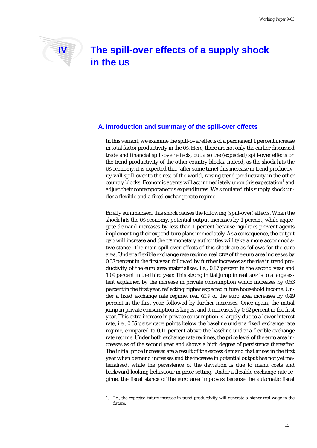## **IV The spill-over effects of a supply shock in the US**

#### **A. Introduction and summary of the spill-over effects**

In this variant, we examine the spill-over effects of a permanent 1 percent increase in total factor productivity in the US. Here, there are not only the earlier discussed trade and financial spill-over effects, but also the (expected) spill-over effects on the trend productivity of the other country blocks. Indeed, as the shock hits the US economy, it is expected that (after some time) this increase in trend productivity will spill-over to the rest of the world, raising trend productivity in the other country blocks. Economic agents will act immediately upon this expectation<sup>1</sup> and adjust their contemporaneous expenditures. We simulated this supply shock under a flexible and a fixed exchange rate regime.

Briefly summarised, this shock causes the following (spill-over) effects. When the shock hits the US economy, potential output increases by 1 percent, while aggregate demand increases by less than 1 percent because rigidities prevent agents implementing their expenditure plans immediately. As a consequence, the output gap will increase and the US monetary authorities will take a more accommodative stance. The main spill-over effects of this shock are as follows for the euro area. Under a flexible exchange rate regime, real GDP of the euro area increases by 0.37 percent in the first year, followed by further increases as the rise in trend productivity of the euro area materialises, i.e., 0.87 percent in the second year and 1.09 percent in the third year. This strong initial jump in real GDP is to a large extent explained by the increase in private consumption which increases by 0.53 percent in the first year, reflecting higher expected future household income. Under a fixed exchange rate regime, real GDP of the euro area increases by 0.49 percent in the first year, followed by further increases. Once again, the initial jump in private consumption is largest and it increases by 0.62 percent in the first year. This extra increase in private consumption is largely due to a lower interest rate, i.e., 0.05 percentage points below the baseline under a fixed exchange rate regime, compared to 0.11 percent above the baseline under a flexible exchange rate regime. Under both exchange rate regimes, the price level of the euro area increases as of the second year and shows a high degree of persistence thereafter. The initial price increases are a result of the excess demand that arises in the first year when demand increases and the increase in potential output has not yet materialised, while the persistence of the deviation is due to menu costs and backward looking behaviour in price setting. Under a flexible exchange rate regime, the fiscal stance of the euro area improves because the automatic fiscal

<sup>1.</sup> I.e., the expected future increase in trend productivity will generate a higher real wage in the future.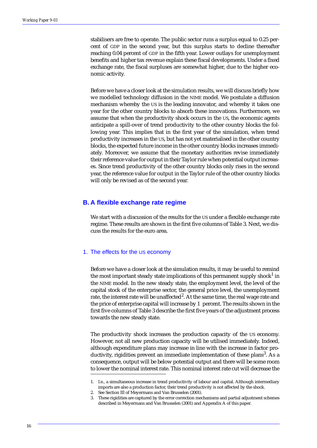stabilisers are free to operate. The public sector runs a surplus equal to 0.25 percent of GDP in the second year, but this surplus starts to decline thereafter reaching 0.04 percent of GDP in the fifth year. Lower outlays for unemployment benefits and higher tax revenue explain these fiscal developments. Under a fixed exchange rate, the fiscal surpluses are somewhat higher, due to the higher economic activity.

Before we have a closer look at the simulation results, we will discuss briefly how we modelled technology diffusion in the NIME model. We postulate a diffusion mechanism whereby the US is the leading innovator, and whereby it takes one year for the other country blocks to absorb these innovations. Furthermore, we assume that when the productivity shock occurs in the US, the economic agents anticipate a spill-over of trend productivity to the other country blocks the following year. This implies that in the first year of the simulation, when trend productivity increases in the US, but has not yet materialised in the other country blocks, the expected future income in the other country blocks increases immediately. Moreover, we assume that the monetary authorities revise immediately their reference value for output in their Taylor rule when potential output increases. Since trend productivity of the other country blocks only rises in the second year, the reference value for output in the Taylor rule of the other country blocks will only be revised as of the second year.

#### **B. A flexible exchange rate regime**

We start with a discussion of the results for the US under a flexible exchange rate regime. These results are shown in the first five columns of Table 3. Next, we discuss the results for the euro area.

#### 1. The effects for the US economy

Before we have a closer look at the simulation results, it may be useful to remind the most important steady state implications of this permanent supply shock $^1$  in the NIME model. In the new steady state, the employment level, the level of the capital stock of the enterprise sector, the general price level, the unemployment rate, the interest rate will be unaffected<sup>2</sup>. At the same time, the real wage rate and the price of enterprise capital will increase by 1 percent. The results shown in the first five columns of Table 3 describe the first five years of the adjustment process towards the new steady state.

The productivity shock increases the production capacity of the US economy. However, not all new production capacity will be utilised immediately. Indeed, although expenditure plans may increase in line with the increase in factor productivity, rigidities prevent an immediate implementation of these plans<sup>3</sup>. As a consequence, output will be below potential output and there will be some room to lower the nominal interest rate. This nominal interest rate cut will decrease the

<sup>1.</sup> I.e., a simultaneous increase in trend productivity of labour and capital. Although intermediary imports are also a production factor, their trend productivity is not affected by the shock.

<sup>2.</sup> See Section III of Meyermans and Van Brusselen (2001).

<sup>3.</sup> These rigidities are captured by the error correction mechanisms and partial adjustment schemes described in Meyermans and Van Brusselen (2001) and Appendix A of this paper.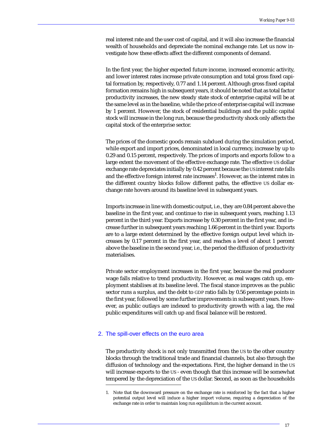real interest rate and the user cost of capital, and it will also increase the financial wealth of households and depreciate the nominal exchange rate. Let us now investigate how these effects affect the different components of demand.

In the first year, the higher expected future income, increased economic activity, and lower interest rates increase private consumption and total gross fixed capital formation by, respectively, 0.77 and 1.14 percent. Although gross fixed capital formation remains high in subsequent years, it should be noted that as total factor productivity increases, the new steady state stock of enterprise capital will be at the same level as in the baseline, while the price of enterprise capital will increase by 1 percent. However, the stock of residential buildings and the public capital stock will increase in the long run, because the productivity shock only affects the capital stock of the enterprise sector.

The prices of the domestic goods remain subdued during the simulation period, while export and import prices, denominated in local currency, increase by up to 0.29 and 0.15 percent, respectively. The prices of imports and exports follow to a large extent the movement of the effective exchange rate. The effective US dollar exchange rate depreciates initially by 0.42 percent because the US interest rate falls and the effective foreign interest rate increases<sup>1</sup>. However, as the interest rates in the different country blocks follow different paths, the effective US dollar exchange rate hovers around its baseline level in subsequent years.

Imports increase in line with domestic output, i.e., they are 0.84 percent above the baseline in the first year, and continue to rise in subsequent years, reaching 1.13 percent in the third year. Exports increase by 0.30 percent in the first year, and increase further in subsequent years reaching 1.66 percent in the third year. Exports are to a large extent determined by the effective foreign output level which increases by 0.17 percent in the first year, and reaches a level of about 1 percent above the baseline in the second year, i.e., the period the diffusion of productivity materialises.

Private sector employment increases in the first year, because the real producer wage falls relative to trend productivity. However, as real wages catch up, employment stabilises at its baseline level. The fiscal stance improves as the public sector runs a surplus, and the debt to GDP ratio falls by 0.56 percentage points in the first year, followed by some further improvements in subsequent years. However, as public outlays are indexed to productivity growth with a lag, the real public expenditures will catch up and fiscal balance will be restored.

#### 2. The spill-over effects on the euro area

The productivity shock is not only transmitted from the US to the other country blocks through the traditional trade and financial channels, but also through the diffusion of technology and the expectations. First, the higher demand in the US will increase exports to the US - even though that this increase will be somewhat tempered by the depreciation of the US dollar. Second, as soon as the households

<sup>1.</sup> Note that the downward pressure on the exchange rate is reinforced by the fact that a higher potential output level will induce a higher import volume, requiring a depreciation of the exchange rate in order to maintain long run equilibrium in the current account.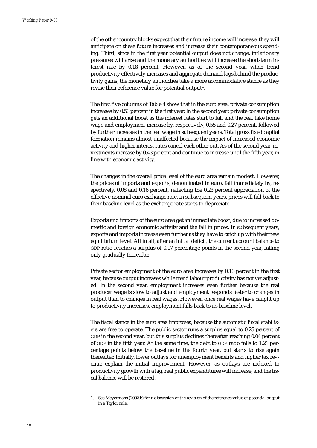of the other country blocks expect that their future income will increase, they will anticipate on these future increases and increase their contemporaneous spending. Third, since in the first year potential output does not change, inflationary pressures will arise and the monetary authorities will increase the short-term interest rate by 0.18 percent. However, as of the second year, when trend productivity effectively increases and aggregate demand lags behind the productivity gains, the monetary authorities take a more accommodative stance as they revise their reference value for potential output<sup>1</sup>.

The first five columns of Table 4 show that in the euro area, private consumption increases by 0.53 percent in the first year. In the second year, private consumption gets an additional boost as the interest rates start to fall and the real take home wage and employment increase by, respectively, 0.55 and 0.27 percent, followed by further increases in the real wage in subsequent years. Total gross fixed capital formation remains almost unaffected because the impact of increased economic activity and higher interest rates cancel each other out. As of the second year, investments increase by 0.43 percent and continue to increase until the fifth year, in line with economic activity.

The changes in the overall price level of the euro area remain modest. However, the prices of imports and exports, denominated in euro, fall immediately by, respectively, 0.08 and 0.16 percent, reflecting the 0.23 percent appreciation of the effective nominal euro exchange rate. In subsequent years, prices will fall back to their baseline level as the exchange rate starts to depreciate.

Exports and imports of the euro area get an immediate boost, due to increased domestic and foreign economic activity and the fall in prices. In subsequent years, exports and imports increase even further as they have to catch up with their new equilibrium level. All in all, after an initial deficit, the current account balance to GDP ratio reaches a surplus of 0.17 percentage points in the second year, falling only gradually thereafter.

Private sector employment of the euro area increases by 0.13 percent in the first year, because output increases while trend labour productivity has not yet adjusted. In the second year, employment increases even further because the real producer wage is slow to adjust and employment responds faster to changes in output than to changes in real wages. However, once real wages have caught up to productivity increases, employment falls back to its baseline level.

The fiscal stance in the euro area improves, because the automatic fiscal stabilisers are free to operate. The public sector runs a surplus equal to 0.25 percent of GDP in the second year, but this surplus declines thereafter reaching 0.04 percent of GDP in the fifth year. At the same time, the debt to GDP ratio falls to 1.21 percentage points below the baseline in the fourth year, but starts to rise again thereafter. Initially, lower outlays for unemployment benefits and higher tax revenue explain the initial improvement. However, as outlays are indexed to productivity growth with a lag, real public expenditures will increase, and the fiscal balance will be restored.

<sup>1.</sup> See Meyermans (2002.b) for a discussion of the revision of the reference value of potential output in a Taylor rule.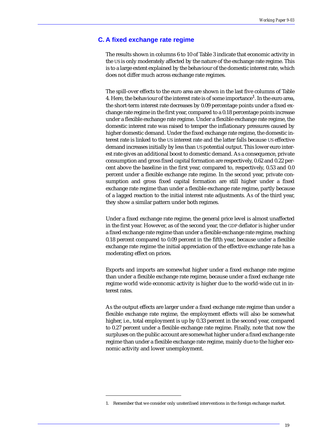#### **C. A fixed exchange rate regime**

The results shown in columns 6 to 10 of Table 3 indicate that economic activity in the US is only moderately affected by the nature of the exchange rate regime. This is to a large extent explained by the behaviour of the domestic interest rate, which does not differ much across exchange rate regimes.

The spill-over effects to the euro area are shown in the last five columns of Table 4. Here, the behaviour of the interest rate is of some importance<sup>1</sup>. In the euro area, the short-term interest rate decreases by 0.09 percentage points under a fixed exchange rate regime in the first year, compared to a 0.18 percentage points increase under a flexible exchange rate regime. Under a flexible exchange rate regime, the domestic interest rate was raised to temper the inflationary pressures caused by higher domestic demand. Under the fixed exchange rate regime, the domestic interest rate is linked to the US interest rate and the latter falls because US effective demand increases initially by less than US potential output. This lower euro interest rate gives an additional boost to domestic demand. As a consequence, private consumption and gross fixed capital formation are respectively, 0.62 and 0.22 percent above the baseline in the first year, compared to, respectively, 0.53 and 0.0 percent under a flexible exchange rate regime. In the second year, private consumption and gross fixed capital formation are still higher under a fixed exchange rate regime than under a flexible exchange rate regime, partly because of a lagged reaction to the initial interest rate adjustments. As of the third year, they show a similar pattern under both regimes.

Under a fixed exchange rate regime, the general price level is almost unaffected in the first year. However, as of the second year, the GDP deflator is higher under a fixed exchange rate regime than under a flexible exchange rate regime, reaching 0.18 percent compared to 0.09 percent in the fifth year, because under a flexible exchange rate regime the initial appreciation of the effective exchange rate has a moderating effect on prices.

Exports and imports are somewhat higher under a fixed exchange rate regime than under a flexible exchange rate regime, because under a fixed exchange rate regime world wide economic activity is higher due to the world-wide cut in interest rates.

As the output effects are larger under a fixed exchange rate regime than under a flexible exchange rate regime, the employment effects will also be somewhat higher, i.e., total employment is up by 0.33 percent in the second year, compared to 0.27 percent under a flexible exchange rate regime. Finally, note that now the surpluses on the public account are somewhat higher under a fixed exchange rate regime than under a flexible exchange rate regime, mainly due to the higher economic activity and lower unemployment.

<sup>1.</sup> Remember that we consider only unsterilised interventions in the foreign exchange market.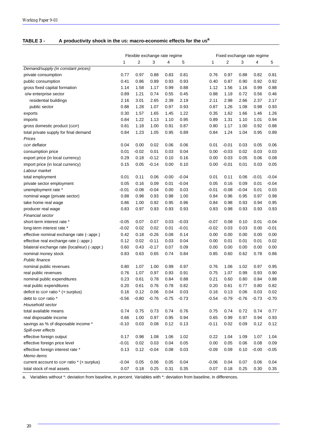#### **TABLE 3 - A productivity shock in the US: macro-economic effects for the USa**

|                                               | Flexible exchange rate regime |         |         |         |         |         | Fixed exchange rate regime |         |         |         |  |  |
|-----------------------------------------------|-------------------------------|---------|---------|---------|---------|---------|----------------------------|---------|---------|---------|--|--|
|                                               | 1                             | 2       | 3       | 4       | 5       | 1       | 2                          | 3       | 4       | 5       |  |  |
| Demand/supply (in constant prices)            |                               |         |         |         |         |         |                            |         |         |         |  |  |
| private consumption                           | 0.77                          | 0.97    | 0.88    | 0.83    | 0.81    | 0.76    | 0.97                       | 0.88    | 0.82    | 0.81    |  |  |
| public consumption                            | 0.41                          | 0.86    | 0.89    | 0.93    | 0.93    | 0.40    | 0.87                       | 0.90    | 0.92    | 0.92    |  |  |
| gross fixed capital formation                 | 1.14                          | 1.58    | 1.17    | 0.99    | 0.88    | 1.12    | 1.56                       | 1.16    | 0.99    | 0.88    |  |  |
| o/w enterprise sector                         | 0.89                          | 1.21    | 0.74    | 0.55    | 0.45    | 0.88    | 1.19                       | 0.72    | 0.56    | 0.46    |  |  |
| residential buildings                         | 2.16                          | 3.01    | 2.65    | 2.39    | 2.19    | 2.11    | 2.98                       | 2.66    | 2.37    | 2.17    |  |  |
| public sector                                 | 0.88                          | 1.28    | 1.07    | 0.97    | 0.93    | 0.87    | 1.26                       | 1.08    | 0.98    | 0.93    |  |  |
| exports                                       | 0.30                          | 1.57    | 1.65    | 1.45    | 1.22    | 0.35    | 1.62                       | 1.66    | 1.46    | 1.26    |  |  |
| imports                                       | 0.84                          | 1.22    | 1.13    | 1.10    | 0.95    | 0.89    | 1.31                       | 1.10    | 1.01    | 0.94    |  |  |
| gross domestic product (GDP)                  | 0.81                          | 1.18    | 1.00    | 0.91    | 0.87    | 0.80    | 1.17                       | 1.00    | 0.92    | 0.88    |  |  |
| total private supply for final demand         | 0.84                          | 1.23    | 1.05    | 0.95    | 0.89    | 0.84    | 1.24                       | 1.04    | 0.95    | 0.89    |  |  |
| Prices                                        |                               |         |         |         |         |         |                            |         |         |         |  |  |
| GDP deflator                                  | 0.04                          | 0.00    | 0.02    | 0.06    | 0.06    | 0.01    | $-0.01$                    | 0.03    | 0.05    | 0.06    |  |  |
| consumption price                             | 0.01                          | $-0.02$ | 0.01    | 0.03    | 0.04    | 0.00    | $-0.03$                    | 0.02    | 0.03    | 0.03    |  |  |
| export price (in local currency)              | 0.29                          | 0.18    | $-0.12$ | 0.10    | 0.16    | 0.00    | 0.03                       | 0.05    | 0.06    | 0.08    |  |  |
| import price (in local currency)              | 0.15                          | 0.05    | $-0.14$ | 0.00    | 0.10    | 0.00    | $-0.01$                    | 0.01    | 0.03    | 0.05    |  |  |
| Labour market                                 |                               |         |         |         |         |         |                            |         |         |         |  |  |
| total employment                              | 0.01                          | 0.11    | 0.06    | $-0.00$ | $-0.04$ | 0.01    | 0.11                       | 0.06    | $-0.01$ | $-0.04$ |  |  |
| private sector employment                     | 0.05                          | 0.16    | 0.09    | 0.01    | $-0.04$ | 0.05    | 0.16                       | 0.09    | 0.01    | $-0.04$ |  |  |
| unemployment rate *                           | $-0.01$                       | $-0.08$ | $-0.04$ | 0.00    | 0.03    | $-0.01$ | $-0.08$                    | $-0.04$ | 0.01    | 0.03    |  |  |
| nominal wage (private sector)                 | 0.88                          | 0.98    | 0.93    | 0.98    | 1.00    | 0.84    | 0.96                       | 0.95    | 0.97    | 0.98    |  |  |
| take home real wage                           | 0.86                          | 1.00    | 0.92    | 0.95    | 0.96    | 0.84    | 0.98                       | 0.93    | 0.94    | 0.95    |  |  |
| producer real wage                            | 0.83                          | 0.97    | 0.93    | 0.93    | 0.93    | 0.83    | 0.98                       | 0.93    | 0.93    | 0.93    |  |  |
| Financial sector                              |                               |         |         |         |         |         |                            |         |         |         |  |  |
| short-term interest rate *                    | $-0.05$                       | 0.07    | 0.07    | 0.03    | $-0.03$ | $-0.07$ | 0.08                       | 0.10    | 0.01    | $-0.04$ |  |  |
| long-term interest rate *                     | $-0.02$                       | 0.02    | 0.02    | 0.01    | $-0.01$ | $-0.02$ | 0.03                       | 0.03    | 0.00    | $-0.01$ |  |  |
| effective nominal exchange rate (-:appr.)     | 0.42                          | 0.18    | $-0.26$ | 0.08    | 0.14    | 0.00    | 0.00                       | 0.00    | 0.00    | 0.00    |  |  |
| effective real exchange rate (-: appr.)       | 0.12                          | 0.02    | $-0.11$ | 0.03    | 0.04    | 0.00    | 0.01                       | 0.01    | 0.01    | 0.02    |  |  |
| bilateral exchange rate (local/eur) (-:appr.) | 0.60                          | 0.43    | $-0.17$ | 0.07    | 0.09    | 0.00    | 0.00                       | 0.00    | 0.00    | 0.00    |  |  |
| nominal money stock                           | 0.83                          | 0.63    | 0.65    | 0.74    | 0.84    | 0.85    | 0.60                       | 0.62    | 0.78    | 0.86    |  |  |
| Public finance                                |                               |         |         |         |         |         |                            |         |         |         |  |  |
| nominal public revenues                       | 0.80                          | 1.07    | 1.00    | 0.99    | 0.97    | 0.76    | 1.06                       | 1.02    | 0.97    | 0.95    |  |  |
| real public revenues                          | 0.76                          | 1.07    | 0.97    | 0.93    | 0.91    | 0.75    | 1.07                       | 0.99    | 0.93    | 0.90    |  |  |
| nominal public expenditures                   | 0.23                          | 0.61    | 0.78    | 0.84    | 0.88    | 0.21    | 0.60                       | 0.80    | 0.84    | 0.88    |  |  |
| real public expenditures                      | 0.20                          | 0.61    | 0.76    | 0.78    | 0.82    | 0.20    | 0.61                       | 0.77    | 0.80    | 0.82    |  |  |
| deficit to GDP ratio * (+:surplus)            | 0.16                          | 0.12    | 0.06    | 0.04    | 0.03    | 0.16    | 0.13                       | 0.06    | 0.03    | 0.02    |  |  |
| debt to GDP ratio *                           | $-0.56$                       | $-0.80$ | $-0.76$ | $-0.75$ | $-0.73$ | $-0.54$ | $-0.79$                    | $-0.76$ | $-0.73$ | $-0.70$ |  |  |
| Household sector                              |                               |         |         |         |         |         |                            |         |         |         |  |  |
| total available means                         | 0.74                          | 0.75    | 0.73    | 0.74    | 0.76    | 0.75    | 0.74                       | 0.72    | 0.74    | 0.77    |  |  |
| real disposable income                        | 0.66                          | 1.00    | 0.97    | 0.95    | 0.94    | 0.65    | 0.99                       | 0.97    | 0.94    | 0.93    |  |  |
| savings as % of disposable income *           | $-0.10$                       | 0.03    | 0.08    | 0.12    | 0.13    | $-0.11$ | 0.02                       | 0.09    | 0.12    | 0.12    |  |  |
| Spill-over effects                            |                               |         |         |         |         |         |                            |         |         |         |  |  |
| effective foreign output                      | 0.17                          | 0.98    | 1.08    | 1.06    | 1.02    | 0.22    | 1.04                       | 1.09    | 1.07    | 1.04    |  |  |
| effective foreign price level                 | $-0.01$                       | 0.02    | 0.03    | 0.04    | 0.05    | 0.00    | 0.05                       | 0.06    | 0.08    | 0.09    |  |  |
| effective foreign interest rate *             | 0.13                          | 0.12    | $-0.04$ | 0.08    | 0.03    | $-0.09$ | 0.09                       | 0.10    | $-0.00$ | $-0.05$ |  |  |
| Memo items                                    |                               |         |         |         |         |         |                            |         |         |         |  |  |
| current account to GDP ratio * (+:surplus)    | $-0.04$                       | 0.05    | 0.06    | 0.05    | 0.04    | $-0.06$ | 0.04                       | 0.07    | 0.06    | 0.04    |  |  |
| total stock of real assets                    | 0.07                          | 0.18    | 0.25    | 0.31    | 0.35    | 0.07    | 0.18                       | 0.25    | 0.30    | 0.35    |  |  |

a. Variables without \*: deviation from baseline, in percent. Variables with \*: deviation from baseline, in differences.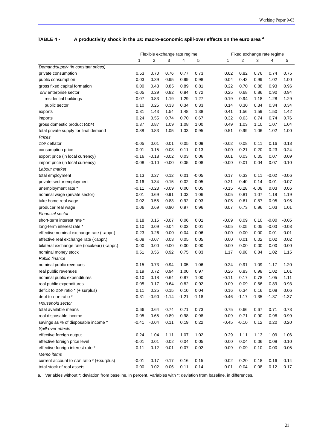#### **TABLE 4 - A productivity shock in the US: macro-economic spill-over effects on the euro area a**

|                                               |         |         | Flexible exchange rate regime |         |         | Fixed exchange rate regime |         |         |         |         |
|-----------------------------------------------|---------|---------|-------------------------------|---------|---------|----------------------------|---------|---------|---------|---------|
|                                               | 1       | 2       | 3                             | 4       | 5       | 1                          | 2       | 3       | 4       | 5       |
| Demand/supply (in constant prices)            |         |         |                               |         |         |                            |         |         |         |         |
| private consumption                           | 0.53    | 0.70    | 0.76                          | 0.77    | 0.73    | 0.62                       | 0.82    | 0.76    | 0.74    | 0.75    |
| public consumption                            | 0.03    | 0.39    | 0.95                          | 0.99    | 0.98    | 0.04                       | 0.42    | 0.99    | 1.02    | 1.00    |
| gross fixed capital formation                 | 0.00    | 0.43    | 0.85                          | 0.89    | 0.81    | 0.22                       | 0.70    | 0.88    | 0.93    | 0.96    |
| o/w enterprise sector                         | $-0.05$ | 0.29    | 0.82                          | 0.84    | 0.72    | 0.25                       | 0.68    | 0.86    | 0.90    | 0.94    |
| residential buildings                         | 0.07    | 0.83    | 1.19                          | 1.29    | 1.27    | 0.19                       | 0.94    | 1.18    | 1.28    | 1.29    |
| public sector                                 | 0.10    | 0.25    | 0.33                          | 0.34    | 0.33    | 0.14                       | 0.30    | 0.34    | 0.34    | 0.34    |
| exports                                       | 0.31    | 1.43    | 1.54                          | 1.48    | 1.38    | 0.41                       | 1.56    | 1.59    | 1.50    | 1.42    |
| imports                                       | 0.24    | 0.55    | 0.74                          | 0.70    | 0.67    | 0.32                       | 0.63    | 0.74    | 0.74    | 0.76    |
| gross domestic product (GDP)                  | 0.37    | 0.87    | 1.09                          | 1.08    | 1.00    | 0.49                       | 1.03    | 1.10    | 1.07    | 1.04    |
| total private supply for final demand         | 0.38    | 0.83    | 1.05                          | 1.03    | 0.95    | 0.51                       | 0.99    | 1.06    | 1.02    | 1.00    |
| Prices                                        |         |         |                               |         |         |                            |         |         |         |         |
| GDP deflator                                  | $-0.05$ | 0.01    | 0.01                          | 0.05    | 0.09    | $-0.02$                    | 0.08    | 0.11    | 0.16    | 0.18    |
| consumption price                             | $-0.01$ | 0.15    | 0.08                          | 0.11    | 0.13    | $-0.00$                    | 0.21    | 0.20    | 0.23    | 0.24    |
| export price (in local currency)              | $-0.16$ | $-0.18$ | $-0.02$                       | 0.03    | 0.06    | 0.01                       | 0.03    | 0.05    | 0.07    | 0.09    |
| import price (in local currency)              | $-0.08$ | $-0.10$ | $-0.00$                       | 0.05    | 0.08    | $-0.00$                    | 0.01    | 0.04    | 0.07    | 0.10    |
| Labour market                                 |         |         |                               |         |         |                            |         |         |         |         |
| total employment                              | 0.13    | 0.27    | 0.12                          | 0.01    | $-0.05$ | 0.17                       | 0.33    | 0.11    | $-0.02$ | $-0.06$ |
| private sector employment                     | 0.16    | 0.34    | 0.15                          | 0.02    | $-0.05$ | 0.21                       | 0.40    | 0.14    | $-0.01$ | $-0.07$ |
| unemployment rate *                           | $-0.11$ | $-0.23$ | $-0.09$                       | 0.00    | 0.05    | $-0.15$                    | $-0.28$ | $-0.08$ | 0.03    | 0.06    |
| nominal wage (private sector)                 | 0.01    | 0.69    | 0.91                          | 1.03    | 1.06    | 0.05                       | 0.81    | 1.07    | 1.18    | 1.19    |
| take home real wage                           | 0.02    | 0.55    | 0.83                          | 0.92    | 0.93    | 0.05                       | 0.61    | 0.87    | 0.95    | 0.95    |
| producer real wage                            | 0.06    | 0.69    | 0.90                          | 0.97    | 0.96    | 0.07                       | 0.73    | 0.96    | 1.03    | 1.01    |
| Financial sector                              |         |         |                               |         |         |                            |         |         |         |         |
| short-term interest rate *                    | 0.18    | 0.15    | $-0.07$                       | 0.06    | 0.01    | $-0.09$                    | 0.09    | 0.10    | $-0.00$ | $-0.05$ |
| long-term interest rate *                     | 0.10    | 0.09    | $-0.04$                       | 0.03    | 0.01    | $-0.05$                    | 0.05    | 0.05    | $-0.00$ | $-0.03$ |
| effective nominal exchange rate (-: appr.)    | $-0.23$ | $-0.26$ | $-0.00$                       | 0.04    | 0.06    | 0.00                       | 0.00    | 0.00    | 0.01    | 0.01    |
| effective real exchange rate (-: appr.)       | $-0.08$ | $-0.07$ | 0.03                          | 0.05    | 0.05    | 0.00                       | 0.01    | 0.02    | 0.02    | 0.02    |
| bilateral exchange rate (local/eur) (-:appr.) | 0.00    | 0.00    | 0.00                          | 0.00    | 0.00    | 0.00                       | 0.00    | 0.00    | 0.00    | 0.00    |
| nominal money stock                           | 0.51    | 0.56    | 0.92                          | 0.75    | 0.83    | 1.17                       | 0.98    | 0.84    | 1.02    | 1.15    |
| Public finance                                |         |         |                               |         |         |                            |         |         |         |         |
| nominal public revenues                       | 0.15    | 0.73    | 0.94                          | 1.05    | 1.06    | 0.24                       | 0.91    | 1.09    | 1.17    | 1.20    |
| real public revenues                          | 0.19    | 0.72    | 0.94                          | 1.00    | 0.97    | 0.26                       | 0.83    | 0.98    | 1.02    | 1.01    |
| nominal public expenditures                   | $-0.10$ | 0.18    | 0.64                          | 0.87    | 1.00    | $-0.11$                    | 0.17    | 0.78    | 1.05    | 1.11    |
| real public expenditures                      | $-0.05$ | 0.17    | 0.64                          | 0.82    | 0.92    | $-0.09$                    | 0.09    | 0.66    | 0.89    | 0.93    |
| deficit to GDP ratio * (+:surplus)            | 0.11    | 0.25    | 0.15                          | 0.10    | 0.04    | 0.16                       | 0.34    | 0.16    | 0.08    | 0.06    |
| debt to GDP ratio *                           | $-0.31$ | $-0.90$ | $-1.14$                       | $-1.21$ | $-1.18$ | $-0.46$                    | $-1.17$ | $-1.35$ | $-1.37$ | $-1.37$ |
| Household sector                              |         |         |                               |         |         |                            |         |         |         |         |
| total available means                         | 0.66    | 0.64    | 0.74                          | 0.71    | 0.73    | 0.75                       | 0.66    | 0.67    | 0.71    | 0.73    |
| real disposable income                        | 0.05    | 0.65    | 0.89                          | 0.98    | 0.98    | 0.09                       | 0.71    | 0.90    | 0.98    | 0.99    |
| savings as % of disposable income *           | $-0.41$ | $-0.04$ | 0.11                          | 0.19    | 0.22    | $-0.45$                    | $-0.10$ | 0.12    | 0.20    | 0.20    |
| Spill-over effects                            |         |         |                               |         |         |                            |         |         |         |         |
| effective foreign output                      | 0.24    | 1.04    | 1.11                          | 1.07    | 1.02    | 0.29                       | 1.11    | 1.13    | 1.09    | 1.06    |
| effective foreign price level                 | $-0.01$ | 0.01    | 0.02                          | 0.04    | 0.05    | 0.00                       | 0.04    | 0.06    | 0.08    | 0.10    |
| effective foreign interest rate *             | 0.11    | 0.12    | $-0.01$                       | 0.07    | 0.02    | $-0.09$                    | 0.09    | 0.10    | $-0.00$ | $-0.05$ |
| Memo items                                    |         |         |                               |         |         |                            |         |         |         |         |
| current account to GDP ratio * (+:surplus)    | $-0.01$ | 0.17    | 0.17                          | 0.16    | 0.15    | 0.02                       | 0.20    | 0.18    | 0.16    | 0.14    |
| total stock of real assets                    | 0.00    | 0.02    | 0.06                          | 0.11    | 0.14    | 0.01                       | 0.04    | 0.08    | 0.12    | 0.17    |

a. Variables without \*: deviation from baseline, in percent. Variables with \*: deviation from baseline, in differences.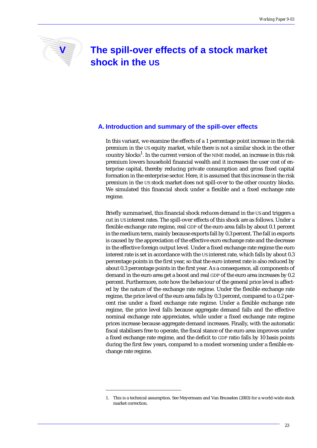

## **V The spill-over effects of a stock market shock in the US**

#### **A. Introduction and summary of the spill-over effects**

In this variant, we examine the effects of a 1 percentage point increase in the risk premium in the US equity market, while there is not a similar shock in the other country blocks<sup>1</sup>. In the current version of the NIME model, an increase in this risk premium lowers household financial wealth and it increases the user cost of enterprise capital, thereby reducing private consumption and gross fixed capital formation in the enterprise sector. Here, it is assumed that this increase in the risk premium in the US stock market does not spill-over to the other country blocks. We simulated this financial shock under a flexible and a fixed exchange rate regime.

Briefly summarised, this financial shock reduces demand in the US and triggers a cut in US interest rates. The spill-over effects of this shock are as follows. Under a flexible exchange rate regime, real GDP of the euro area falls by about 0.1 percent in the medium term, mainly because exports fall by 0.3 percent. The fall in exports is caused by the appreciation of the effective euro exchange rate and the decrease in the effective foreign output level. Under a fixed exchange rate regime the euro interest rate is set in accordance with the US interest rate, which falls by about 0.3 percentage points in the first year, so that the euro interest rate is also reduced by about 0.3 percentage points in the first year. As a consequence, all components of demand in the euro area get a boost and real GDP of the euro area increases by 0.2 percent. Furthermore, note how the behaviour of the general price level is affected by the nature of the exchange rate regime. Under the flexible exchange rate regime, the price level of the euro area falls by 0.3 percent, compared to a 0.2 percent rise under a fixed exchange rate regime. Under a flexible exchange rate regime, the price level falls because aggregate demand falls and the effective nominal exchange rate appreciates, while under a fixed exchange rate regime prices increase because aggregate demand increases. Finally, with the automatic fiscal stabilisers free to operate, the fiscal stance of the euro area improves under a fixed exchange rate regime, and the deficit to GDP ratio falls by 10 basis points during the first few years, compared to a modest worsening under a flexible exchange rate regime.

<sup>1.</sup> This is a technical assumption. See Meyermans and Van Brusselen (2003) for a world-wide stock market correction.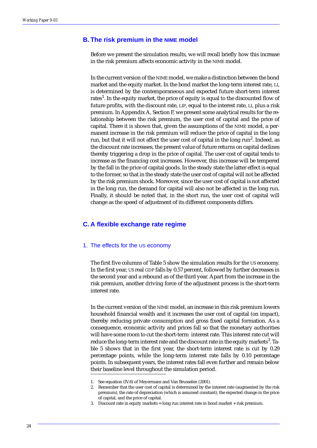#### **B. The risk premium in the NIME model**

Before we present the simulation results, we will recall briefly how this increase in the risk premium affects economic activity in the NIME model.

In the current version of the NIME model, we make a distinction between the bond market and the equity market. In the bond market the long-term interest rate, LI, is determined by the contemporaneous and expected future short-term interest rates<sup>1</sup>. In the equity market, the price of equity is equal to the discounted flow of future profits, with the discount rate, LIP, equal to the interest rate, LI, plus a risk premium. In Appendix A, Section F, we present some analytical results for the relationship between the risk premium, the user cost of capital and the price of capital. There it is shown that, given the assumptions of the NIME model, a permanent increase in the risk premium will reduce the price of capital in the long run, but that it will not affect the user cost of capital in the long run<sup>2</sup>. Indeed, as the discount rate increases, the present value of future returns on capital declines thereby triggering a drop in the price of capital. The user cost of capital tends to increase as the financing cost increases. However, this increase will be tempered by the fall in the price of capital goods. In the steady state the latter effect is equal to the former, so that in the steady state the user cost of capital will not be affected by the risk premium shock. Moreover, since the user cost of capital is not affected in the long run, the demand for capital will also not be affected in the long run. Finally, it should be noted that, in the short run, the user cost of capital will change as the speed of adjustment of its different components differs.

#### **C. A flexible exchange rate regime**

#### 1. The effects for the US economy

The first five columns of Table 5 show the simulation results for the US economy. In the first year, US real GDP falls by 0.57 percent, followed by further decreases in the second year and a rebound as of the third year. Apart from the increase in the risk premium, another driving force of the adjustment process is the short-term interest rate.

In the current version of the NIME model, an increase in this risk premium lowers household financial wealth and it increases the user cost of capital (on impact), thereby reducing private consumption and gross fixed capital formation. As a consequence, economic activity and prices fall so that the monetary authorities will have some room to cut the short-term interest rate. This interest rate cut will reduce the long-term interest rate and the discount rate in the equity markets<sup>3</sup>. Table 5 shows that in the first year, the short-term interest rate is cut by 0.29 percentage points, while the long-term interest rate falls by 0.10 percentage points. In subsequent years, the interest rates fall even further and remain below their baseline level throughout the simulation period.

<sup>1.</sup> See equation (IV.6) of Meyermans and Van Brusselen (2001).

<sup>2.</sup> Remember that the user cost of capital is determined by the interest rate (augmented by the risk premium), the rate of depreciation (which is assumed constant), the expected change in the price of capital, and the price of capital.

<sup>3.</sup> Discount rate in equity markets = long run interest rate in bond market + risk premium.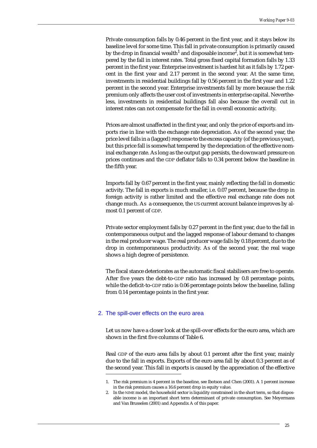Private consumption falls by 0.46 percent in the first year, and it stays below its baseline level for some time. This fall in private consumption is primarily caused by the drop in financial wealth $^{\rm 1}$  and disposable income $^{\rm 2}$ , but it is somewhat tempered by the fall in interest rates. Total gross fixed capital formation falls by 1.33 percent in the first year. Enterprise investment is hardest hit as it falls by 1.72 percent in the first year and 2.17 percent in the second year. At the same time, investments in residential buildings fall by 0.56 percent in the first year and 1.22 percent in the second year. Enterprise investments fall by more because the risk premium only affects the user cost of investments in enterprise capital. Nevertheless, investments in residential buildings fall also because the overall cut in interest rates can not compensate for the fall in overall economic activity.

Prices are almost unaffected in the first year, and only the price of exports and imports rise in line with the exchange rate depreciation. As of the second year, the price level falls in a (lagged) response to the excess capacity (of the previous year), but this price fall is somewhat tempered by the depreciation of the effective nominal exchange rate. As long as the output gap persists, the downward pressure on prices continues and the GDP deflator falls to 0.34 percent below the baseline in the fifth year.

Imports fall by 0.67 percent in the first year, mainly reflecting the fall in domestic activity. The fall in exports is much smaller, i.e. 0.07 percent, because the drop in foreign activity is rather limited and the effective real exchange rate does not change much. As a consequence, the US current account balance improves by almost 0.1 percent of GDP.

Private sector employment falls by 0.27 percent in the first year, due to the fall in contemporaneous output and the lagged response of labour demand to changes in the real producer wage. The real producer wage falls by 0.18 percent, due to the drop in contemporaneous productivity. As of the second year, the real wage shows a high degree of persistence.

The fiscal stance deteriorates as the automatic fiscal stabilisers are free to operate. After five years the debt-to-GDP ratio has increased by 0.8 percentage points, while the deficit-to-GDP ratio is 0.06 percentage points below the baseline, falling from 0.14 percentage points in the first year.

#### 2. The spill-over effects on the euro area

Let us now have a closer look at the spill-over effects for the euro area, which are shown in the first five columns of Table 6.

Real GDP of the euro area falls by about 0.1 percent after the first year, mainly due to the fall in exports. Exports of the euro area fall by about 0.3 percent as of the second year. This fall in exports is caused by the appreciation of the effective

<sup>1.</sup> The risk premium is 4 percent in the baseline, see Ibotson and Chen (2001). A 1 percent increase in the risk premium causes a 16.6 percent drop in equity value.

In the NIME model, the household sector is liquidity constrained in the short term, so that disposable income is an important short term determinant of private consumption. See Meyermans and Van Brusselen (2001) and Appendix A of this paper.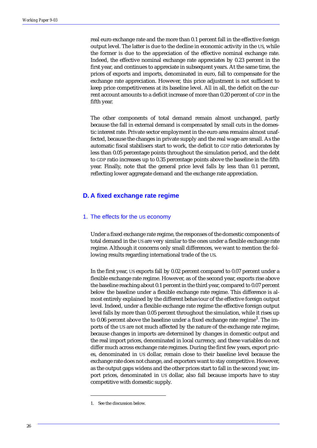real euro exchange rate and the more than 0.1 percent fall in the effective foreign output level. The latter is due to the decline in economic activity in the US, while the former is due to the appreciation of the effective nominal exchange rate. Indeed, the effective nominal exchange rate appreciates by 0.23 percent in the first year, and continues to appreciate in subsequent years. At the same time, the prices of exports and imports, denominated in euro, fall to compensate for the exchange rate appreciation. However, this price adjustment is not sufficient to keep price competitiveness at its baseline level. All in all, the deficit on the current account amounts to a deficit increase of more than 0.20 percent of GDP in the fifth year.

The other components of total demand remain almost unchanged, partly because the fall in external demand is compensated by small cuts in the domestic interest rate. Private sector employment in the euro area remains almost unaffected, because the changes in private supply and the real wage are small. As the automatic fiscal stabilisers start to work, the deficit to GDP ratio deteriorates by less than 0.05 percentage points throughout the simulation period, and the debt to GDP ratio increases up to 0.35 percentage points above the baseline in the fifth year. Finally, note that the general price level falls by less than 0.1 percent, reflecting lower aggregate demand and the exchange rate appreciation.

#### **D. A fixed exchange rate regime**

#### 1. The effects for the US economy

Under a fixed exchange rate regime, the responses of the domestic components of total demand in the US are very similar to the ones under a flexible exchange rate regime. Although it concerns only small differences, we want to mention the following results regarding international trade of the US.

In the first year, US exports fall by 0.02 percent compared to 0.07 percent under a flexible exchange rate regime. However, as of the second year, exports rise above the baseline reaching about 0.1 percent in the third year, compared to 0.07 percent below the baseline under a flexible exchange rate regime. This difference is almost entirely explained by the different behaviour of the effective foreign output level. Indeed, under a flexible exchange rate regime the effective foreign output level falls by more than 0.05 percent throughout the simulation, while it rises up to 0.06 percent above the baseline under a fixed exchange rate regime<sup>1</sup>. The imports of the US are not much affected by the nature of the exchange rate regime, because changes in imports are determined by changes in domestic output and the real import prices, denominated in local currency, and these variables do not differ much across exchange rate regimes. During the first few years, export prices, denominated in US dollar, remain close to their baseline level because the exchange rate does not change, and exporters want to stay competitive. However, as the output gaps widens and the other prices start to fall in the second year, import prices, denominated in US dollar, also fall because imports have to stay competitive with domestic supply.

<sup>1.</sup> See the discussion below.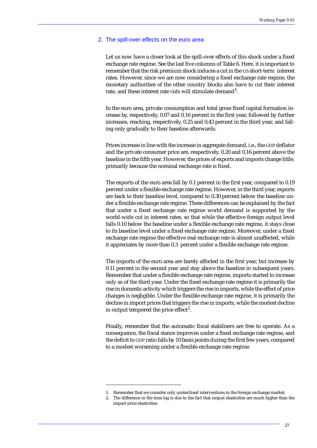#### 2. The spill-over effects on the euro area

Let us now have a closer look at the spill-over effects of this shock under a fixed exchange rate regime. See the last five columns of Table 6. Here, it is important to remember that the risk premium shock induces a cut in the US short-term interest rates. However, since we are now considering a fixed exchange rate regime, the monetary authorities of the other country blocks also have to cut their interest rate, and these interest rate cuts will stimulate demand<sup>1</sup>.

In the euro area, private consumption and total gross fixed capital formation increase by, respectively, 0.07 and 0.16 percent in the first year, followed by further increases, reaching, respectively, 0.25 and 0.43 percent in the third year, and falling only gradually to their baseline afterwards.

Prices increase in line with the increase in aggregate demand, i.e., the GDP deflator and the private consumer price are, respectively, 0.20 and 0.16 percent above the baseline in the fifth year. However, the prices of exports and imports change little, primarily because the nominal exchange rate is fixed.

The exports of the euro area fall by 0.1 percent in the first year, compared to 0.19 percent under a flexible exchange rate regime. However, in the third year, exports are back to their baseline level, compared to 0.30 percent below the baseline under a flexible exchange rate regime. These differences can be explained by the fact that under a fixed exchange rate regime world demand is supported by the world-wide cut in interest rates, so that while the effective foreign output level falls 0.10 below the baseline under a flexible exchange rate regime, it stays close to its baseline level under a fixed exchange rate regime. Moreover, under a fixed exchange rate regime the effective real exchange rate is almost unaffected, while it appreciates by more than 0.3 percent under a flexible exchange rate regime.

The imports of the euro area are barely affected in the first year, but increase by 0.11 percent in the second year and stay above the baseline in subsequent years. Remember that under a flexible exchange rate regime, imports started to increase only as of the third year. Under the fixed exchange rate regime it is primarily the rise in domestic activity which triggers the rise in imports, while the effect of price changes is negligible. Under the flexible exchange rate regime, it is primarily the decline in import prices that triggers the rise in imports, while the modest decline in output tempered the price effect<sup>2</sup>.

Finally, remember that the automatic fiscal stabilisers are free to operate. As a consequence, the fiscal stance improves under a fixed exchange rate regime, and the deficit to GDP ratio falls by 10 basis points during the first few years, compared to a modest worsening under a flexible exchange rate regime.

<sup>1.</sup> Remember that we consider only unsterilised interventions in the foreign exchange market.

<sup>2.</sup> The difference in the time lag is due to the fact that output elasticities are much higher than the impact price elasticities.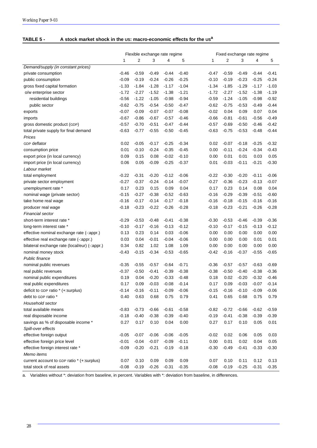#### **TABLE 5 - A stock market shock in the US: macro-economic effects for the USa**

|                                                | Flexible exchange rate regime |                |         |         |         | Fixed exchange rate regime |                |         |         |         |
|------------------------------------------------|-------------------------------|----------------|---------|---------|---------|----------------------------|----------------|---------|---------|---------|
|                                                | 1                             | $\overline{2}$ | 3       | 4       | 5       | 1                          | $\overline{2}$ | 3       | 4       | 5       |
| Demand/supply (in constant prices)             |                               |                |         |         |         |                            |                |         |         |         |
| private consumption                            | $-0.46$                       | $-0.59$        | $-0.49$ | $-0.44$ | $-0.40$ | $-0.47$                    | $-0.59$        | $-0.49$ | $-0.44$ | $-0.41$ |
| public consumption                             | $-0.09$                       | $-0.19$        | $-0.24$ | $-0.26$ | $-0.25$ | $-0.10$                    | $-0.19$        | $-0.23$ | $-0.25$ | $-0.24$ |
| gross fixed capital formation                  | $-1.33$                       | $-1.84$        | $-1.28$ | $-1.17$ | $-1.04$ | $-1.34$                    | $-1.85$        | $-1.29$ | $-1.17$ | $-1.03$ |
| o/w enterprise sector                          | $-1.72$                       | $-2.27$        | $-1.52$ | $-1.38$ | $-1.21$ | $-1.72$                    | $-2.27$        | $-1.52$ | $-1.38$ | $-1.19$ |
| residential buildings                          | $-0.56$                       | $-1.22$        | $-1.05$ | $-0.98$ | $-0.94$ | $-0.59$                    | $-1.24$        | $-1.05$ | $-0.98$ | $-0.92$ |
| public sector                                  | $-0.62$                       | $-0.75$        | $-0.54$ | $-0.50$ | $-0.47$ | $-0.62$                    | $-0.75$        | $-0.53$ | $-0.49$ | $-0.44$ |
| exports                                        | $-0.07$                       | $-0.09$        | $-0.07$ | $-0.07$ | $-0.08$ | $-0.02$                    | 0.04           | 0.09    | 0.07    | 0.04    |
| imports                                        | $-0.67$                       | $-0.86$        | $-0.67$ | $-0.57$ | $-0.46$ | $-0.66$                    | $-0.81$        | $-0.61$ | $-0.56$ | $-0.49$ |
| gross domestic product (GDP)                   | $-0.57$                       | $-0.70$        | $-0.51$ | $-0.47$ | $-0.44$ | $-0.57$                    | $-0.69$        | $-0.50$ | $-0.46$ | $-0.42$ |
| total private supply for final demand          | $-0.63$                       | $-0.77$        | $-0.55$ | $-0.50$ | $-0.45$ | $-0.63$                    | $-0.75$        | $-0.53$ | $-0.48$ | $-0.44$ |
| Prices                                         |                               |                |         |         |         |                            |                |         |         |         |
| GDP deflator                                   | 0.02                          | $-0.05$        | $-0.17$ | $-0.25$ | $-0.34$ | 0.02                       | $-0.07$        | $-0.18$ | $-0.25$ | $-0.32$ |
| consumption price                              | 0.01                          | $-0.10$        | $-0.24$ | $-0.35$ | $-0.45$ | 0.00                       | $-0.11$        | $-0.24$ | $-0.34$ | $-0.43$ |
| export price (in local currency)               | 0.09                          | 0.15           | 0.08    | $-0.02$ | $-0.10$ | 0.00                       | 0.01           | 0.01    | 0.03    | 0.05    |
| import price (in local currency)               | 0.06                          | 0.05           | $-0.09$ | $-0.25$ | $-0.37$ | 0.01                       | $-0.03$        | $-0.11$ | $-0.21$ | $-0.30$ |
| Labour market                                  |                               |                |         |         |         |                            |                |         |         |         |
| total employment                               | $-0.22$                       | $-0.31$        | $-0.20$ | $-0.12$ | $-0.06$ | $-0.22$                    | $-0.30$        | $-0.20$ | $-0.11$ | $-0.06$ |
| private sector employment                      | $-0.27$                       | $-0.37$        | $-0.24$ | $-0.14$ | $-0.07$ | $-0.27$                    | $-0.36$        | $-0.23$ | $-0.13$ | $-0.07$ |
| unemployment rate *                            | 0.17                          | 0.23           | 0.15    | 0.09    | 0.04    | 0.17                       | 0.23           | 0.14    | 0.08    | 0.04    |
| nominal wage (private sector)                  | $-0.15$                       | $-0.27$        | $-0.38$ | $-0.52$ | $-0.63$ | $-0.16$                    | $-0.29$        | $-0.39$ | $-0.51$ | $-0.60$ |
| take home real wage                            | $-0.16$                       | $-0.17$        | $-0.14$ | $-0.17$ | $-0.18$ | $-0.16$                    | $-0.18$        | $-0.15$ | $-0.16$ | $-0.16$ |
| producer real wage                             | $-0.18$                       | $-0.23$        | $-0.22$ | $-0.26$ | $-0.28$ | $-0.18$                    | $-0.23$        | $-0.21$ | $-0.26$ | $-0.28$ |
| Financial sector                               |                               |                |         |         |         |                            |                |         |         |         |
| short-term interest rate *                     | $-0.29$                       | $-0.53$        | $-0.48$ | $-0.41$ | $-0.38$ | $-0.30$                    | $-0.53$        | $-0.46$ | $-0.39$ | $-0.36$ |
| long-term interest rate *                      | $-0.10$                       | $-0.17$        | $-0.16$ | $-0.13$ | $-0.12$ | $-0.10$                    | $-0.17$        | $-0.15$ | $-0.13$ | $-0.12$ |
| effective nominal exchange rate (-:appr.)      | 0.13                          | 0.23           | 0.14    | 0.03    | $-0.06$ | 0.00                       | 0.00           | 0.00    | 0.00    | 0.00    |
| effective real exchange rate (-: appr.)        | 0.03                          | 0.04           | $-0.01$ | $-0.04$ | $-0.06$ | 0.00                       | 0.00           | 0.00    | 0.01    | 0.01    |
| bilateral exchange rate (local/eur) (-: appr.) | 0.34                          | 0.82           | 1.02    | 1.08    | 1.09    | 0.00                       | 0.00           | 0.00    | 0.00    | 0.00    |
| nominal money stock                            | $-0.43$                       | $-0.15$        | $-0.34$ | $-0.53$ | $-0.65$ | $-0.42$                    | $-0.16$        | $-0.37$ | $-0.55$ | $-0.65$ |
| Public finance                                 |                               |                |         |         |         |                            |                |         |         |         |
| nominal public revenues                        | $-0.35$                       | $-0.55$        | $-0.57$ | $-0.64$ | $-0.71$ | $-0.36$                    | $-0.57$        | $-0.57$ | $-0.63$ | $-0.69$ |
| real public revenues                           | $-0.37$                       | $-0.50$        | $-0.41$ | $-0.39$ | $-0.38$ | $-0.38$                    | $-0.50$        | $-0.40$ | $-0.38$ | $-0.36$ |
| nominal public expenditures                    | 0.19                          | 0.04           | $-0.20$ | $-0.33$ | $-0.48$ | 0.18                       | 0.02           | $-0.20$ | $-0.32$ | $-0.46$ |
| real public expenditures                       | 0.17                          | 0.09           | $-0.03$ | $-0.08$ | $-0.14$ | 0.17                       | 0.09           | $-0.03$ | $-0.07$ | $-0.14$ |
| deficit to GDP ratio * (+:surplus)             | $-0.14$                       | $-0.16$        | $-0.11$ | $-0.09$ | $-0.06$ | $-0.15$                    | $-0.16$        | $-0.10$ | $-0.09$ | $-0.06$ |
| debt to GDP ratio *                            | 0.40                          | 0.63           | 0.68    | 0.75    | 0.79    | 0.41                       | 0.65           | 0.68    | 0.75    | 0.79    |
| Household sector                               |                               |                |         |         |         |                            |                |         |         |         |
| total available means                          | $-0.83$                       | $-0.73$        | $-0.66$ | $-0.61$ | $-0.58$ | $-0.82$                    | $-0.72$        | $-0.66$ | $-0.62$ | $-0.59$ |
| real disposable income                         | $-0.18$                       | $-0.40$        | $-0.38$ | $-0.39$ | $-0.40$ | $-0.19$                    | $-0.41$        | $-0.38$ | $-0.39$ | $-0.39$ |
| savings as % of disposable income *            | 0.27                          | 0.17           | 0.10    | 0.04    | 0.00    | 0.27                       | 0.17           | 0.10    | 0.05    | 0.01    |
| Spill-over effects                             |                               |                |         |         |         |                            |                |         |         |         |
| effective foreign output                       | $-0.05$                       | $-0.07$        | $-0.06$ | $-0.06$ | $-0.05$ | $-0.02$                    | 0.02           | 0.06    | 0.05    | 0.03    |
| effective foreign price level                  | $-0.01$                       | $-0.04$        | $-0.07$ | $-0.09$ | $-0.11$ | 0.00                       | 0.01           | 0.02    | 0.04    | 0.05    |
| effective foreign interest rate *              | $-0.09$                       | $-0.20$        | $-0.21$ | $-0.19$ | $-0.18$ | $-0.30$                    | $-0.49$        | $-0.41$ | $-0.33$ | $-0.30$ |
| Memo items                                     |                               |                |         |         |         |                            |                |         |         |         |
| current account to GDP ratio * (+:surplus)     | 0.07                          | 0.10           | 0.09    | 0.09    | 0.09    | 0.07                       | 0.10           | 0.11    | 0.12    | 0.13    |
| total stock of real assets                     | $-0.08$                       | $-0.19$        | $-0.26$ | $-0.31$ | $-0.35$ | $-0.08$                    | $-0.19$        | $-0.25$ | $-0.31$ | $-0.35$ |

a. Variables without \*: deviation from baseline, in percent. Variables with \*: deviation from baseline, in differences.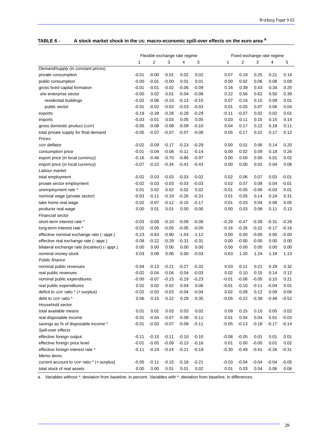|                                                | Flexible exchange rate regime |                |                    |                    |                    |                 | Fixed exchange rate regime |                 |         |              |
|------------------------------------------------|-------------------------------|----------------|--------------------|--------------------|--------------------|-----------------|----------------------------|-----------------|---------|--------------|
|                                                | 1                             | $\overline{2}$ | 3                  | 4                  | 5                  | 1               | 2                          | 3               | 4       | 5            |
| Demand/supply (in constant prices)             |                               |                |                    |                    |                    |                 |                            |                 |         |              |
| private consumption                            | $-0.01$                       | $-0.00$        | 0.01               | 0.02               | 0.02               | 0.07            | 0.19                       | 0.25            | 0.21    | 0.14         |
| public consumption                             | $-0.00$                       | $-0.01$        | $-0.00$            | 0.01               | 0.01               | 0.00            | 0.02                       | 0.06            | 0.08    | 0.08         |
| gross fixed capital formation                  | $-0.01$                       | $-0.01$        | $-0.02$            | $-0.06$            | $-0.09$            | 0.16            | 0.39                       | 0.43            | 0.34    | 0.25         |
| o/w enterprise sector                          | $-0.00$                       | 0.02           | 0.01               | $-0.04$            | $-0.08$            | 0.22            | 0.56                       | 0.62            | 0.50    | 0.39         |
| residential buildings                          | -0.02                         | $-0.06$        | $-0.10$            | $-0.13$            | $-0.15$            | 0.07            | 0.16                       | 0.15            | 0.09    | 0.01         |
| public sector                                  | $-0.01$                       | $-0.02$        | $-0.02$            | $-0.03$            | $-0.03$            | 0.01            | 0.05                       | 0.07            | 0.06    | 0.04         |
| exports                                        | $-0.19$                       | $-0.28$        | $-0.28$            | $-0.29$            | $-0.29$            | $-0.11$         | $-0.07$                    | 0.02            | 0.02    | 0.01         |
| imports                                        | $-0.03$                       | $-0.01$        | 0.03               | 0.05               | 0.05               | 0.03            | 0.11                       | 0.15            | 0.15    | 0.14         |
| gross domestic product (GDP)                   | $-0.05$                       | $-0.08$        | $-0.08$            | $-0.09$            | $-0.10$            | 0.04            | 0.17                       | 0.22            | 0.18    | 0.11         |
| total private supply for final demand          | $-0.05$                       | $-0.07$        | $-0.07$            | $-0.07$            | $-0.08$            | 0.05            | 0.17                       | 0.22            | 0.17    | 0.12         |
| Prices                                         |                               |                |                    |                    |                    |                 |                            |                 |         |              |
| GDP deflator                                   | $-0.02$                       | $-0.09$        | $-0.17$            | $-0.23$            | $-0.29$            | 0.00            | 0.01                       | 0.06            | 0.14    | 0.20         |
| consumption price                              | $-0.01$                       | $-0.04$        | $-0.08$            | $-0.11$            | $-0.14$            | 0.00            | 0.02                       | 0.09            | 0.18    | 0.26         |
| export price (in local currency)               | $-0.16$                       | $-0.46$        | $-0.70$            | $-0.86$            | $-0.97$            | 0.00            | 0.00                       | 0.00            | 0.01    | 0.02         |
| import price (in local currency)               | $-0.07$                       | $-0.22$        | $-0.34$            | $-0.41$            | $-0.43$            | 0.00            | 0.00                       | 0.02            | 0.04    | 0.08         |
| Labour market                                  |                               |                |                    |                    |                    |                 |                            |                 |         |              |
| total employment                               | $-0.02$                       | $-0.03$        | $-0.03$            | $-0.03$            | $-0.02$            | 0.02            | 0.06                       | 0.07            | 0.03    | $-0.01$      |
| private sector employment                      | $-0.02$                       | $-0.03$        | $-0.03$            | $-0.03$            | $-0.03$            | 0.02            | 0.07                       | 0.08            | 0.04    | $-0.01$      |
| unemployment rate *                            | 0.01                          | 0.02           | 0.02               | 0.02               | 0.02               | $-0.01$         | $-0.05$                    | $-0.06$         | $-0.03$ | 0.01         |
| nominal wage (private sector)                  | $-0.03$                       | $-0.11$        | $-0.19$            | $-0.26$            | $-0.31$            | 0.01            | 0.05                       | 0.14            | 0.24    | 0.31         |
| take home real wage                            | $-0.02$                       | $-0.07$        | $-0.12$            | $-0.15$            | $-0.17$            | 0.01            | 0.03                       | 0.04            | 0.06    | 0.05         |
| producer real wage                             | 0.00                          | 0.01           | 0.01               | 0.00               | $-0.00$            | 0.00            | 0.03                       | 0.08            | 0.11    | 0.13         |
| Financial sector                               |                               |                |                    |                    |                    |                 |                            |                 |         |              |
| short-term interest rate *                     | $-0.03$                       | $-0.09$        | $-0.10$            | $-0.09$            | $-0.08$            | $-0.29$         | $-0.47$                    | $-0.39$         | $-0.31$ | $-0.28$      |
| long-term interest rate *                      | $-0.02$                       | $-0.05$        | $-0.05$            | $-0.05$            | $-0.05$            | $-0.16$         | $-0.26$                    | $-0.22$         | $-0.17$ | -0.16        |
| effective nominal exchange rate (-:appr.)      | $-0.23$                       | $-0.63$        | $-0.90$            | $-1.04$            | $-1.12$            | 0.00            | 0.00                       | $-0.00$         | 0.00    | $-0.00$      |
| effective real exchange rate (-: appr.)        | $-0.08$                       | $-0.22$        | $-0.29$            | $-0.31$            | $-0.31$            | 0.00            | $-0.00$                    | $-0.00$         | 0.00    | 0.00         |
| bilateral exchange rate (local/eur) (-: appr.) | 0.00                          | 0.00           | 0.00               | 0.00               | 0.00               | 0.00            | 0.00                       | 0.00            | 0.00    | 0.00         |
| nominal money stock                            | 0.03                          | 0.08           | 0.06               | 0.00               | $-0.03$            | 0.63            | 1.20                       | 1.24            | 1.18    | 1.13         |
| <b>Public finance</b>                          |                               |                |                    |                    |                    |                 |                            |                 |         |              |
| nominal public revenues                        | -0.04                         | $-0.13$        | $-0.21$            | $-0.27$            | $-0.32$            | 0.03            | 0.11                       | 0.21            | 0.28    | 0.32         |
| real public revenues                           | $-0.02$                       | $-0.04$        | $-0.04$            | $-0.04$            | $-0.03$            | 0.02            | 0.10                       | 0.15            | 0.14    | 0.12         |
| nominal public expenditures                    | $-0.00$                       | $-0.07$        | $-0.15$            | $-0.19$            | $-0.23$            | $-0.01$         | $-0.08$                    | $-0.05$         | 0.10    | 0.21         |
| real public expenditures                       | 0.02                          | 0.02           | 0.02               | 0.04               | 0.06               | $-0.01$         | $-0.10$                    | $-0.11$         | $-0.04$ | 0.01         |
| deficit to GDP ratio * (+:surplus)             | $-0.02$                       | $-0.03$        | $-0.03$            | $-0.04$            | $-0.04$            | 0.02            | 0.09                       | 0.12            | 0.09    | 0.06         |
| debt to GDP ratio *                            | 0.06                          | 0.15           | 0.22               | 0.29               | 0.35               | $-0.05$         | $-0.22$                    | $-0.39$         | $-0.48$ | $-0.52$      |
| Household sector                               |                               |                |                    |                    |                    |                 |                            |                 |         |              |
| total available means                          | 0.01                          | 0.02           | 0.03               | 0.03               | 0.02               | 0.09            | 0.15                       | 0.10            | 0.05    | 0.02         |
| real disposable income                         | $-0.01$                       | $-0.04$        | $-0.07$            | $-0.09$            | $-0.11$            | 0.01            | 0.04                       | 0.04            | 0.01    | $-0.03$      |
| savings as % of disposable income *            | $-0.01$                       | $-0.03$        | $-0.07$            | $-0.09$            | $-0.11$            | $-0.05$         | $-0.13$                    | $-0.18$         | $-0.17$ | $-0.14$      |
| Spill-over effects                             |                               |                |                    |                    |                    |                 |                            |                 |         |              |
|                                                |                               | $-0.15$        |                    |                    |                    |                 |                            |                 |         |              |
| effective foreign output                       | $-0.11$<br>$-0.01$            | $-0.05$        | $-0.11$<br>$-0.09$ | $-0.10$<br>$-0.13$ | $-0.10$<br>$-0.16$ | $-0.08$<br>0.01 | $-0.05$<br>0.00            | 0.01<br>$-0.00$ | 0.01    | 0.01<br>0.02 |
| effective foreign price level                  |                               |                |                    |                    |                    |                 |                            |                 | 0.01    |              |
| effective foreign interest rate *              | $-0.11$                       | $-0.24$        | $-0.24$            | $-0.21$            | $-0.19$            | $-0.30$         | $-0.49$                    | $-0.41$         | $-0.34$ | $-0.31$      |
| Memo items                                     |                               |                |                    |                    |                    |                 |                            |                 |         |              |
| current account to GDP ratio * (+:surplus)     | $-0.05$                       | $-0.11$        | $-0.15$            | $-0.18$            | $-0.21$            | $-0.03$         | $-0.04$                    | $-0.04$         | $-0.04$ | $-0.05$      |
| total stock of real assets                     | 0.00                          | 0.00           | 0.01               | 0.01               | 0.02               | 0.01            | 0.03                       | 0.04            | 0.06    | 0.06         |

# **TABLE 6 - A stock market shock in the US: macro-economic spill-over effects on the euro area <sup>a</sup>**

a. Variables without \*: deviation from baseline, in percent. Variables with \*: deviation from baseline, in differences.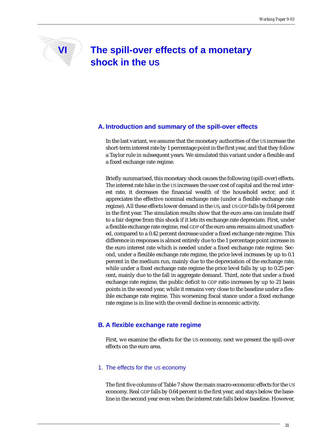# **VI The spill-over effects of a monetary shock in the US**

# **A. Introduction and summary of the spill-over effects**

In the last variant, we assume that the monetary authorities of the US increase the short-term interest rate by 1 percentage point in the first year, and that they follow a Taylor rule in subsequent years. We simulated this variant under a flexible and a fixed exchange rate regime.

Briefly summarised, this monetary shock causes the following (spill-over) effects. The interest rate hike in the US increases the user cost of capital and the real interest rate, it decreases the financial wealth of the household sector, and it appreciates the effective nominal exchange rate (under a flexible exchange rate regime). All these effects lower demand in the US, and US GDP falls by 0.64 percent in the first year. The simulation results show that the euro area can insulate itself to a fair degree from this shock if it lets its exchange rate depreciate. First, under a flexible exchange rate regime, real GDP of the euro area remains almost unaffected, compared to a 0.42 percent decrease under a fixed exchange rate regime. This difference in responses is almost entirely due to the 1 percentage point increase in the euro interest rate which is needed under a fixed exchange rate regime. Second, under a flexible exchange rate regime, the price level increases by up to 0.1 percent in the medium run, mainly due to the depreciation of the exchange rate, while under a fixed exchange rate regime the price level falls by up to 0.25 percent, mainly due to the fall in aggregate demand. Third, note that under a fixed exchange rate regime, the public deficit to GDP ratio increases by up to 21 basis points in the second year, while it remains very close to the baseline under a flexible exchange rate regime. This worsening fiscal stance under a fixed exchange rate regime is in line with the overall decline in economic activity.

# **B. A flexible exchange rate regime**

First, we examine the effects for the US economy, next we present the spill-over effects on the euro area.

### 1. The effects for the US economy

The first five columns of Table 7 show the main macro-economic effects for the US economy. Real GDP falls by 0.64 percent in the first year, and stays below the baseline in the second year even when the interest rate falls below baseline. However,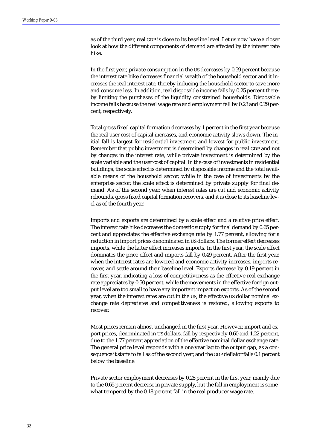as of the third year, real GDP is close to its baseline level. Let us now have a closer look at how the different components of demand are affected by the interest rate hike.

In the first year, private consumption in the US decreases by 0.59 percent because the interest rate hike decreases financial wealth of the household sector and it increases the real interest rate, thereby inducing the household sector to save more and consume less. In addition, real disposable income falls by 0.25 percent thereby limiting the purchases of the liquidity constrained households. Disposable income falls because the real wage rate and employment fall by 0.23 and 0.29 percent, respectively.

Total gross fixed capital formation decreases by 1 percent in the first year because the real user cost of capital increases, and economic activity slows down. The initial fall is largest for residential investment and lowest for public investment. Remember that public investment is determined by changes in real GDP and not by changes in the interest rate, while private investment is determined by the scale variable and the user cost of capital. In the case of investments in residential buildings, the scale effect is determined by disposable income and the total available means of the household sector, while in the case of investments by the enterprise sector, the scale effect is determined by private supply for final demand. As of the second year, when interest rates are cut and economic activity rebounds, gross fixed capital formation recovers, and it is close to its baseline level as of the fourth year.

Imports and exports are determined by a scale effect and a relative price effect. The interest rate hike decreases the domestic supply for final demand by 0.65 percent and appreciates the effective exchange rate by 1.77 percent, allowing for a reduction in import prices denominated in US dollars. The former effect decreases imports, while the latter effect increases imports. In the first year, the scale effect dominates the price effect and imports fall by 0.49 percent. After the first year, when the interest rates are lowered and economic activity increases, imports recover, and settle around their baseline level. Exports decrease by 0.19 percent in the first year, indicating a loss of competitiveness as the effective real exchange rate appreciates by 0.50 percent, while the movements in the effective foreign output level are too small to have any important impact on exports. As of the second year, when the interest rates are cut in the US, the effective US dollar nominal exchange rate depreciates and competitiveness is restored, allowing exports to recover.

Most prices remain almost unchanged in the first year. However, import and export prices, denominated in US dollars, fall by respectively 0.60 and 1.22 percent, due to the 1.77 percent appreciation of the effective nominal dollar exchange rate. The general price level responds with a one year lag to the output gap, as a consequence it starts to fall as of the second year, and the GDP deflator falls 0.1 percent below the baseline.

Private sector employment decreases by 0.28 percent in the first year, mainly due to the 0.65 percent decrease in private supply, but the fall in employment is somewhat tempered by the 0.18 percent fall in the real producer wage rate.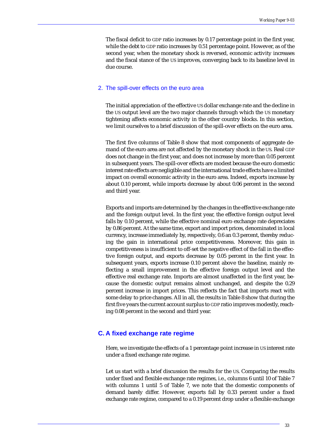The fiscal deficit to GDP ratio increases by 0.17 percentage point in the first year, while the debt to GDP ratio increases by 0.51 percentage point. However, as of the second year, when the monetary shock is reversed, economic activity increases and the fiscal stance of the US improves, converging back to its baseline level in due course.

#### 2. The spill-over effects on the euro area

The initial appreciation of the effective US dollar exchange rate and the decline in the US output level are the two major channels through which the US monetary tightening affects economic activity in the other country blocks. In this section, we limit ourselves to a brief discussion of the spill-over effects on the euro area.

The first five columns of Table 8 show that most components of aggregate demand of the euro area are not affected by the monetary shock in the US. Real GDP does not change in the first year, and does not increase by more than 0.05 percent in subsequent years. The spill-over effects are modest because the euro domestic interest rate effects are negligible and the international trade effects have a limited impact on overall economic activity in the euro area. Indeed, exports increase by about 0.10 percent, while imports decrease by about 0.06 percent in the second and third year.

Exports and imports are determined by the changes in the effective exchange rate and the foreign output level. In the first year, the effective foreign output level falls by 0.10 percent, while the effective nominal euro exchange rate depreciates by 0.86 percent. At the same time, export and import prices, denominated in local currency, increase immediately by, respectively, 0.6 an 0.3 percent, thereby reducing the gain in international price competitiveness. Moreover, this gain in competitiveness is insufficient to off-set the negative effect of the fall in the effective foreign output, and exports decrease by 0.05 percent in the first year. In subsequent years, exports increase 0.10 percent above the baseline, mainly reflecting a small improvement in the effective foreign output level and the effective real exchange rate. Imports are almost unaffected in the first year, because the domestic output remains almost unchanged, and despite the 0.29 percent increase in import prices. This reflects the fact that imports react with some delay to price changes. All in all, the results in Table 8 show that during the first five years the current account surplus to GDP ratio improves modestly, reaching 0.08 percent in the second and third year.

# **C. A fixed exchange rate regime**

Here, we investigate the effects of a 1 percentage point increase in US interest rate under a fixed exchange rate regime.

Let us start with a brief discussion the results for the US. Comparing the results under fixed and flexible exchange rate regimes, i.e., columns 6 until 10 of Table 7 with columns 1 until 5 of Table 7, we note that the domestic components of demand barely differ. However, exports fall by 0.33 percent under a fixed exchange rate regime, compared to a 0.19 percent drop under a flexible exchange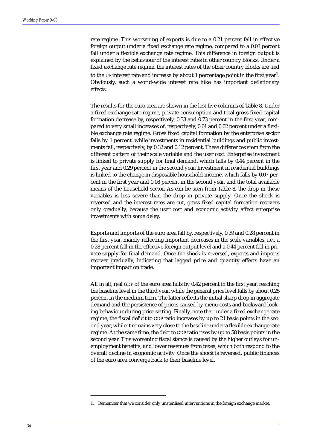rate regime. This worsening of exports is due to a 0.21 percent fall in effective foreign output under a fixed exchange rate regime, compared to a 0.03 percent fall under a flexible exchange rate regime. This difference in foreign output is explained by the behaviour of the interest rates in other country blocks. Under a fixed exchange rate regime, the interest rates of the other country blocks are tied to the US interest rate and increase by about 1 percentage point in the first year $^{\rm l}$ . Obviously, such a world-wide interest rate hike has important deflationary effects.

The results for the euro area are shown in the last five columns of Table 8. Under a fixed exchange rate regime, private consumption and total gross fixed capital formation decrease by, respectively, 0.33 and 0.73 percent in the first year, compared to very small increases of, respectively, 0.01 and 0.02 percent under a flexible exchange rate regime. Gross fixed capital formation by the enterprise sector falls by 1 percent, while investments in residential buildings and public investments fall, respectively, by 0.32 and 0.12 percent. These differences stem from the different pattern of their scale variable and the user cost. Enterprise investment is linked to private supply for final demand, which falls by 0.44 percent in the first year and 0.29 percent in the second year. Investment in residential buildings is linked to the change in disposable household income, which falls by 0.07 percent in the first year and 0.08 percent in the second year, and the total available means of the household sector. As can be seen from Table 8, the drop in these variables is less severe than the drop in private supply. Once the shock is reversed and the interest rates are cut, gross fixed capital formation recovers only gradually, because the user cost and economic activity affect enterprise investments with some delay.

Exports and imports of the euro area fall by, respectively, 0.39 and 0.28 percent in the first year, mainly reflecting important decreases in the scale variables, i.e., a 0.28 percent fall in the effective foreign output level and a 0.44 percent fall in private supply for final demand. Once the shock is reversed, exports and imports recover gradually, indicating that lagged price and quantity effects have an important impact on trade.

All in all, real GDP of the euro area falls by 0.42 percent in the first year, reaching the baseline level in the third year, while the general price level falls by about 0.25 percent in the medium term. The latter reflects the initial sharp drop in aggregate demand and the persistence of prices caused by menu costs and backward looking behaviour during price setting. Finally, note that under a fixed exchange rate regime, the fiscal deficit to GDP ratio increases by up to 21 basis points in the second year, while it remains very close to the baseline under a flexible exchange rate regime. At the same time, the debt to GDP ratio rises by up to 58 basis points in the second year. This worsening fiscal stance is caused by the higher outlays for unemployment benefits, and lower revenues from taxes, which both respond to the overall decline in economic activity. Once the shock is reversed, public finances of the euro area converge back to their baseline level.

<sup>1.</sup> Remember that we consider only unsterilised interventions in the foreign exchange market.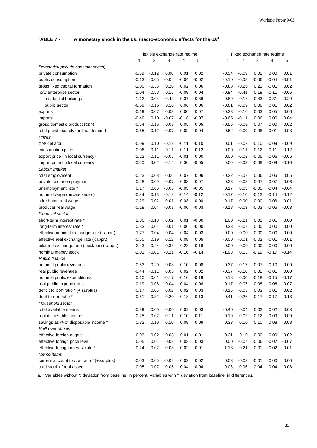# **TABLE 7 - A monetary shock in the US: macro-economic effects for the USa**

|                                               | Flexible exchange rate regime |         |         |         |         | Fixed exchange rate regime |         |         |         |         |
|-----------------------------------------------|-------------------------------|---------|---------|---------|---------|----------------------------|---------|---------|---------|---------|
|                                               | 1                             | 2       | 3       | 4       | 5       | 1                          | 2       | 3       | 4       | 5       |
| Demand/supply (in constant prices)            |                               |         |         |         |         |                            |         |         |         |         |
| private consumption                           | $-0.59$                       | $-0.12$ | 0.00    | 0.01    | 0.02    | $-0.54$                    | $-0.09$ | 0.02    | 0.00    | 0.01    |
| public consumption                            | $-0.13$                       | $-0.05$ | $-0.04$ | $-0.04$ | $-0.02$ | $-0.10$                    | $-0.08$ | $-0.06$ | $-0.04$ | $-0.01$ |
| gross fixed capital formation                 | $-1.00$                       | $-0.36$ | 0.20    | 0.02    | 0.06    | $-0.88$                    | $-0.26$ | 0.22    | $-0.01$ | 0.02    |
| o/w enterprise sector                         | $-1.04$                       | $-0.53$ | 0.16    | $-0.09$ | $-0.04$ | $-0.94$                    | $-0.41$ | 0.19    | $-0.11$ | $-0.06$ |
| residential buildings                         | $-1.12$                       | 0.04    | 0.42    | 0.37    | 0.36    | $-0.89$                    | 0.13    | 0.43    | 0.31    | 0.29    |
| public sector                                 | $-0.69$                       | $-0.16$ | 0.10    | 0.06    | 0.06    | $-0.61$                    | $-0.09$ | 0.08    | 0.01    | 0.02    |
| exports                                       | $-0.19$                       | $-0.07$ | 0.03    | 0.06    | 0.07    | $-0.33$                    | $-0.16$ | 0.03    | 0.05    | 0.06    |
| imports                                       | $-0.49$                       | 0.10    | $-0.07$ | $-0.18$ | $-0.07$ | $-0.65$                    | $-0.11$ | 0.06    | 0.00    | 0.04    |
| gross domestic product (GDP)                  | $-0.64$                       | $-0.15$ | 0.08    | 0.05    | 0.05    | $-0.56$                    | $-0.09$ | 0.07    | 0.00    | 0.02    |
| total private supply for final demand         | $-0.65$                       | $-0.12$ | 0.07    | 0.02    | 0.04    | $-0.62$                    | $-0.09$ | 0.08    | 0.01    | 0.03    |
| Prices                                        |                               |         |         |         |         |                            |         |         |         |         |
| GDP deflator                                  | $-0.09$                       | $-0.10$ | $-0.13$ | $-0.11$ | $-0.10$ | 0.01                       | $-0.07$ | $-0.10$ | $-0.09$ | $-0.09$ |
| consumption price                             | $-0.06$                       | $-0.11$ | $-0.11$ | $-0.11$ | $-0.12$ | 0.00                       | $-0.11$ | $-0.12$ | $-0.11$ | $-0.12$ |
| export price (in local currency)              | $-1.22$                       | $-0.11$ | $-0.05$ | $-0.01$ | 0.00    | 0.00                       | $-0.03$ | $-0.05$ | $-0.06$ | $-0.06$ |
| import price (in local currency)              | $-0.60$                       | 0.02    | 0.14    | 0.06    | $-0.05$ | 0.00                       | $-0.03$ | $-0.08$ | $-0.09$ | $-0.10$ |
| Labour market                                 |                               |         |         |         |         |                            |         |         |         |         |
| total employment                              | $-0.23$                       | $-0.08$ | 0.06    | 0.07    | 0.06    | $-0.22$                    | $-0.07$ | 0.06    | 0.06    | 0.05    |
| private sector employment                     | $-0.28$                       | $-0.09$ | 0.07    | 0.08    | 0.07    | $-0.26$                    | $-0.08$ | 0.07    | 0.07    | 0.06    |
| unemployment rate *                           | 0.17                          | 0.06    | $-0.05$ | $-0.05$ | $-0.05$ | 0.17                       | 0.05    | $-0.05$ | $-0.04$ | $-0.04$ |
| nominal wage (private sector)                 | $-0.34$                       | $-0.13$ | $-0.13$ | $-0.14$ | $-0.12$ | $-0.17$                    | $-0.10$ | $-0.12$ | $-0.14$ | $-0.12$ |
| take home real wage                           | $-0.29$                       | $-0.02$ | $-0.01$ | $-0.03$ | $-0.00$ | $-0.17$                    | 0.00    | 0.00    | $-0.03$ | $-0.01$ |
| producer real wage                            | $-0.18$                       | $-0.04$ | $-0.03$ | $-0.06$ | $-0.03$ | $-0.18$                    | $-0.03$ | $-0.03$ | $-0.05$ | $-0.03$ |
| Financial sector                              |                               |         |         |         |         |                            |         |         |         |         |
| short-term interest rate *                    | 1.00                          | $-0.13$ | 0.02    | 0.01    | $-0.00$ | 1.00                       | $-0.21$ | 0.01    | 0.01    | 0.00    |
| long-term interest rate *                     | 0.33                          | $-0.04$ | 0.01    | 0.00    | $-0.00$ | 0.33                       | $-0.07$ | 0.00    | 0.00    | 0.00    |
| effective nominal exchange rate (-: appr.)    | $-1.77$                       | 0.04    | 0.04    | 0.04    | 0.03    | 0.00                       | 0.00    | 0.00    | 0.00    | 0.00    |
| effective real exchange rate (-: appr.)       | $-0.50$                       | 0.19    | 0.12    | 0.08    | 0.05    | $-0.00$                    | $-0.01$ | $-0.02$ | $-0.01$ | $-0.01$ |
| bilateral exchange rate (local/eur) (-:appr.) | $-2.43$                       | $-0.44$ | $-0.33$ | $-0.23$ | $-0.16$ | 0.00                       | 0.00    | 0.00    | 0.00    | 0.00    |
| nominal money stock                           | $-2.01$                       | $-0.01$ | $-0.21$ | $-0.16$ | $-0.14$ | $-1.93$                    | 0.13    | $-0.19$ | $-0.17$ | $-0.14$ |
| <b>Public finance</b>                         |                               |         |         |         |         |                            |         |         |         |         |
| nominal public revenues                       | $-0.53$                       | $-0.20$ | $-0.08$ | $-0.10$ | $-0.08$ | $-0.37$                    | $-0.17$ | $-0.07$ | $-0.10$ | $-0.09$ |
| real public revenues                          | $-0.44$                       | $-0.11$ | 0.05    | 0.02    | 0.02    | $-0.37$                    | $-0.10$ | 0.02    | $-0.01$ | 0.00    |
| nominal public expenditures                   | 0.10                          | $-0.01$ | $-0.17$ | $-0.16$ | $-0.18$ | 0.18                       | 0.00    | $-0.18$ | $-0.15$ | $-0.17$ |
| real public expenditures                      | 0.19                          | 0.08    | $-0.04$ | $-0.04$ | $-0.08$ | 0.17                       | 0.07    | $-0.08$ | $-0.06$ | $-0.07$ |
| deficit to GDP ratio * (+:surplus)            | $-0.17$                       | $-0.05$ | 0.02    | 0.02    | 0.03    | $-0.15$                    | $-0.05$ | 0.03    | 0.01    | 0.02    |
| debt to GDP ratio *                           | 0.51                          | 0.32    | 0.20    | 0.18    | 0.13    | 0.41                       | 0.26    | 0.17    | 0.17    | 0.13    |
| Household sector                              |                               |         |         |         |         |                            |         |         |         |         |
| total available means                         | $-0.39$                       | 0.00    | 0.00    | 0.02    | 0.03    | $-0.40$                    | 0.04    | 0.02    | 0.02    | 0.03    |
| real disposable income                        | $-0.25$                       | $-0.02$ | 0.11    | 0.10    | 0.11    | $-0.19$                    | 0.02    | 0.12    | 0.09    | 0.09    |
| savings as % of disposable income *           | 0.32                          | 0.10    | 0.10    | 0.09    | 0.09    | 0.33                       | 0.10    | 0.10    | 0.08    | 0.08    |
| Spill-over effects                            |                               |         |         |         |         |                            |         |         |         |         |
| effective foreign output                      | $-0.03$                       | 0.02    | 0.03    | 0.01    | 0.01    | $-0.21$                    | $-0.10$ | $-0.00$ | 0.00    | 0.02    |
| effective foreign price level                 | 0.05                          | 0.04    | 0.03    | 0.03    | 0.03    | 0.00                       | $-0.04$ | $-0.06$ | $-0.07$ | $-0.07$ |
| effective foreign interest rate *             | 0.24                          | $-0.02$ | 0.03    | 0.02    | 0.01    | 1.13                       | $-0.21$ | 0.01    | 0.02    | 0.01    |
| Memo items                                    |                               |         |         |         |         |                            |         |         |         |         |
| current account to GDP ratio * (+:surplus)    | $-0.03$                       | $-0.05$ | $-0.02$ | 0.02    | 0.02    | 0.03                       | $-0.03$ | $-0.01$ | 0.00    | 0.00    |
| total stock of real assets                    | $-0.05$                       | $-0.07$ | $-0.05$ | $-0.04$ | $-0.04$ | $-0.06$                    | $-0.06$ | $-0.04$ | $-0.04$ | $-0.03$ |

a. Variables without \*: deviation from baseline, in percent. Variables with \*: deviation from baseline, in differences.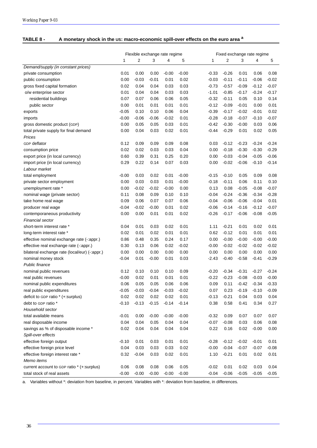| <b>TABLE 8 -</b> | A monetary shock in the US: macro-economic spill-over effects on the euro area a |
|------------------|----------------------------------------------------------------------------------|
|------------------|----------------------------------------------------------------------------------|

|                                               | Flexible exchange rate regime |         |         |         |         | Fixed exchange rate regime |                |         |         |         |
|-----------------------------------------------|-------------------------------|---------|---------|---------|---------|----------------------------|----------------|---------|---------|---------|
|                                               | 1                             | 2       | 3       | 4       | 5       | 1                          | $\overline{2}$ | 3       | 4       | 5       |
| Demand/supply (in constant prices)            |                               |         |         |         |         |                            |                |         |         |         |
| private consumption                           | 0.01                          | 0.00    | 0.00    | $-0.00$ | $-0.00$ | $-0.33$                    | $-0.26$        | 0.01    | 0.06    | 0.08    |
| public consumption                            | 0.00                          | $-0.03$ | $-0.01$ | 0.01    | 0.02    | $-0.03$                    | $-0.11$        | $-0.11$ | $-0.06$ | $-0.02$ |
| gross fixed capital formation                 | 0.02                          | 0.04    | 0.04    | 0.03    | 0.03    | $-0.73$                    | $-0.57$        | $-0.09$ | $-0.12$ | $-0.07$ |
| o/w enterprise sector                         | 0.01                          | 0.04    | 0.04    | 0.03    | 0.03    | $-1.01$                    | $-0.85$        | $-0.17$ | $-0.24$ | $-0.17$ |
| residential buildings                         | 0.07                          | 0.07    | 0.06    | 0.06    | 0.05    | $-0.32$                    | $-0.11$        | 0.05    | 0.10    | 0.14    |
| public sector                                 | 0.00                          | 0.01    | 0.01    | 0.01    | 0.01    | $-0.12$                    | $-0.09$        | $-0.01$ | 0.00    | 0.01    |
| exports                                       | $-0.05$                       | 0.10    | 0.10    | 0.06    | 0.04    | $-0.39$                    | $-0.17$        | $-0.02$ | $-0.01$ | 0.02    |
| imports                                       | $-0.00$                       | $-0.06$ | $-0.06$ | $-0.02$ | 0.01    | $-0.28$                    | $-0.18$        | $-0.07$ | $-0.10$ | $-0.07$ |
| gross domestic product (GDP)                  | 0.00                          | 0.05    | 0.05    | 0.03    | 0.01    | $-0.42$                    | $-0.30$        | $-0.00$ | 0.03    | 0.06    |
| total private supply for final demand         | 0.00                          | 0.04    | 0.03    | 0.02    | 0.01    | $-0.44$                    | $-0.29$        | 0.01    | 0.02    | 0.05    |
| Prices                                        |                               |         |         |         |         |                            |                |         |         |         |
| <b>GDP</b> deflator                           | 0.12                          | 0.09    | 0.09    | 0.09    | 0.08    | 0.03                       | $-0.12$        | $-0.23$ | $-0.24$ | $-0.24$ |
| consumption price                             | 0.02                          | 0.02    | 0.03    | 0.03    | 0.04    | 0.00                       | $-0.18$        | $-0.30$ | $-0.30$ | $-0.29$ |
| export price (in local currency)              | 0.60                          | 0.39    | 0.31    | 0.25    | 0.20    | 0.00                       | $-0.03$        | $-0.04$ | $-0.05$ | $-0.06$ |
| import price (in local currency)              | 0.29                          | 0.22    | 0.14    | 0.07    | 0.03    | 0.00                       | $-0.02$        | $-0.06$ | $-0.10$ | $-0.14$ |
| Labour market                                 |                               |         |         |         |         |                            |                |         |         |         |
| total employment                              | $-0.00$                       | 0.03    | 0.02    | 0.01    | $-0.00$ | $-0.15$                    | $-0.10$        | 0.05    | 0.09    | 0.08    |
| private sector employment                     | 0.00                          | 0.03    | 0.03    | 0.01    | $-0.00$ | $-0.18$                    | $-0.11$        | 0.06    | 0.11    | 0.10    |
| unemployment rate *                           | 0.00                          | $-0.02$ | $-0.02$ | $-0.00$ | 0.00    | 0.13                       | 0.08           | $-0.05$ | $-0.08$ | $-0.07$ |
| nominal wage (private sector)                 | 0.11                          | 0.08    | 0.09    | 0.10    | 0.10    | -0.04                      | $-0.24$        | $-0.36$ | $-0.34$ | $-0.28$ |
| take home real wage                           | 0.09                          | 0.06    | 0.07    | 0.07    | 0.06    | $-0.04$                    | $-0.06$        | $-0.06$ | $-0.04$ | 0.01    |
| producer real wage                            | $-0.04$                       | $-0.02$ | $-0.00$ | 0.01    | 0.02    | $-0.06$                    | $-0.14$        | $-0.16$ | $-0.12$ | $-0.07$ |
| contemporaneous productivity                  | 0.00                          | 0.00    | 0.01    | 0.01    | 0.02    | $-0.26$                    | $-0.17$        | $-0.06$ | $-0.08$ | $-0.05$ |
| Financial sector                              |                               |         |         |         |         |                            |                |         |         |         |
| short-term interest rate *                    | 0.04                          | 0.01    | 0.03    | 0.02    | 0.01    | 1.11                       | $-0.21$        | 0.01    | 0.02    | 0.01    |
| long-term interest rate *                     | 0.02                          | 0.01    | 0.02    | 0.01    | 0.01    | 0.62                       | $-0.12$        | 0.01    | 0.01    | 0.01    |
| effective nominal exchange rate (-:appr.)     | 0.86                          | 0.48    | 0.35    | 0.24    | 0.17    | 0.00                       | $-0.00$        | $-0.00$ | $-0.00$ | $-0.00$ |
| effective real exchange rate (-:appr.)        | 0.30                          | 0.13    | 0.06    | 0.02    | $-0.02$ | -0.00                      | $-0.02$        | $-0.02$ | $-0.02$ | $-0.02$ |
| bilateral exchange rate (local/eur) (-:appr.) | 0.00                          | 0.00    | 0.00    | 0.00    | 0.00    | 0.00                       | 0.00           | 0.00    | 0.00    | 0.00    |
| nominal money stock                           | $-0.04$                       | 0.01    | $-0.00$ | 0.01    | 0.03    | $-2.43$                    | $-0.40$        | $-0.58$ | $-0.41$ | $-0.29$ |
| Public finance                                |                               |         |         |         |         |                            |                |         |         |         |
| nominal public revenues                       | 0.12                          | 0.10    | 0.10    | 0.10    | 0.09    | $-0.20$                    | $-0.34$        | $-0.31$ | $-0.27$ | $-0.24$ |
| real public revenues                          | $-0.00$                       | 0.02    | 0.01    | 0.01    | 0.01    | $-0.22$                    | $-0.23$        | $-0.08$ | $-0.03$ | $-0.00$ |
| nominal public expenditures                   | 0.06                          | 0.05    | 0.05    | 0.06    | 0.06    | 0.09                       | 0.11           | $-0.42$ | $-0.34$ | $-0.33$ |
| real public expenditures                      | $-0.05$                       | $-0.03$ | $-0.04$ | $-0.03$ | $-0.02$ | 0.07                       | 0.23           | $-0.19$ | $-0.10$ | $-0.09$ |
| deficit to GDP ratio * (+:surplus)            | 0.02                          | 0.02    | 0.02    | 0.02    | 0.01    | $-0.13$                    | $-0.21$        | 0.04    | 0.03    | 0.04    |
| debt to GDP ratio *                           | $-0.10$                       | $-0.13$ | $-0.15$ | $-0.14$ | $-0.14$ | 0.38                       | 0.58           | 0.41    | 0.34    | 0.27    |
| Household sector                              |                               |         |         |         |         |                            |                |         |         |         |
| total available means                         | $-0.01$                       | 0.00    | $-0.00$ | $-0.00$ | $-0.00$ | $-0.32$                    | 0.09           | 0.07    | 0.07    | 0.07    |
| real disposable income                        | 0.04                          | 0.04    | 0.05    | 0.04    | 0.04    | $-0.07$                    | $-0.08$        | 0.03    | 0.06    | 0.08    |
| savings as % of disposable income *           | 0.02                          | 0.04    | 0.04    | 0.04    | 0.04    | 0.22                       | 0.16           | 0.02    | $-0.00$ | 0.00    |
| Spill-over effects                            |                               |         |         |         |         |                            |                |         |         |         |
| effective foreign output                      | $-0.10$                       | 0.01    | 0.03    | 0.01    | 0.01    | $-0.28$                    | $-0.12$        | $-0.02$ | $-0.01$ | 0.01    |
| effective foreign price level                 | 0.04                          | 0.03    | 0.03    | 0.03    | 0.02    | $-0.00$                    | $-0.04$        | $-0.07$ | $-0.07$ | $-0.08$ |
| effective foreign interest rate *             | 0.32                          | $-0.04$ | 0.03    | 0.02    | 0.01    | 1.10                       | $-0.21$        | 0.01    | 0.02    | 0.01    |
| Memo items                                    |                               |         |         |         |         |                            |                |         |         |         |
| current account to GDP ratio * (+:surplus)    | 0.06                          | 0.08    | 0.08    | 0.06    | 0.05    | $-0.02$                    | 0.01           | 0.02    | 0.03    | 0.04    |
| total stock of real assets                    | $-0.00$                       | $-0.00$ | $-0.00$ | $-0.00$ | $-0.00$ | $-0.04$                    | $-0.06$        | $-0.05$ | $-0.05$ | $-0.05$ |

a. Variables without \*: deviation from baseline, in percent. Variables with \*: deviation from baseline, in differences.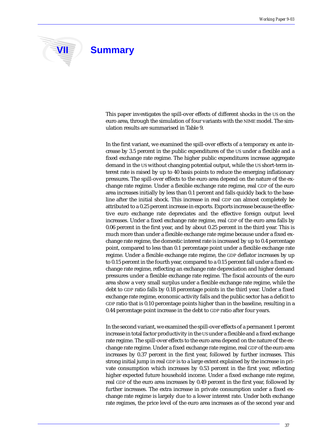

# **VII** Summary

This paper investigates the spill-over effects of different shocks in the US on the euro area, through the simulation of four variants with the NIME model. The simulation results are summarised in Table 9.

In the first variant, we examined the spill-over effects of a temporary ex ante increase by 3.5 percent in the public expenditures of the US under a flexible and a fixed exchange rate regime. The higher public expenditures increase aggregate demand in the US without changing potential output, while the US short-term interest rate is raised by up to 40 basis points to reduce the emerging inflationary pressures. The spill-over effects to the euro area depend on the nature of the exchange rate regime. Under a flexible exchange rate regime, real GDP of the euro area increases initially by less than 0.1 percent and falls quickly back to the baseline after the initial shock. This increase in real GDP can almost completely be attributed to a 0.25 percent increase in exports. Exports increase because the effective euro exchange rate depreciates and the effective foreign output level increases. Under a fixed exchange rate regime, real GDP of the euro area falls by 0.06 percent in the first year, and by about 0.25 percent in the third year. This is much more than under a flexible exchange rate regime because under a fixed exchange rate regime, the domestic interest rate is increased by up to 0.4 percentage point, compared to less than 0.1 percentage point under a flexible exchange rate regime. Under a flexible exchange rate regime, the GDP deflator increases by up to 0.15 percent in the fourth year, compared to a 0.15 percent fall under a fixed exchange rate regime, reflecting an exchange rate depreciation and higher demand pressures under a flexible exchange rate regime. The fiscal accounts of the euro area show a very small surplus under a flexible exchange rate regime, while the debt to GDP ratio falls by 0.18 percentage points in the third year. Under a fixed exchange rate regime, economic activity falls and the public sector has a deficit to GDP ratio that is 0.10 percentage points higher than in the baseline, resulting in a 0.44 percentage point increase in the debt to GDP ratio after four years.

In the second variant, we examined the spill-over effects of a permanent 1 percent increase in total factor productivity in the US under a flexible and a fixed exchange rate regime. The spill-over effects to the euro area depend on the nature of the exchange rate regime. Under a fixed exchange rate regime, real GDP of the euro area increases by 0.37 percent in the first year, followed by further increases. This strong initial jump in real GDP is to a large extent explained by the increase in private consumption which increases by 0.53 percent in the first year, reflecting higher expected future household income. Under a fixed exchange rate regime, real GDP of the euro area increases by 0.49 percent in the first year, followed by further increases. The extra increase in private consumption under a fixed exchange rate regime is largely due to a lower interest rate. Under both exchange rate regimes, the price level of the euro area increases as of the second year and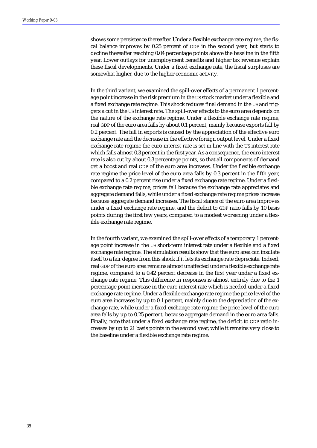shows some persistence thereafter. Under a flexible exchange rate regime, the fiscal balance improves by 0.25 percent of GDP in the second year, but starts to decline thereafter reaching 0.04 percentage points above the baseline in the fifth year. Lower outlays for unemployment benefits and higher tax revenue explain these fiscal developments. Under a fixed exchange rate, the fiscal surpluses are somewhat higher, due to the higher economic activity.

In the third variant, we examined the spill-over effects of a permanent 1 percentage point increase in the risk premium in the US stock market under a flexible and a fixed exchange rate regime. This shock reduces final demand in the US and triggers a cut in the US interest rate. The spill-over effects to the euro area depends on the nature of the exchange rate regime. Under a flexible exchange rate regime, real GDP of the euro area falls by about 0.1 percent, mainly because exports fall by 0.2 percent. The fall in exports is caused by the appreciation of the effective euro exchange rate and the decrease in the effective foreign output level. Under a fixed exchange rate regime the euro interest rate is set in line with the US interest rate which falls almost 0.3 percent in the first year. As a consequence, the euro interest rate is also cut by about 0.3 percentage points, so that all components of demand get a boost and real GDP of the euro area increases. Under the flexible exchange rate regime the price level of the euro area falls by 0.3 percent in the fifth year, compared to a 0.2 percent rise under a fixed exchange rate regime. Under a flexible exchange rate regime, prices fall because the exchange rate appreciates and aggregate demand falls, while under a fixed exchange rate regime prices increase because aggregate demand increases. The fiscal stance of the euro area improves under a fixed exchange rate regime, and the deficit to GDP ratio falls by 10 basis points during the first few years, compared to a modest worsening under a flexible exchange rate regime.

In the fourth variant, we examined the spill-over effects of a temporary 1 percentage point increase in the US short-term interest rate under a flexible and a fixed exchange rate regime. The simulation results show that the euro area can insulate itself to a fair degree from this shock if it lets its exchange rate depreciate. Indeed, real GDP of the euro area remains almost unaffected under a flexible exchange rate regime, compared to a 0.42 percent decrease in the first year under a fixed exchange rate regime. This difference in responses is almost entirely due to the 1 percentage point increase in the euro interest rate which is needed under a fixed exchange rate regime. Under a flexible exchange rate regime the price level of the euro area increases by up to 0.1 percent, mainly due to the depreciation of the exchange rate, while under a fixed exchange rate regime the price level of the euro area falls by up to 0.25 percent, because aggregate demand in the euro area falls. Finally, note that under a fixed exchange rate regime, the deficit to GDP ratio increases by up to 21 basis points in the second year, while it remains very close to the baseline under a flexible exchange rate regime.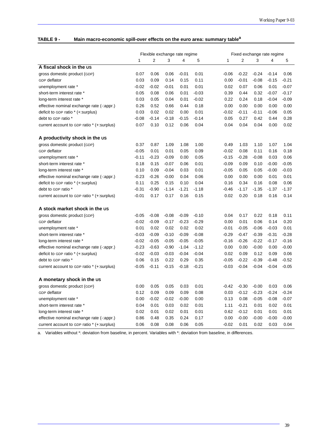# **TABLE 9 - Main macro-economic spill-over effects on the euro area: summary tablea**

|                                            | Flexible exchange rate regime |         |         |         |         |         | Fixed exchange rate regime |         |         |         |  |
|--------------------------------------------|-------------------------------|---------|---------|---------|---------|---------|----------------------------|---------|---------|---------|--|
|                                            | 1                             | 2       | 3       | 4       | 5       | 1       | 2                          | 3       | 4       | 5       |  |
| A fiscal shock in the US                   |                               |         |         |         |         |         |                            |         |         |         |  |
| gross domestic product (GDP)               | 0.07                          | 0.06    | 0.06    | $-0.01$ | 0.01    | -0.06   | $-0.22$                    | $-0.24$ | $-0.14$ | 0.06    |  |
| GDP deflator                               | 0.03                          | 0.09    | 0.14    | 0.15    | 0.11    | 0.00    | $-0.01$                    | $-0.08$ | $-0.15$ | $-0.21$ |  |
| unemployment rate *                        | $-0.02$                       | $-0.02$ | $-0.01$ | 0.01    | 0.01    | 0.02    | 0.07                       | 0.06    | 0.01    | $-0.07$ |  |
| short-term interest rate *                 | 0.05                          | 0.08    | 0.06    | 0.01    | $-0.03$ | 0.39    | 0.44                       | 0.32    | $-0.07$ | $-0.17$ |  |
| long-term interest rate *                  | 0.03                          | 0.05    | 0.04    | 0.01    | $-0.02$ | 0.22    | 0.24                       | 0.18    | $-0.04$ | $-0.09$ |  |
| effective nominal exchange rate (-:appr.)  | 0.26                          | 0.52    | 0.66    | 0.44    | 0.18    | 0.00    | 0.00                       | 0.00    | 0.00    | 0.00    |  |
| deficit to GDP ratio * (+:surplus)         | 0.03                          | 0.02    | 0.02    | 0.00    | 0.01    | $-0.02$ | $-0.11$                    | $-0.11$ | $-0.06$ | 0.05    |  |
| debt to GDP ratio *                        | $-0.08$                       | $-0.14$ | $-0.18$ | $-0.15$ | $-0.14$ | 0.05    | 0.27                       | 0.42    | 0.44    | 0.28    |  |
| current account to GDP ratio * (+:surplus) | 0.07                          | 0.10    | 0.12    | 0.06    | 0.04    | 0.04    | 0.04                       | 0.04    | 0.00    | 0.02    |  |
| A productivity shock in the us             |                               |         |         |         |         |         |                            |         |         |         |  |
| gross domestic product (GDP)               | 0.37                          | 0.87    | 1.09    | 1.08    | 1.00    | 0.49    | 1.03                       | 1.10    | 1.07    | 1.04    |  |
| GDP deflator                               | $-0.05$                       | 0.01    | 0.01    | 0.05    | 0.09    | $-0.02$ | 0.08                       | 0.11    | 0.16    | 0.18    |  |
| unemployment rate *                        | $-0.11$                       | $-0.23$ | $-0.09$ | 0.00    | 0.05    | $-0.15$ | $-0.28$                    | $-0.08$ | 0.03    | 0.06    |  |
| short-term interest rate *                 | 0.18                          | 0.15    | $-0.07$ | 0.06    | 0.01    | $-0.09$ | 0.09                       | 0.10    | $-0.00$ | $-0.05$ |  |
| long-term interest rate *                  | 0.10                          | 0.09    | $-0.04$ | 0.03    | 0.01    | $-0.05$ | 0.05                       | 0.05    | $-0.00$ | $-0.03$ |  |
| effective nominal exchange rate (-:appr.)  | $-0.23$                       | $-0.26$ | $-0.00$ | 0.04    | 0.06    | 0.00    | 0.00                       | 0.00    | 0.01    | 0.01    |  |
| deficit to GDP ratio * (+:surplus)         | 0.11                          | 0.25    | 0.15    | 0.10    | 0.04    | 0.16    | 0.34                       | 0.16    | 0.08    | 0.06    |  |
| debt to GDP ratio *                        | $-0.31$                       | $-0.90$ | $-1.14$ | $-1.21$ | $-1.18$ | $-0.46$ | $-1.17$                    | $-1.35$ | $-1.37$ | $-1.37$ |  |
| current account to GDP ratio * (+:surplus) | $-0.01$                       | 0.17    | 0.17    | 0.16    | 0.15    | 0.02    | 0.20                       | 0.18    | 0.16    | 0.14    |  |
| A stock market shock in the us             |                               |         |         |         |         |         |                            |         |         |         |  |
| gross domestic product (GDP)               | $-0.05$                       | $-0.08$ | $-0.08$ | $-0.09$ | $-0.10$ | 0.04    | 0.17                       | 0.22    | 0.18    | 0.11    |  |
| GDP deflator                               | $-0.02$                       | $-0.09$ | $-0.17$ | $-0.23$ | $-0.29$ | 0.00    | 0.01                       | 0.06    | 0.14    | 0.20    |  |
| unemployment rate *                        | 0.01                          | 0.02    | 0.02    | 0.02    | 0.02    | -0.01   | $-0.05$                    | $-0.06$ | $-0.03$ | 0.01    |  |
| short-term interest rate *                 | $-0.03$                       | $-0.09$ | $-0.10$ | $-0.09$ | $-0.08$ | -0.29   | $-0.47$                    | $-0.39$ | $-0.31$ | $-0.28$ |  |
| long-term interest rate *                  | $-0.02$                       | $-0.05$ | $-0.05$ | $-0.05$ | $-0.05$ | -0.16   | $-0.26$                    | $-0.22$ | $-0.17$ | $-0.16$ |  |
| effective nominal exchange rate (-:appr.)  | $-0.23$                       | $-0.63$ | $-0.90$ | $-1.04$ | $-1.12$ | 0.00    | 0.00                       | $-0.00$ | 0.00    | $-0.00$ |  |
| deficit to GDP ratio * (+:surplus)         | $-0.02$                       | $-0.03$ | $-0.03$ | $-0.04$ | $-0.04$ | 0.02    | 0.09                       | 0.12    | 0.09    | 0.06    |  |
| debt to GDP ratio *                        | 0.06                          | 0.15    | 0.22    | 0.29    | 0.35    | $-0.05$ | $-0.22$                    | $-0.39$ | $-0.48$ | $-0.52$ |  |
| current account to GDP ratio * (+:surplus) | $-0.05$                       | $-0.11$ | $-0.15$ | $-0.18$ | $-0.21$ | $-0.03$ | $-0.04$                    | $-0.04$ | $-0.04$ | $-0.05$ |  |
| A monetary shock in the us                 |                               |         |         |         |         |         |                            |         |         |         |  |
| gross domestic product (GDP)               | 0.00                          | 0.05    | 0.05    | 0.03    | 0.01    | -0.42   | $-0.30$                    | $-0.00$ | 0.03    | 0.06    |  |
| GDP deflator                               | 0.12                          | 0.09    | 0.09    | 0.09    | 0.08    | 0.03    | $-0.12$                    | $-0.23$ | $-0.24$ | -0.24   |  |
| unemployment rate *                        | 0.00                          | $-0.02$ | $-0.02$ | $-0.00$ | 0.00    | 0.13    | 0.08                       | $-0.05$ | $-0.08$ | $-0.07$ |  |
| short-term interest rate *                 | 0.04                          | 0.01    | 0.03    | 0.02    | 0.01    | 1.11    | $-0.21$                    | 0.01    | 0.02    | 0.01    |  |
| long-term interest rate *                  | 0.02                          | 0.01    | 0.02    | 0.01    | 0.01    | 0.62    | $-0.12$                    | 0.01    | 0.01    | 0.01    |  |
| effective nominal exchange rate (-: appr.) | 0.86                          | 0.48    | 0.35    | 0.24    | 0.17    | 0.00    | $-0.00$                    | $-0.00$ | $-0.00$ | $-0.00$ |  |
| current account to GDP ratio * (+:surplus) | 0.06                          | 0.08    | 0.08    | 0.06    | 0.05    | $-0.02$ | 0.01                       | 0.02    | 0.03    | 0.04    |  |

a. Variables without \*: deviation from baseline, in percent. Variables with \*: deviation from baseline, in differences.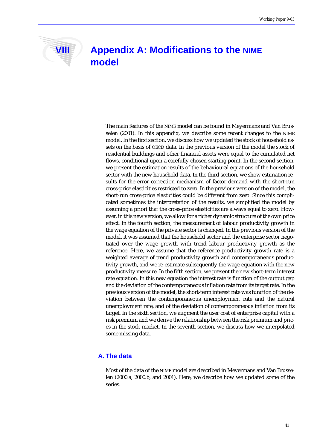# **VIII Appendix A: Modifications to the NIME model**

The main features of the NIME model can be found in Meyermans and Van Brusselen (2001). In this appendix, we describe some recent changes to the NIME model. In the first section, we discuss how we updated the stock of household assets on the basis of OECD data. In the previous version of the model the stock of residential buildings and other financial assets were equal to the cumulated net flows, conditional upon a carefully chosen starting point. In the second section, we present the estimation results of the behavioural equations of the household sector with the new household data. In the third section, we show estimation results for the error correction mechanism of factor demand with the short-run cross-price elasticities restricted to zero. In the previous version of the model, the short-run cross-price elasticities could be different from zero. Since this complicated sometimes the interpretation of the results, we simplified the model by assuming a priori that the cross-price elasticities are always equal to zero. However, in this new version, we allow for a richer dynamic structure of the own price effect. In the fourth section, the measurement of labour productivity growth in the wage equation of the private sector is changed. In the previous version of the model, it was assumed that the household sector and the enterprise sector negotiated over the wage growth with trend labour productivity growth as the reference. Here, we assume that the reference productivity growth rate is a weighted average of trend productivity growth and contemporaneous productivity growth, and we re-estimate subsequently the wage equation with the new productivity measure. In the fifth section, we present the new short-term interest rate equation. In this new equation the interest rate is function of the output gap and the deviation of the contemporaneous inflation rate from its target rate. In the previous version of the model, the short-term interest rate was function of the deviation between the contemporaneous unemployment rate and the natural unemployment rate, and of the deviation of contemporaneous inflation from its target. In the sixth section, we augment the user cost of enterprise capital with a risk premium and we derive the relationship between the risk premium and prices in the stock market. In the seventh section, we discuss how we interpolated some missing data.

# **A. The data**

Most of the data of the NIME model are described in Meyermans and Van Brusselen (2000.a, 2000.b, and 2001). Here, we describe how we updated some of the series.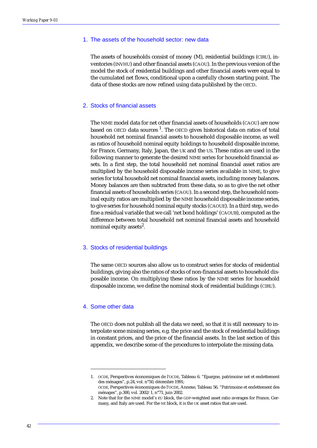#### 1. The assets of the household sector: new data

The assets of households consist of money (M), residential buildings (CIRU), inventories (INVHU) and other financial assets (CAOU). In the previous version of the model the stock of residential buildings and other financial assets were equal to the cumulated net flows, conditional upon a carefully chosen starting point. The data of these stocks are now refined using data published by the OECD.

#### 2. Stocks of financial assets

The NIME model data for net other financial assets of households (CAOU) are now based on OECD data sources<sup>1</sup>. The OECD gives historical data on ratios of total household net nominal financial assets to household disposable income, as well as ratios of household nominal equity holdings to household disposable income, for France, Germany, Italy, Japan, the UK and the US. These ratios are used in the following manner to generate the desired NIME series for household financial assets. In a first step, the total household net nominal financial asset ratios are multiplied by the household disposable income series available in NIME, to give series for total household net nominal financial assets, including money balances. Money balances are then subtracted from these data, so as to give the net other financial assets of households series (CAOU). In a second step, the household nominal equity ratios are multiplied by the NIME household disposable income series, to give series for household nominal equity stocks (CAOUE). In a third step, we define a residual variable that we call 'net bond holdings' (CAOUB), computed as the difference between total household net nominal financial assets and household nominal equity assets $^2$ .

#### 3. Stocks of residential buildings

The same OECD sources also allow us to construct series for stocks of residential buildings, giving also the ratios of stocks of non-financial assets to household disposable income. On multiplying these ratios by the NIME series for household disposable income, we define the nominal stock of residential buildings (CIRU).

#### 4. Some other data

The OECD does not publish all the data we need, so that it is still necessary to interpolate some missing series, e.g. the price and the stock of residential buildings in constant prices, and the price of the financial assets. In the last section of this appendix, we describe some of the procedures to interpolate the missing data.

<sup>1.</sup> OCDE, Perspectives économiques de l'OCDE, Tableau 6. "Epargne, patrimoine net et endettement des ménages", p.24, vol. n°50, décembre 1991; OCDE, Perspectives économiques de l'OCDE, Annexe, Tableau 56. "Patrimoine et endettement des ménages", p.300, vol. 2002/1, n°71, juin 2002.

<sup>2.</sup> Note that for the NIME model's EU block, the GDP-weighted asset ratio averages for France, Germany, and Italy are used. For the NE block, it is the UK asset ratios that are used.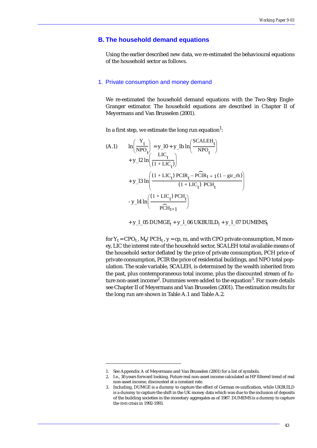# **B. The household demand equations**

Using the earlier described new data, we re-estimated the behavioural equations of the household sector as follows.

#### 1. Private consumption and money demand

We re-estimated the household demand equations with the Two-Step Engle-Granger estimator. The household equations are described in Chapter II of Meyermans and Van Brusselen (2001).

In a first step, we estimate the long run equation<sup>1</sup>:

(A.1) 
$$
\ln\left(\frac{Y_t}{NPO_t}\right) = y_10 + y_2 lb \ln\left(\frac{SCALEH_t}{NPO_t}\right) + y_12 ln\left(\frac{LIC_t}{(1 + LIC_t)}\right) + y_212 ln\left(\frac{(1 + LIC_t) PCIR_t - PCIR_{t+1}(1 - gir_th)}{(1 + LIC_t) PCH_t}\right) + y_213 ln\left(\frac{(1 + LIC_t) PCH_t}{(1 + LIC_t) PCH_t}\right) - y_14 ln\left(\frac{(1 + LIC_t) PCH_t}{PCH_{t+1}}\right)
$$

+ y\_l\_05 DUMGE*t* + y\_l\_06 UKBUILD*t* + y\_l\_07 DUMEMS*<sup>t</sup>*

for  $Y_t = CPO_t$ ,  $M_t/PCR_t$ ,  $y = cp$ , m, and with CPO private consumption, M money, LIC the interest rate of the household sector, SCALEH total available means of the household sector deflated by the price of private consumption, PCH price of private consumption, PCIR the price of residential buildings, and NPO total population. The scale variable, SCALEH, is determined by the wealth inherited from the past, plus contemporaneous total income, plus the discounted stream of future non-asset income<sup>2</sup>. Dummies were added to the equation<sup>3</sup>. For more details see Chapter II of Meyermans and Van Brusselen (2001). The estimation results for the long run are shown in Table A.1 and Table A.2.

<sup>1.</sup> See Appendix A of Meyermans and Van Brusselen (2001) for a list of symbols.

<sup>2.</sup> I.e., 30 years forward looking. Future real non-asset income calculated as HP filtered trend of real non-asset income, discounted at a constant rate.

<sup>3.</sup> Including, DUMGE is a dummy to capture the effect of German re-unification, while UKBUILD is a dummy to capture the shift in the UK money data which was due to the inclusion of deposits of the building societies in the monetary aggregates as of 1987. DUMEMS is a dummy to capture the EMS crisis in 1992-1993.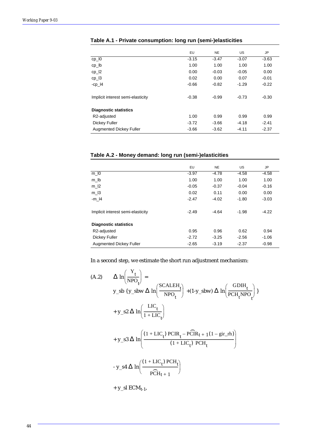|                                   | EU      | <b>NE</b> | US.     | JP      |
|-----------------------------------|---------|-----------|---------|---------|
| $cp_$ $10$                        | $-3.15$ | $-3.47$   | $-3.07$ | $-3.63$ |
| cp_lb                             | 1.00    | 1.00      | 1.00    | 1.00    |
| $cp_12$                           | 0.00    | $-0.03$   | $-0.05$ | 0.00    |
| $cp_13$                           | 0.02    | 0.00      | 0.07    | $-0.01$ |
| $-cp_$  4                         | $-0.66$ | $-0.82$   | $-1.29$ | $-0.22$ |
| Implicit interest semi-elasticity | $-0.38$ | $-0.99$   | $-0.73$ | $-0.30$ |
| <b>Diagnostic statistics</b>      |         |           |         |         |
| R2-adjusted                       | 1.00    | 0.99      | 0.99    | 0.99    |
| Dickey Fuller                     | $-3.72$ | $-3.66$   | $-4.18$ | $-2.41$ |
| <b>Augmented Dickey Fuller</b>    | $-3.66$ | $-3.62$   | $-4.11$ | $-2.37$ |

# **Table A.1 - Private consumption: long run (semi-)elasticities**

# **Table A.2 - Money demand: long run (semi-)elasticities**

|                                   | <b>EU</b> | <b>NE</b> | <b>US</b> | JP      |
|-----------------------------------|-----------|-----------|-----------|---------|
| $m_l$ $0$                         | $-3.97$   | $-4.78$   | $-4.58$   | $-4.58$ |
| $m_l$                             | 1.00      | 1.00      | 1.00      | 1.00    |
| $m_l$  2                          | $-0.05$   | $-0.37$   | $-0.04$   | $-0.16$ |
| $m_l$ 3                           | 0.02      | 0.11      | 0.00      | 0.00    |
| $-m_1$                            | $-2.47$   | $-4.02$   | $-1.80$   | $-3.03$ |
| Implicit interest semi-elasticity | $-2.49$   | $-4.64$   | $-1.98$   | $-4.22$ |
| <b>Diagnostic statistics</b>      |           |           |           |         |
| R2-adjusted                       | 0.95      | 0.96      | 0.62      | 0.94    |
| Dickey Fuller                     | $-2.72$   | $-3.25$   | $-2.56$   | $-1.06$ |
| <b>Augmented Dickey Fuller</b>    | $-2.65$   | $-3.19$   | $-2.37$   | $-0.98$ |

In a second step, we estimate the short run adjustment mechanism:

(A.2) 
$$
\Delta \ln \left( \frac{Y_t}{NPO_t} \right) =
$$
  
\ny\_s b { y\_s b w  $\Delta \ln \left( \frac{SCALEH_t}{NPO_t} \right) + (1-y_s b w) \Delta \ln \left( \frac{GDH_t}{PCH_t NPO_t} \right)$   
\n+ y\_s2  $\Delta \ln \left( \frac{LIC_t}{1 + LIC_t} \right)$   
\n+ y\_s3  $\Delta \ln \left( \frac{(1 + LIC_t) PCIR_t - PCIR_t + 1(1 - gir_r h)}{(1 + LIC_t) PCH_t} \right)$   
\n- y\_s4  $\Delta \ln \left( \frac{(1 + LIC_t) PCH_t}{PCH_{t+1}} \right)$   
\n+ y\_sI ECM<sub>t-1</sub>,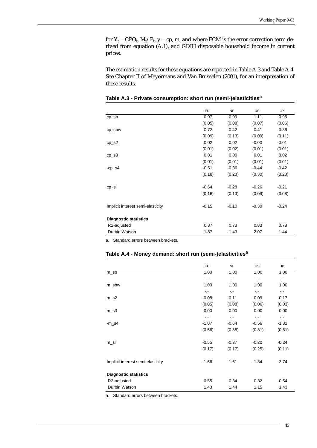for  $Y_t = CPO_t$ ,  $M_t/P_t$ ,  $y = cp$ , m, and where ECM is the error correction term derived from equation (A.1), and GDIH disposable household income in current prices.

The estimation results for these equations are reported in Table A.3 and Table A.4. See Chapter II of Meyermans and Van Brusselen (2001), for an interpretation of these results.

|                                   | EU      | <b>NE</b> | US      | <b>JP</b> |
|-----------------------------------|---------|-----------|---------|-----------|
| $cp\_sb$                          | 0.97    | 0.99      | 1.11    | 0.95      |
|                                   | (0.05)  | (0.08)    | (0.07)  | (0.06)    |
| cp_sbw                            | 0.72    | 0.42      | 0.41    | 0.36      |
|                                   | (0.09)  | (0.13)    | (0.09)  | (0.11)    |
| $cp$ <sub>_</sub> s2              | 0.02    | 0.02      | $-0.00$ | $-0.01$   |
|                                   | (0.01)  | (0.02)    | (0.01)  | (0.01)    |
| $cp$ <sub>_S</sub> 3              | 0.01    | 0.00      | 0.01    | 0.02      |
|                                   | (0.01)  | (0.01)    | (0.01)  | (0.01)    |
| $-cp$ _s4                         | $-0.51$ | $-0.36$   | $-0.44$ | $-0.42$   |
|                                   | (0.18)  | (0.23)    | (0.30)  | (0.20)    |
|                                   |         |           |         |           |
| $cp$ <sub>_Sl</sub>               | $-0.64$ | $-0.28$   | $-0.26$ | $-0.21$   |
|                                   | (0.16)  | (0.13)    | (0.09)  | (0.08)    |
| Implicit interest semi-elasticity | $-0.15$ | $-0.10$   | $-0.30$ | $-0.24$   |
| <b>Diagnostic statistics</b>      |         |           |         |           |
| R2-adjusted                       | 0.87    | 0.73      | 0.83    | 0.78      |
| Durbin Watson                     | 1.87    | 1.43      | 2.07    | 1.44      |

**Table A.3 - Private consumption: short run (semi-)elasticitiesa**

a. Standard errors between brackets.

#### **Table A.4 - Money demand: short run (semi-)elasticitiesa**

|                                   | <b>EU</b>       | <b>NE</b>       | <b>US</b>       | <b>JP</b>       |
|-----------------------------------|-----------------|-----------------|-----------------|-----------------|
| m_sb                              | 1.00            | 1.00            | 1.00            | 1.00            |
|                                   | $\sim$ , $\sim$ | $\sim$ , $\sim$ | $\sim$ , $\sim$ | $\sim$ , $\sim$ |
| m_sbw                             | 1.00            | 1.00            | 1.00            | 1.00            |
|                                   | $\sim$ , $\sim$ | $\sim$ . $\sim$ | -.-             | -.-             |
| $m$ _s2                           | $-0.08$         | $-0.11$         | $-0.09$         | $-0.17$         |
|                                   | (0.05)          | (0.08)          | (0.06)          | (0.03)          |
| $m$ _s3                           | 0.00            | 0.00            | 0.00            | 0.00            |
|                                   | $\sim$ $\sim$   | $\sim$ , $\sim$ | $\sim$ , $\sim$ | -.-             |
| $-m$ <sub>_</sub> s4              | $-1.07$         | $-0.64$         | $-0.56$         | $-1.31$         |
|                                   | (0.56)          | (0.85)          | (0.81)          | (0.61)          |
|                                   |                 |                 |                 |                 |
| m_sl                              | $-0.55$         | $-0.37$         | $-0.20$         | $-0.24$         |
|                                   | (0.17)          | (0.17)          | (0.25)          | (0.11)          |
| Implicit interest semi-elasticity | $-1.66$         | $-1.61$         | $-1.34$         | $-2.74$         |
| <b>Diagnostic statistics</b>      |                 |                 |                 |                 |
| R2-adjusted                       | 0.55            | 0.34            | 0.32            | 0.54            |
| Durbin Watson                     | 1.43            | 1.44            | 1.15            | 1.43            |

a. Standard errors between brackets.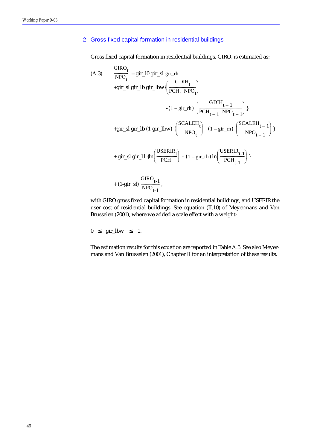# 2. Gross fixed capital formation in residential buildings

Gross fixed capital formation in residential buildings, GIRO, is estimated as:

(A.3) 
$$
\frac{\text{GIRO}_{t}}{\text{NPO}_{t}} = \text{gir\_lo gir\_sl gir\_rh}
$$
  
\n+gir\\_sl gir\\_lb gir\\_lbw{ $\left(\frac{\text{GDIH}_{t}}{\text{PCH}_{t} \text{NPO}_{t}}\right)$   
\n- $(1 - \text{gir\_rh}) \left(\frac{\text{GDIH}_{t-1}}{\text{PCH}_{t-1} \text{NPO}_{t-1}}\right)$ }  
\n+gir\\_sl gir\\_lb (1-gir\\_lbw) { $\left(\frac{\text{SCALEH}_{t}}{\text{NPO}_{t}}\right)$  -  $(1 - \text{gir\_rh}) \left(\frac{\text{SCALEH}_{t-1}}{\text{NPO}_{t-1}}\right)$ }  
\n+ gir\\_sl gir\\_l1 {ln $\left(\frac{\text{USERIR}_{t}}{\text{PCH}_{t}}\right)$  -  $(1 - \text{gir\_rh}) \ln \left(\frac{\text{USERIR}_{t-1}}{\text{PCH}_{t-1}}\right)$ }  
\n+  $(1 - \text{gir\_sl}) \frac{\text{GIRO}_{t-1}}{\text{NPO}_{t-1}}$ ,

with GIRO gross fixed capital formation in residential buildings, and USERIR the user cost of residential buildings. See equation (II.10) of Meyermans and Van Brusselen (2001), where we added a scale effect with a weight:

$$
0 \leq \text{gir\_lbw } \leq 1.
$$

The estimation results for this equation are reported in Table A.5. See also Meyermans and Van Brusselen (2001), Chapter II for an interpretation of these results.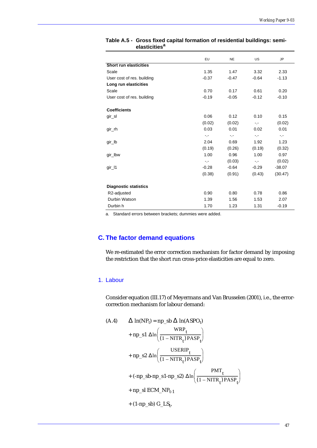|                               | EU            | <b>NE</b>       | US              | <b>JP</b>       |
|-------------------------------|---------------|-----------------|-----------------|-----------------|
| <b>Short run elasticities</b> |               |                 |                 |                 |
| Scale                         | 1.35          | 1.47            | 3.32            | 2.33            |
| User cost of res. building    | $-0.37$       | $-0.47$         | $-0.64$         | $-1.13$         |
| Long run elasticities         |               |                 |                 |                 |
| Scale                         | 0.70          | 0.17            | 0.61            | 0.20            |
| User cost of res. building    | $-0.19$       | $-0.05$         | $-0.12$         | $-0.10$         |
| <b>Coefficients</b>           |               |                 |                 |                 |
| gir_sl                        | 0.06          | 0.12            | 0.10            | 0.15            |
|                               | (0.02)        | (0.02)          | $\sim$ , $\sim$ | (0.02)          |
| gir_rh                        | 0.03          | 0.01            | 0.02            | 0.01            |
|                               | $\sim$ $\sim$ | $\sim$ , $\sim$ | -.-             | $\sim$ , $\sim$ |
| gir_lb                        | 2.04          | 0.69            | 1.92            | 1.23            |
|                               | (0.19)        | (0.26)          | (0.19)          | (0.32)          |
| gir_lbw                       | 1.00          | 0.96            | 1.00            | 0.97            |
|                               | -.-           | (0.03)          | $\sim$ . $\sim$ | (0.02)          |
| gir_l1                        | $-0.28$       | $-0.64$         | $-0.29$         | $-38.07$        |
|                               | (0.38)        | (0.91)          | (0.43)          | (30.47)         |
| <b>Diagnostic statistics</b>  |               |                 |                 |                 |
| R2-adjusted                   | 0.90          | 0.80            | 0.78            | 0.86            |
| Durbin Watson                 | 1.39          | 1.56            | 1.53            | 2.07            |
| Durbin h                      | 1.70          | 1.23            | 1.31            | $-0.19$         |

#### **Table A.5 - Gross fixed capital formation of residential buildings: semielasticities<sup>a</sup>**

a. Standard errors between brackets; dummies were added.

# **C. The factor demand equations**

We re-estimated the error correction mechanism for factor demand by imposing the restriction that the short run cross-price elasticities are equal to zero.

# 1. Labour

Consider equation (III.17) of Meyermans and Van Brusselen (2001), i.e., the errorcorrection mechanism for labour demand:

(A.4) 
$$
\Delta \ln(NP_t) = np_s b \Delta \ln(ASPO_t)
$$

$$
+ np_s 1 \Delta \ln \left( \frac{WRP_t}{(1 - NITR_t) PASP_t} \right)
$$

$$
+ np_s 2 \Delta \ln \left( \frac{USERIP_t}{(1 - NITR_t) PASP_t} \right)
$$

$$
+ (-np_s b - np_s 1 - np_s 2) \Delta \ln \left( \frac{PMT_t}{(1 - NITR_t) PASP_t} \right)
$$

$$
+ np_s 1 ECM_N P_{t-1}
$$

$$
+ (1 - np_s b) G_L S_t,
$$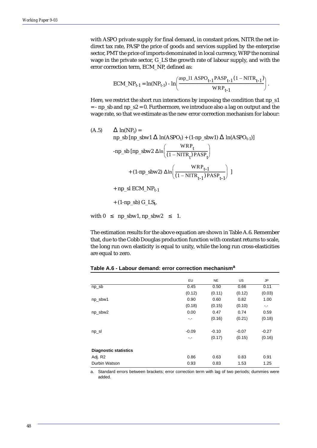with ASPO private supply for final demand, in constant prices, NITR the net indirect tax rate, PASP the price of goods and services supplied by the enterprise sector, PMT the price of imports denominated in local currency, WRP the nominal wage in the private sector, G\_LS the growth rate of labour supply, and with the error correction term, ECM\_NP, defined as:

$$
ECM\_NP_{t-1} = \ln(NP_{t-1}) - \ln\left(\frac{\text{asp\_11} \text{ ASPO}_{t-1} \text{PASP}_{t-1} (1 - NITR_{t-1})}{WRP_{t-1}}\right).
$$

Here, we restrict the short run interactions by imposing the condition that np\_s1  $=$  - np\_sb and np\_s2 = 0. Furthermore, we introduce also a lag on output and the wage rate, so that we estimate as the new error correction mechanism for labour:

(A.5) 
$$
\Delta \ln(NP_t) =
$$
  
\nnp\_s b [np\_sbw1  $\Delta \ln(ASPO_t) + (1-np_sbw1) \Delta \ln(ASPO_{t-1})]$   
\n-np\_s b [np\_sbw2  $\Delta \ln \left( \frac{WRP_t}{(1 - NITR_t) PASP_t} \right)$   
\n+ (1-np\_sbw2)  $\Delta \ln \left( \frac{WRP_{t-1}}{(1 - NITR_{t-1}) PASP_{t-1}} \right)$ ]  
\n+ np\_s l ECM\_NP\_{t-1}  
\n+ (1-np\_sb) G\_LS\_t,  
\nwith  $0 \le np_sbw1, np_sbw2 \le 1$ .

The estimation results for the above equation are shown in Table A.6. Remember that, due to the Cobb Douglas production function with constant returns to scale, the long run own elasticity is equal to unity, while the long run cross-elasticities are equal to zero.

|                              | EU      | <b>NE</b> | <b>US</b> | JP      |
|------------------------------|---------|-----------|-----------|---------|
| $np\_sb$                     | 0.45    | 0.50      | 0.66      | 0.11    |
|                              | (0.12)  | (0.11)    | (0.12)    | (0.03)  |
| np_sbw1                      | 0.90    | 0.60      | 0.82      | 1.00    |
|                              | (0.18)  | (0.15)    | (0.10)    | -.-     |
| np_sbw2                      | 0.00    | 0.47      | 0.74      | 0.59    |
|                              | -.-     | (0.16)    | (0.21)    | (0.18)  |
| np_sl                        | $-0.09$ | $-0.10$   | $-0.07$   | $-0.27$ |
|                              | -.-     | (0.17)    | (0.15)    | (0.16)  |
| <b>Diagnostic statistics</b> |         |           |           |         |
| Adj. R2                      | 0.86    | 0.63      | 0.83      | 0.91    |
| Durbin Watson                | 0.93    | 0.83      | 1.53      | 1.25    |

| Table A.6 - Labour demand: error correction mechanism <sup>a</sup> |  |  |  |  |
|--------------------------------------------------------------------|--|--|--|--|
|--------------------------------------------------------------------|--|--|--|--|

a. Standard errors between brackets; error correction term with lag of two periods; dummies were added.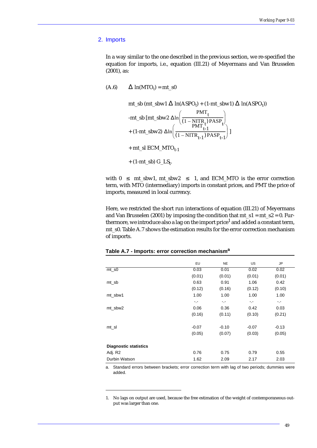#### 2. Imports

In a way similar to the one described in the previous section, we re-specified the equation for imports, i.e., equation (III.21) of Meyermans and Van Brusselen (2001), as:

(A.6)  $\Delta \ln(MTO_t) = mt_s0$ 

mt\_s (mt\_sbw1 
$$
\triangle
$$
 ln(ASPO<sub>t</sub>) + (1-mt\_sbw1)  $\triangle$  ln(ASPO<sub>t</sub>))  
\n-mt\_s b [mt\_sbw2  $\triangle$  ln $\left(\frac{PMT_t}{(1 - NITR_t)PASP_t}\right)$   
\n+ (1-mt\_sbw2)  $\triangle$  ln $\left(\frac{PMT_{t-1}}{(1 - NITR_{t-1})PASP_{t-1}}\right)$ ]  
\n+ mt\_s l ECM\_MTO<sub>t-1</sub>  
\n+ (1-mt\_sb) G\_LS<sub>t</sub>.

with  $0 \leq m \leq 1$ ,  $m \leq m$ ,  $m \leq 1$ , and ECM\_MTO is the error correction term, with MTO (intermediary) imports in constant prices, and PMT the price of imports, measured in local currency.

Here, we restricted the short run interactions of equation (III.21) of Meyermans and Van Brusselen (2001) by imposing the condition that  $mt_s1 = mt_s2 = 0$ . Furthermore, we introduce also a lag on the import price<sup>1</sup> and added a constant term, mt\_s0. Table A.7 shows the estimation results for the error correction mechanism of imports.

|                              | EU      | <b>NE</b> | US      | JP      |
|------------------------------|---------|-----------|---------|---------|
| $mt\_s0$                     | 0.03    | 0.01      | 0.02    | 0.02    |
|                              | (0.01)  | (0.01)    | (0.01)  | (0.01)  |
| mt_sb                        | 0.63    | 0.91      | 1.06    | 0.42    |
|                              | (0.12)  | (0.16)    | (0.12)  | (0.10)  |
| mt_sbw1                      | 1.00    | 1.00      | 1.00    | 1.00    |
|                              | $\sim$  | $\sim$    | $\sim$  | -.-     |
| mt sbw2                      | 0.06    | 0.36      | 0.42    | 0.03    |
|                              | (0.16)  | (0.11)    | (0.10)  | (0.21)  |
| mt_sl                        | $-0.07$ | $-0.10$   | $-0.07$ | $-0.13$ |
|                              | (0.05)  | (0.07)    | (0.03)  | (0.05)  |
| <b>Diagnostic statistics</b> |         |           |         |         |
| Adj. R2                      | 0.76    | 0.75      | 0.79    | 0.55    |
| Durbin Watson                | 1.62    | 2.09      | 2.17    | 2.03    |

#### **Table A.7 - Imports: error correction mechanism<sup>a</sup>**

a. Standard errors between brackets; error correction term with lag of two periods; dummies were added.

<sup>1.</sup> No lags on output are used, because the free estimation of the weight of contemporaneous output was larger than one.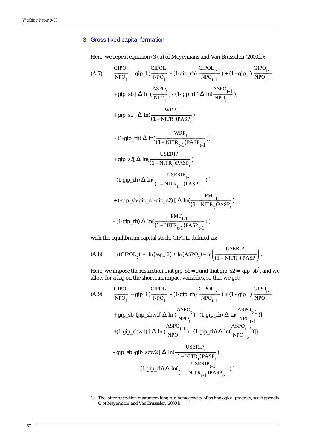# 3. Gross fixed capital formation

Here, we repeat equation (37.a) of Meyermans and Van Brusselen (2000.b):

$$
(A.7) \frac{GIPO_t}{NPO_t} = gip_l \left( \frac{CPOL_t}{NPO_t} - (1-gip_r h) \frac{CIPOL_{t-1}}{NPO_{t-1}} \right) + (1 - gip_l) \frac{GIPO_{t-1}}{NPO_{t-1}}
$$
\n
$$
+ gip_s b \left[ \Delta \ln \left( \frac{ASPO_t}{NPO_t} \right) - (1-gip_r h) \Delta \ln \left( \frac{ASPO_{t-1}}{NPO_{t-1}} \right) \right]
$$
\n
$$
+ gip_s l \left[ \Delta \ln \left( \frac{WRP_t}{(1 - NITR_t)^PASP_t} \right) \right]
$$
\n
$$
- (1-gip_r h) \Delta \ln \left( \frac{WRP_t}{(1 - NITR_{t-1})^PASP_{t-1}} \right) \right]
$$
\n
$$
+ gip_s 2 \left[ \Delta \ln \left( \frac{USERIP_t}{(1 - NITR_t)^PASP_t} \right) \right]
$$
\n
$$
- (1-gip_r h) \Delta \ln \left( \frac{USERIP_{t-1}}{(1 - NITR_{t-1})^PASP_{t-1}} \right) \right]
$$
\n
$$
+ (-gip_s b - gip_s 1 - gip_s 2) \left[ \Delta \ln \left( \frac{PMT_t}{(1 - NITR_t)^PASP_t} \right) \right]
$$
\n
$$
- (1-gip_r h) \Delta \ln \left( \frac{PMT_{t-1}}{(1 - NITR_{t-1})^PASP_{t-1}} \right) \right].
$$

with the equilibrium capital stock, CIPOL, defined as:

(A.8) 
$$
\ln(\text{CIPOL}_{t}) = \ln(\text{asp}\_12) + \ln(\text{ASPO}_{t}) - \ln\left(\frac{\text{USERIP}_{t}}{(1 - \text{NITR}_{t}) \text{PASP}_{t}}\right).
$$

Here, we impose the restriction that gip\_s1 = 0 and that gip\_s2 = -gip\_sb<sup>1</sup>, and we allow for a lag on the short run impact variables, so that we get:

$$
(A.9) \frac{GIPO_t}{NPO_t} = gip_l \left(\frac{CPOL_t}{NPO_t} - (1-gip_rh) \frac{CIPOL_{t-1}}{NPO_{t-1}}\right) + (1 - gip_l) \frac{GIPO_{t-1}}{NPO_{t-1}}
$$
\n
$$
+ gip_s b \{gip_s bwl \} \left[\Delta \ln \left(\frac{ASPO_t}{NPO_t}\right) - (1-gip_rh) \Delta \ln \left(\frac{ASPO_{t-1}}{NPO_{t-1}}\right)\right]
$$
\n
$$
+ (1-gip_s bwl) \left[\Delta \ln \left(\frac{ASPO_{t-1}}{NPO_{t-1}}\right) - (1-gip_rh) \Delta \ln \left(\frac{ASPO_{t-2}}{NPO_{t-2}}\right)\right]
$$
\n
$$
- gip_s b \{gib_s bwl \} \left[\Delta \ln \left(\frac{USERIP_t}{(1 - NITR_t)PASP_t}\right) - (1-gip_rh) \Delta \ln \left(\frac{USERIP_{t-1}}{(1 - NITR_t)PASP_{t-1}}\right)\right]
$$

<sup>1.</sup> The latter restriction guarantees long run homogeneity of technological progress, see Appendix G of Meyermans and Van Brusselen (2000.b).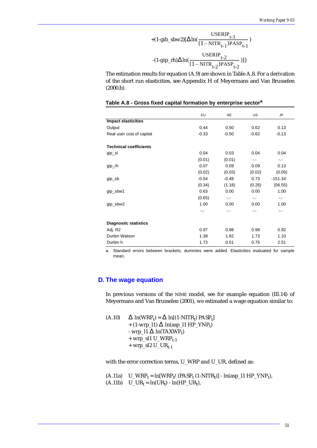+
$$
(1-gib\_sbw2)[\Delta ln(\frac{USERIP_{t-1}}{(1-NITR_{t-1})PASP_{t-1}})
$$

$$
-(1-gip\_rh)\Delta ln(\frac{USERIP_{t-2}}{(1-NITR_{t-2})PASP_{t-2}})]
$$

The estimation results for equation (A.9) are shown in Table A.8. For a derivation of the short run elasticities, see Appendix H of Meyermans and Van Brusselen (2000.b).

|  |  | Table A.8 - Gross fixed capital formation by enterprise sector <sup>a</sup> |  |  |
|--|--|-----------------------------------------------------------------------------|--|--|
|  |  |                                                                             |  |  |

|                               | EU      | <b>NE</b> | <b>US</b>       | <b>JP</b>       |
|-------------------------------|---------|-----------|-----------------|-----------------|
| <b>Impact elasticities</b>    |         |           |                 |                 |
| Output                        | 0.44    | 0.50      | 0.62            | 0.13            |
| Real user cost of capital     | $-0.33$ | $-0.50$   | $-0.62$         | $-0.13$         |
| <b>Technical coefficients</b> |         |           |                 |                 |
| gip_sl                        | 0.04    | 0.03      | 0.04            | 0.04            |
|                               | (0.01)  | (0.01)    | $\sim$ , $\sim$ | $\sim$ , $\sim$ |
| gip_rh                        | 0.07    | 0.09      | 0.09            | 0.13            |
|                               | (0.02)  | (0.03)    | (0.02)          | (0.05)          |
| gip_sb                        | $-0.54$ | $-0.48$   | 0.73            | $-151.34$       |
|                               | (0.34)  | (1.18)    | (0.26)          | (56.55)         |
| gip_sbw1                      | 0.63    | 0.00      | 0.00            | 1.00            |
|                               | (0.65)  | -.-       | $\sim$ $\sim$   | -.-             |
| gip_sbw2                      | 1.00    | 0.00      | 0.00            | 1.00            |
|                               | -.-     | -.-       | -.-             | -.-             |
| <b>Diagnostic statistics</b>  |         |           |                 |                 |
| Adj. R2                       | 0.97    | 0.98      | 0.98            | 0.92            |
| Durbin Watson                 | 1.38    | 1.82      | 1.73            | 1.10            |
| Durbin h                      | 1.73    | 0.51      | 0.75            | 2.51            |
|                               |         |           |                 |                 |

a. Standard errors between brackets; dummies were added. Elasticities evaluated for sample mean.

# **D. The wage equation**

In previous versions of the NIME model, see for example equation (III.14) of Meyermans and Van Brusselen (2001), we estimated a wage equation similar to:

(A.10)  $\Delta \ln(WRP_t) = \Delta \ln[(1-NITR_t) PASP_t]$ + (1-wrp\_l1)  $\Delta$  ln(asp\_l1 HP\_YNP<sub>t</sub>) - wrp\_l1  $\Delta$  ln(TAXWP<sub>t</sub>)  $+$  wrp\_sl1 U\_WRP<sub>t-1</sub>  $+$  wrp\_sl2 U\_UR<sub>t-1</sub>

with the error correction terms, U\_WRP and U\_UR, defined as:

(A.11a)  $U_WRP_t = ln[WRP_t/(PASP_t (1-NITR_t)] - ln(asp_l1 HP_YNP_t),$ (A.11b)  $U_UR_t = ln(UR_t) - ln(HP_UR_t)$ ,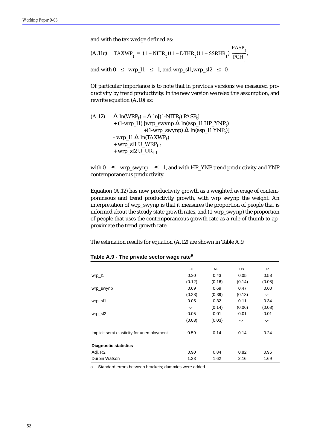and with the tax wedge defined as:

(A.11c) 
$$
TAXWP_t = (1 - NITR_t)(1 - DTHR_t)(1 - SSRHR_t) \frac{PASP_t}{PCH_t},
$$

and with  $0 \leq wrp\_l1 \leq 1$ , and wrp\_sl1,wrp\_sl2  $\leq 0$ .

Of particular importance is to note that in previous versions we measured productivity by trend productivity. In the new version we relax this assumption, and rewrite equation (A.10) as:

(A.12) 
$$
\Delta \ln(WRP_t) = \Delta \ln[(1-NITR_t) PASP_t] + (1-wrp_l1) [wrp_swynp \Delta \ln(asp_l1 HP_YNP_t) + (1-wrp_swynp) \Delta \ln(asp_l1 YNP_t)] - wrp_l1 \Delta \ln(TAXWP_t) + wrp_s11 U_WRP_{t-1} + wp_s12 U_UR_{t-1}
$$

with  $0 \leq wrp$ \_swynp  $\leq 1$ , and with HP\_YNP trend productivity and YNP contemporaneous productivity.

Equation (A.12) has now productivity growth as a weighted average of contemporaneous and trend productivity growth, with wrp\_swynp the weight. An interpretation of wrp\_swynp is that it measures the proportion of people that is informed about the steady state growth rates, and (1-wrp\_swynp) the proportion of people that uses the contemporaneous growth rate as a rule of thumb to approximate the trend growth rate.

The estimation results for equation (A.12) are shown in Table A.9.

|                                           | EU      | <b>NE</b> | <b>US</b> | <b>JP</b> |
|-------------------------------------------|---------|-----------|-----------|-----------|
| wrp_l1                                    | 0.30    | 0.43      | 0.05      | 0.58      |
|                                           | (0.12)  | (0.16)    | (0.14)    | (0.08)    |
| wrp_swynp                                 | 0.69    | 0.69      | 0.47      | 0.00      |
|                                           | (0.28)  | (0.39)    | (0.13)    | ۰.-       |
| wrp_sl1                                   | $-0.05$ | $-0.32$   | $-0.11$   | $-0.34$   |
|                                           | -.-     | (0.14)    | (0.06)    | (0.08)    |
| $wrp$ _sl2                                | $-0.05$ | $-0.01$   | $-0.01$   | $-0.01$   |
|                                           | (0.03)  | (0.03)    | -.-       | ۰.-       |
| implicit semi-elasticity for unemployment | $-0.59$ | $-0.14$   | $-0.14$   | $-0.24$   |
| <b>Diagnostic statistics</b>              |         |           |           |           |
| Adj. R2                                   | 0.90    | 0.84      | 0.82      | 0.96      |
| Durbin Watson                             | 1.33    | 1.62      | 2.16      | 1.69      |

#### **Table A.9 - The private sector wage rate<sup>a</sup>**

a. Standard errors between brackets; dummies were added.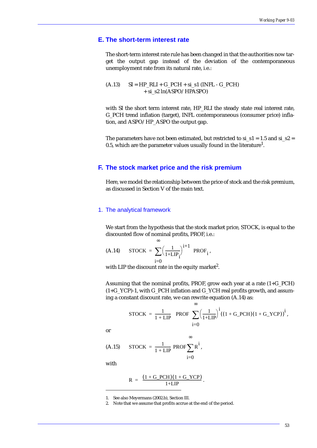# **E. The short-term interest rate**

The short-term interest rate rule has been changed in that the authorities now target the output gap instead of the deviation of the contemporaneous unemployment rate from its natural rate, i.e.:

 $(A.13)$  SI = HP\_RLI + G\_PCH + si\_s1 (INFL - G\_PCH) + si\_s2 ln(ASPO/HPASPO)

with SI the short term interest rate, HP\_RLI the steady state real interest rate, G\_PCH trend inflation (target), INFL contemporaneous (consumer price) inflation, and ASPO/HP\_ASPO the output gap.

The parameters have not been estimated, but restricted to si  $s1 = 1.5$  and si  $s2 =$ 0.5, which are the parameter values usually found in the literature $^1\!\!$ .

### **F. The stock market price and the risk premium**

Here, we model the relationship between the price of stock and the risk premium, as discussed in Section V of the main text.

#### 1. The analytical framework

We start from the hypothesis that the stock market price, STOCK, is equal to the discounted flow of nominal profits, PROF, i.e.:

$$
\text{(A.14)} \qquad \text{STOCK} = \sum_{i=0}^{\infty} \Bigl(\frac{1}{1 + \text{LIP}_i}\Bigr)^{i+1} \text{ PROF}_i,
$$

with LIP the discount rate in the equity market<sup>2</sup>.

Assuming that the nominal profits, PROF, grow each year at a rate (1+G\_PCH) (1+G\_YCP)-1, with G\_PCH inflation and G\_YCH real profits growth, and assuming a constant discount rate, we can rewrite equation (A.14) as:

∞

$$
STOCK = \frac{1}{1 + LIP} \text{ PROF } \sum_{i=0}^{\infty} \left(\frac{1}{1 + LIP}\right)^{i} ((1 + G\_PCH)(1 + G\_YCP))^{i},
$$

.

or

$$
(A.15) \quad \text{STOCK} = \frac{1}{1 + LIP} \text{ PROF} \sum_{i=0} R^i,
$$

with

$$
R = \frac{(1 + G_PCH)(1 + G_YCP)}{1 + LIP}
$$

1. See also Meyermans (2002.b), Section III.

2. Note that we assume that profits accrue at the end of the period.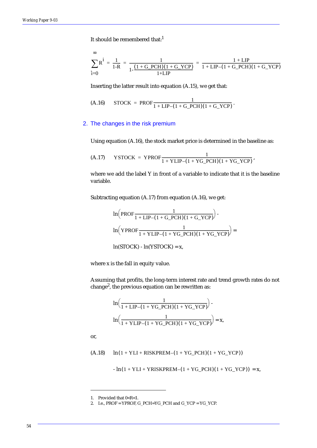It should be remembered that:<sup>1</sup>

$$
\sum_{i=0}^{\infty} R^i = \frac{1}{1-R} = \frac{1}{1 - \frac{(1 + G_PCH)(1 + G_YCP)}{1 + LIP}} = \frac{1 + LIP}{1 + LIP - (1 + G_PCH)(1 + G_YCP)}
$$

Inserting the latter result into equation (A.15), we get that:

$$
\text{(A.16)} \qquad \text{STOCK = PROF} \frac{1}{1 + \text{LIP} - (1 + \text{G\_PCH})(1 + \text{G\_YCP})}.
$$

#### 2. The changes in the risk premium

Using equation (A.16), the stock market price is determined in the baseline as:

$$
(A.17) \qquad \text{YSTOCK} = \text{YPROF} \frac{1}{1 + \text{YLIP} - (1 + \text{YG\_PCH})(1 + \text{YG\_YCP})},
$$

where we add the label Y in front of a variable to indicate that it is the baseline variable.

Subtracting equation (A.17) from equation (A.16), we get:

$$
\ln\left(\text{PROF}\frac{1}{1+\text{LIP}-(1+G\_PCH)(1+G\_YCP)}\right).
$$

$$
\ln\left(\text{YPROF}\frac{1}{1+\text{YLIP}-(1+\text{YG\_PCH})(1+\text{YG\_YCP})}\right) =
$$

$$
\ln(\text{STOCK}) - \ln(\text{YSTOCK}) = x,
$$

where x is the fall in equity value.

Assuming that profits, the long-term interest rate and trend growth rates do not change<sup>2</sup>, the previous equation can be rewritten as:

$$
\ln\left(\frac{1}{1 + LIP - (1 + YG_PCH)(1 + YG_YCP)}\right) - \ln\left(\frac{1}{1 + YLIP - (1 + YG_PCH)(1 + YG_YCP)}\right) = x,
$$

or,

 $(h.18)$   $\ln(1 + YLI + RISKPREM - (1 + YG_PCH)(1 + YG_YCP))$ 

 $-\ln(1 + YLI + YRISKPREM - (1 + YG_PCH)(1 + YG_YCP)) = x,$ 

<sup>1.</sup> Provided that 0<R<1.

<sup>2.</sup> I.e., PROF = YPROF, G\_PCH=YG\_PCH and G\_YCP = YG\_YCP.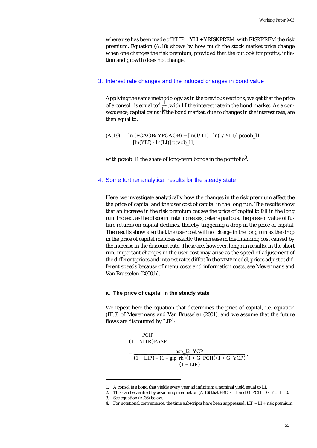where use has been made of  $YLIP = YLI + YRISKPREM$ , with RISKPREM the risk premium. Equation (A.18) shows by how much the stock market price change when one changes the risk premium, provided that the outlook for profits, inflation and growth does not change.

#### 3. Interest rate changes and the induced changes in bond value

Applying the same methodology as in the previous sections, we get that the price of a consol<sup>1</sup> is equal to<sup>2</sup>  $\frac{1}{L}$ , with LI the interest rate in the bond market. As a consequence, capital gains in the bond market, due to changes in the interest rate, are then equal to:  $\frac{1}{\text{LI}}$ 

#### $(A.19)$  ln  $(PCAOB/YPCAOB) = [ln(1/LI) - ln(1/YLI)]$  pcaob\_l1  $=$  [ln(YLI) - ln(LI)] pcaob\_l1,

with pcaob\_l1 the share of long-term bonds in the portfolio $^3$ .

#### 4. Some further analytical results for the steady state

Here, we investigate analytically how the changes in the risk premium affect the the price of capital and the user cost of capital in the long run. The results show that an increase in the risk premium causes the price of capital to *fall* in the long run. Indeed, as the discount rate increases, ceteris paribus, the present value of future returns on capital declines, thereby triggering a drop in the price of capital. The results show also that the user cost will *not change* in the long run as the drop in the price of capital matches exactly the increase in the financing cost caused by the increase in the discount rate. These are, however, long run results. In the short run, important changes in the user cost may arise as the speed of adjustment of the different prices and interest rates differ. In the NIME model, prices adjust at different speeds because of menu costs and information costs, see Meyermans and Van Brusselen (2000.b).

#### **a. The price of capital in the steady state**

We repeat here the equation that determines the price of capital, i.e. equation (III.8) of Meyermans and Van Brusselen (2001), and we assume that the future flows are discounted by  $LIP<sup>4</sup>$ :

$$
\frac{PCIP}{(1 - NITR)PASP}
$$
\n
$$
= \frac{\text{asp\_l2 } YCP}{(1 + LIP) - (1 - \text{gip\_rh})(1 + G\_PCH)(1 + G\_YCP)}.
$$
\n
$$
(1 + LIP)
$$

<sup>1.</sup> A consol is a bond that yields every year ad infinitum a nominal yield equal to LI.

<sup>2.</sup> This can be verified by assuming in equation  $(A.16)$  that PROF = 1 and  $G_PCH = G_YCH = 0$ .

<sup>3.</sup> See equation (A.36) below.

<sup>4.</sup> For notational convenience, the time subscripts have been suppressed.  $LIP = LI + risk$  premium.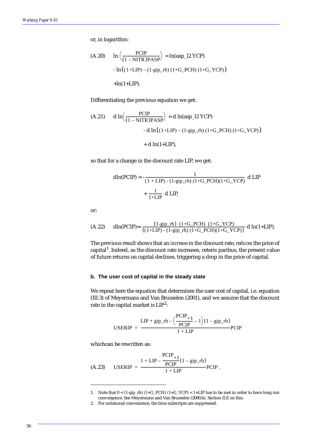or, in logarithm:

(A.20) 
$$
\ln \left( \frac{PCIP}{(1 - NITR)PASP} \right) = \ln(\text{asp}\_2 \text{ YCP})
$$
  
-  $\ln((1+LIP) - (1-\text{gip}\_rh) (1+G_PCH) (1+G_YCP))$   
+ $\ln(1+LIP)$ .

Differentiating the previous equation we get:

(A.21) 
$$
d \ln \left( \frac{PCIP}{(1 - NITR)PASP} \right) = d \ln (asp_1 2 YCP)
$$
  
-  $d \ln ((1+LIP) - (1-gip_r h) (1+G_PCH) (1+G_YCP))$   
+  $d \ln (1+LIP)$ ,

so that for a change in the discount rate LIP, we get:

$$
dln(PCIP) = -\frac{1}{(1 + LIP) - (1 - gip_rh) (1 + G_PCH)(1 + G_YCP)} dLIP
$$

$$
+ \frac{1}{1 + LIP} dLIP,
$$

or:

(A.22) 
$$
\dim(PCIP) = \frac{(1-\text{gip\_rh}) (1+G_PCH) (1+G_YCP)}{((1+LIP) - (1-\text{gip\_rh}) (1+G_PCH)(1+G_YCP))} d \ln(1+LIP).
$$

The previous result shows that an *increase* in the discount rate, *reduces* the price of capital<sup>1</sup>. Indeed, as the discount rate increases, ceteris paribus, the present value of future returns on capital declines, triggering a drop in the price of capital.

#### **b. The user cost of capital in the steady state**

We repeat here the equation that determines the user cost of capital, i.e. equation (III.3) of Meyermans and Van Brusselen (2001), and we assume that the discount rate in the capital market is  $LIP^2$ :

$$
USERIP = \frac{LIP + gip\_rh - \left(\frac{PCIP}{PCIP} + 1\right)(1 - gip\_rh)}{1 + LIP} PCIP
$$

whichcan be rewritten as:

$$
\text{(A.23)} \qquad \text{USERIP} = \frac{1 + \text{LIP} - \frac{\text{PCIP}}{\text{PCIP}} (1 - \text{gip\_rh})}{1 + \text{LIP}} \text{PCIP}.
$$

<sup>1.</sup> Note that  $0 < (1-\text{gip\_rh}) (1+G\_PCH) (1+G\_YCP) < 1+LIP$  has to be met in order to have long run convergence. See Meyermans and Van Brusselen (2000.b), Section II.E on this.

<sup>2.</sup> For notational convenience, the time subscripts are suppressed.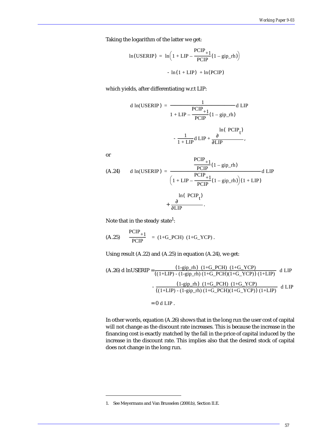Taking the logarithm of the latter we get:

$$
\ln(\text{USERIP}) = \ln\left(1 + \text{LIP} - \frac{\text{PCIP}}{\text{PCIP}}(1 - \text{gip\_rh})\right)
$$

$$
- \ln(1 + \text{LIP}) + \ln(\text{PCIP})
$$

which yields, after differentiating w.r.t LIP:

d ln(USERIP) = 
$$
\frac{1}{1 + LIP - \frac{PCIP_{+1}}{PCIP}(1 - \text{gip\_rh})}
$$
d LIP\n
$$
- \frac{1}{1 + LIP} d LIP + \frac{\partial}{\partial LIP},
$$

or

$$
\text{(A.24)} \quad \text{d} \ln(\text{USERIP}) = \frac{\frac{\text{PCIP}}{\text{PCIP}}(1 - \text{gip\_rh})}{\left(1 + \text{LIP} - \frac{\text{PCIP}}{\text{PCIP}}(1 - \text{gip\_rh})\right)(1 + \text{LIP})} \text{d} \text{LIP}
$$
\n
$$
+ \frac{\partial}{\partial \text{LIP}}
$$

Note that in the steady state<sup>1</sup>:

(A.25) 
$$
\frac{PCIP_{+1}}{PCIP} = (1+G_PCH) (1+G_YCP).
$$

Using result (A.22) and (A.25) in equation (A.24), we get:

(A.26) d InUSERIP = 
$$
\frac{(1-\text{gip_rh}) (1+G_PCH) (1+G_YCP)}{((1+LIP) - (1-\text{gip_rh}) (1+G_PCH)(1+G_YCP)) (1+LIP)}
$$
 d LIP
$$
-\frac{(1-\text{gip_rh}) (1+G_PCH) (1+G_YCP)}{((1+LIP) - (1-\text{gip_rh}) (1+G_PCH)(1+G_YCP)) (1+LIP)}
$$
 d LIP

 $= 0$  d LIP.

In other words, equation (A.26) shows that in the long run the user cost of capital will not change as the discount rate increases. This is because the increase in the financing cost is exactly matched by the fall in the price of capital induced by the increase in the discount rate. This implies also that the desired stock of capital does not change in the long run.

<sup>1.</sup> See Meyermans and Van Brusselen (2000.b), Section II.E.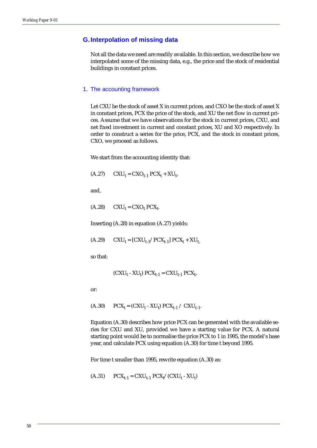# **G.Interpolation of missing data**

Not all the data we need are readily available. In this section, we describe how we interpolated some of the missing data, e.g., the price and the stock of residential buildings in constant prices.

#### 1. The accounting framework

Let CXU be the stock of asset X in current prices, and CXO be the stock of asset X in constant prices, PCX the price of the stock, and XU the net flow in current prices. Assume that we have observations for the stock in current prices, CXU, and net fixed investment in current and constant prices, XU and XO respectively. In order to construct a series for the price, PCX, and the stock in constant prices, CXO, we proceed as follows.

We start from the accounting identity that:

$$
(A.27) \qquad CXU_t = CXO_{t-1} PCX_t + XU_t,
$$

and,

 $(A.28)$   $CXU_t = CXO_t PCX_t.$ 

Inserting (A.28) in equation (A.27) yields:

 $(A.29)$   $CXU_t = [CXU_{t-1}/PCX_{t-1}] PCX_t + XU_t$ 

so that:

$$
(CXU_t - XU_t) PCX_{t-1} = CXU_{t-1} PCX_t,
$$

or:

(A.30)  $PCX_t = (CXU_t - XU_t) PCX_{t-1} / CXU_{t-1}$ .

Equation (A.30) describes how price PCX can be generated with the available series for CXU and XU, provided we have a starting value for PCX. A natural starting point would be to normalise the price PCX to 1 in 1995, the model's base year, and calculate PCX using equation (A.30) for time t beyond 1995.

For time t smaller than 1995, rewrite equation (A.30) as:

(A.31)  $PCX_{t-1} = CXU_{t-1} PCX_t / (CXU_t - XU_t)$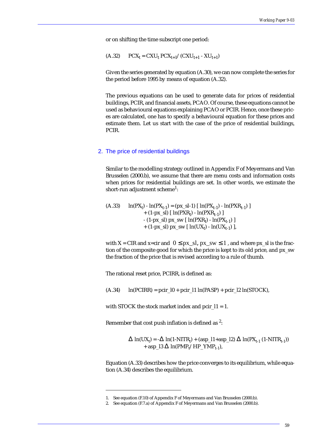or on shifting the time subscript one period:

$$
(A.32) \qquad PCX_t = CXU_t \, PCX_{t+1} / (CXU_{t+1} - XU_{t+1})
$$

Given the series generated by equation (A.30), we can now complete the series for the period before 1995 by means of equation (A.32).

The previous equations can be used to generate data for prices of residential buildings, PCIR, and financial assets, PCAO. Of course, these equations cannot be used as behavioural equations explaining PCAO or PCIR. Hence, once these prices are calculated, one has to specify a behavioural equation for these prices and estimate them. Let us start with the case of the price of residential buildings, PCIR.

#### 2. The price of residential buildings

Similar to the modelling strategy outlined in Appendix F of Meyermans and Van Brusselen (2000.b), we assume that there are menu costs and information costs when prices for residential buildings are set. In other words, we estimate the short-run adjustment scheme $^{\rm l}$ :

(A.33)  $\ln(PX_t) - \ln(PX_{t-1}) = (px_s-1) [\ln(PX_{t-1}) - \ln(PX_{t-1})]$ + (1-px\_sl)  $\lceil \ln(PXR_t) - \ln(PXR_{t-1}) \rceil$  $- (1-px_s) \, px_s w \, [\ln(PXR_t) - ln(PX_{t-1})]$ + (1-px\_sl) px\_sw [  $ln(UX_t) - ln(UX_{t-1})$  ],

with X = CIR and x=cir and  $0 \le px_s, px_sw \le 1$ , and where px sl is the fraction of the composite good for which the price is kept to its old price, and px\_sw the fraction of the price that is revised according to a rule of thumb.

The rational reset price, PCIRR, is defined as:

 $(A.34)$  ln(PCIRR) = pcir\_l0 + pcir\_l1 ln(PASP) + pcir\_l2 ln(STOCK),

with STOCK the stock market index and pcir\_l1 = 1.

Remember that cost push inflation is defined as  $2$ :

 $\Delta \ln(UX_t) = -\Delta \ln(1-NITR_t) + (asp_l1+asp_l2) \Delta \ln(PX_{t-1} (1-NITR_{t-1}))$ + asp\_l3  $\Delta$  ln(PMP<sub>t</sub>/HP\_YMP<sub>t-1</sub>),

Equation (A.33) describes how the price converges to its equilibrium, while equation (A.34) describes the equilibrium.

<sup>1.</sup> See equation (F.10) of Appendix F of Meyermans and Van Brusselen (2000.b).

<sup>2.</sup> See equation (F.7.a) of Appendix F of Meyermans and Van Brusselen (2000.b).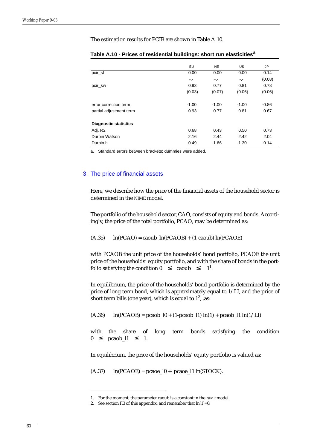The estimation results for PCIR are shown in Table A.10.

|                              | EU      | <b>NE</b> | <b>US</b> | <b>JP</b> |
|------------------------------|---------|-----------|-----------|-----------|
| pcir_sl                      | 0.00    | 0.00      | 0.00      | 0.14      |
|                              | -.-     | -.-       | ۰.-       | (0.08)    |
| pcir_sw                      | 0.93    | 0.77      | 0.81      | 0.78      |
|                              | (0.03)  | (0.07)    | (0.06)    | (0.06)    |
| error correction term        | $-1.00$ | $-1.00$   | $-1.00$   | $-0.86$   |
| partial adjustment term      | 0.93    | 0.77      | 0.81      | 0.67      |
| <b>Diagnostic statistics</b> |         |           |           |           |
| Adj. R2                      | 0.68    | 0.43      | 0.50      | 0.73      |
| Durbin Watson                | 2.16    | 2.44      | 2.42      | 2.04      |
| Durbin h                     | $-0.49$ | $-1.66$   | $-1.30$   | $-0.14$   |

|  |  | Table A.10 - Prices of residential buildings: short run elasticities <sup>a</sup> |  |  |  |
|--|--|-----------------------------------------------------------------------------------|--|--|--|
|  |  |                                                                                   |  |  |  |

a. Standard errors between brackets; dummies were added.

### 3. The price of financial assets

Here, we describe how the price of the financial assets of the household sector is determined in the NIME model.

The portfolio of the household sector, CAO, consists of equity and bonds. Accordingly, the price of the total portfolio, PCAO, may be determined as:

 $(h.35)$  ln(PCAO) = caoub ln(PCAOB) + (1-caoub) ln(PCAOE)

with PCAOB the unit price of the households' bond portfolio, PCAOE the unit price of the households' equity portfolio, and with the share of bonds in the portfolio satisfying the condition  $0 \leq \text{caoub } \leq 1^1$  $1^1$ .

In equilibrium, the price of the households' bond portfolio is determined by the price of long term bond, which is approximately equal to 1/LI, and the price of short term bills (one year), which is equal to  $1^{2}$ , .as:

 $(A.36)$  ln(PCAOB) = pcaob\_l0 + (1-pcaob\_l1) ln(1) + pcaob\_l1 ln(1/LI)

with the share of long term bonds satisfying the condition  $0 \leq \text{pcaob\_l1} \leq 1.$ 

In equilibrium, the price of the households' equity portfolio is valued as:

 $(A.37)$  ln(PCAOE) = pcaoe\_l0 + pcaoe\_l1 ln(STOCK).

<sup>1.</sup> For the moment, the parameter caoub is a constant in the NIME model.

<sup>2.</sup> See section F.3 of this appendix, and remember that  $ln(1)=0$ .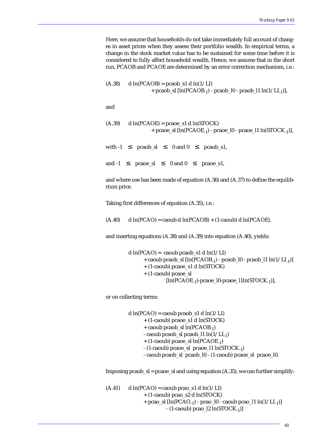Here, we assume that households do not take immediately full account of changes in asset prices when they assess their portfolio wealth. In empirical terms, a change in the stock market value has to be sustained for some time before it is considered to fully affect household wealth. Hence, we assume that in the short run, PCAOB and PCAOE are determined by an error correction mechanism, i.e.:

 $(A.38)$  d ln(PCAOB) = pcaob\_s1 d ln(1/LI) + pcaob\_sl  $[\ln(PCAOB_{-1})$  - pcaob\_l0 - pcaob\_l1  $\ln(1/LI_{-1})]$ ,

and

```
(A.39) d ln(PCAOE) = pcaoe_s1 d ln(STOCK)
            + pcaoe_sl [\ln(PCAOE_{-1}) - pcaoe_l0 - pcaoe_l1 \ln(STOK_{-1})],
```
with  $-1 \leq \text{pcaob}\_ \text{sl} \leq 0 \text{ and } 0 \leq \text{pcaob}\_ \text{sl}$ ,

and  $-1 \leq p \text{case}\_ \text{sl} \leq 0$  and  $0 \leq p \text{case}\_ \text{sl}$ ,

and where use has been made of equation (A.36) and (A.37) to define the equilibrium price.

Taking first differences of equation (A.35), i.e.:

 $(A.40)$  d ln(PCAO) = caoub d ln(PCAOB) + (1-caoub) d ln(PCAOE),

and inserting equations (A.38) and (A.39) into equation (A.40), yields:

```
d ln(PCAO) = caoub pcaob sl d ln(1/LI)+ caoub pcaob_sl [\ln(PCAOB_{-1}) - pcaob_l0 - pcaob_l1 \ln(1/LI_{-1})]+ (1-caoub) pcaoe_s1 d ln(STOCK) 
+ (1-caoub) pcaoe_sl
          [\ln(PCAOE_{-1})-pcaoe_l0-pcaoe_l1ln(STOCK<sub>-1</sub>)],
```
or on collecting terms:

d  $ln(PCAO) =$  caoub pcaob s1 d  $ln(1/LI)$ + (1-caoub) pcaoe\_s1 d ln(STOCK) + caoub pcaob\_sl  $ln(PCAOB_{-1})$ - caoub pcaob\_sl pcaob\_l1  $ln(1/LI_{-1})$  $+$  (1-caoub) pcaoe\_sl ln(PCAOE<sub>-1</sub>)  $-$  (1-caoub) pcaoe sl pcaoe l1 ln(STOCK<sub>1</sub>) - caoub pcaob\_sl pcaob\_l0 - (1-caoub) pcaoe\_sl pcaoe\_l0.

Imposing pcaob  $sl =$  pcaoe  $sl$  and using equation (A.35), we can further simplify:

```
(A.41) d ln(PCAO) = caoub pcao s1 d ln(1/LI)
         + (1-caoub) pcao_s2 d ln(STOCK) 
          + pcao_sl [\ln(PCAO_{-1}) - pcao_l0 - caoub pcao_l1 \ln(1/LI_{-1})]- (1-caoub) pcao_l2 ln(STOCK<sub>-1</sub>)]
```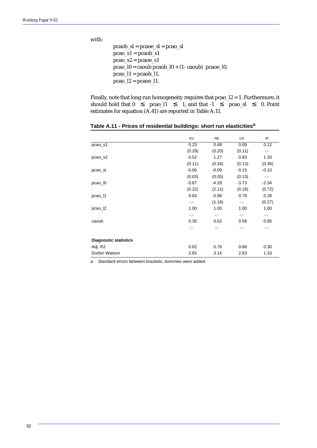with:

pcaob\_sl = pcaoe\_sl = pcao\_sl  $pcao_s1 = pcaob_s1$ pcao\_s2 = pcaoe\_s1 pcao\_ $l0 =$ caoub pcaob\_ $l0 + (1 -$ caoub) pcaoe\_ $l0$ ,  $pcao_l1 = pcaob_l1,$  $pcao_l2 = pcaoe_l1.$ 

Finally, note that long run homogeneity requires that pcao\_l2 = 1. Furthermore, it should hold that  $0 \leq$  pcao\_l1  $\leq$  1, and that  $-1 \leq$  pcao\_sl  $\leq$  0. Point estimates for equation (A.41) are reported in Table A.11.

|                              | EU      | <b>NE</b>       | US            | <b>JP</b>       |
|------------------------------|---------|-----------------|---------------|-----------------|
| pcao_s1                      | 0.23    | 0.48            | 0.09          | 0.12            |
|                              | (0.29)  | (0.20)          | (0.11)        | $\sim$ , $\sim$ |
| pcao_s2                      | 0.52    | 1.27            | 0.83          | 1.33            |
|                              | (0.11)  | (0.26)          | (0.13)        | (0.36)          |
| pcao_sl                      | $-0.06$ | $-0.09$         | $-0.15$       | $-0.10$         |
|                              | (0.03)  | (0.05)          | (0.13)        | $-1$            |
| $pcao_$                      | $-5.67$ | $-4.28$         | $-3.73$       | $-2.34$         |
|                              | (0.22)  | (2.11)          | (0.18)        | (0.72)          |
| pcao_l1                      | 0.83    | 0.96            | 0.79          | 0.28            |
|                              | -.-     | (1.18)          | - 15          | (0.27)          |
| $pcao_2$                     | 1.00    | 1.00            | 1.00          | 1.00            |
|                              | $-1$    | $\sim$ , $\sim$ | $\sim$ $\sim$ | $\sim$ , $\sim$ |
| caoub                        | 0.35    | 0.62            | 0.58          | 0.85            |
|                              | -.-     | -.-             | -.-           | -.-             |
| <b>Diagnostic statistics</b> |         |                 |               |                 |
| Adj. R2                      | 0.62    | 0.76            | 0.68          | 0.30            |
| Durbin Watson                | 2.65    | 3.14            | 2.63          | 1.33            |

**Table A.11 - Prices of residential buildings: short run elasticities<sup>a</sup>**

a. Standard errors between brackets; dummies were added.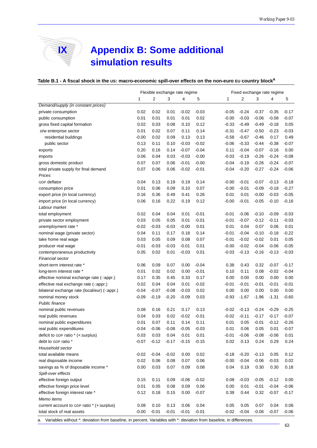# **IX Appendix B: Some additional simulation results**

### **Table B.1 - A fiscal shock in the US: macro-economic spill-over effects on the non-euro EU country block<sup>a</sup>**

|                                                                                                                         |         | Flexible exchange rate regime |         |         |         |         | Fixed exchange rate regime |         |         |         |  |
|-------------------------------------------------------------------------------------------------------------------------|---------|-------------------------------|---------|---------|---------|---------|----------------------------|---------|---------|---------|--|
|                                                                                                                         | 1       | 2                             | 3       | 4       | 5       | 1       | 2                          | 3       | 4       | 5       |  |
| Demand/supply (in constant prices)                                                                                      |         |                               |         |         |         |         |                            |         |         |         |  |
| private consumption                                                                                                     | 0.02    | 0.02                          | 0.01    | $-0.02$ | $-0.03$ | $-0.05$ | $-0.24$                    | $-0.37$ | $-0.35$ | $-0.17$ |  |
| public consumption                                                                                                      | 0.01    | 0.01                          | 0.01    | 0.01    | 0.02    | $-0.00$ | $-0.03$                    | $-0.06$ | $-0.08$ | $-0.07$ |  |
| gross fixed capital formation                                                                                           | 0.02    | 0.03                          | 0.08    | 0.10    | 0.12    | $-0.33$ | $-0.49$                    | $-0.49$ | $-0.18$ | 0.05    |  |
| o/w enterprise sector                                                                                                   | 0.01    | 0.02                          | 0.07    | 0.11    | 0.14    | $-0.31$ | $-0.47$                    | $-0.50$ | $-0.23$ | $-0.03$ |  |
| residential buildings                                                                                                   | $-0.00$ | 0.02                          | 0.09    | 0.13    | 0.13    | $-0.58$ | $-0.67$                    | $-0.46$ | 0.17    | 0.49    |  |
| public sector                                                                                                           | 0.13    | 0.11                          | 0.10    | $-0.03$ | $-0.02$ | $-0.06$ | $-0.33$                    | $-0.44$ | $-0.38$ | $-0.07$ |  |
| exports                                                                                                                 | 0.20    | 0.16                          | 0.14    | $-0.07$ | $-0.04$ | 0.11    | $-0.04$                    | $-0.07$ | $-0.16$ | 0.00    |  |
| imports                                                                                                                 | 0.06    | 0.04                          | 0.03    | $-0.03$ | $-0.00$ | $-0.03$ | $-0.19$                    | $-0.26$ | $-0.24$ | $-0.08$ |  |
| gross domestic product                                                                                                  | 0.07    | 0.07                          | 0.06    | $-0.01$ | $-0.00$ | $-0.04$ | $-0.19$                    | $-0.26$ | $-0.24$ | $-0.07$ |  |
| total private supply for final demand                                                                                   | 0.07    | 0.06                          | 0.06    | $-0.02$ | $-0.01$ | $-0.04$ | $-0.20$                    | $-0.27$ | $-0.24$ | $-0.06$ |  |
| Prices                                                                                                                  |         |                               |         |         |         |         |                            |         |         |         |  |
| <b>GDP</b> deflator                                                                                                     | 0.04    | 0.13                          | 0.19    | 0.19    | 0.14    | $-0.00$ | $-0.01$                    | $-0.07$ | $-0.13$ | $-0.18$ |  |
| consumption price                                                                                                       | 0.01    | 0.06                          | 0.09    | 0.10    | 0.07    | $-0.00$ | $-0.01$                    | $-0.09$ | $-0.18$ | $-0.27$ |  |
| export price (in local currency)                                                                                        | 0.16    | 0.36                          | 0.49    | 0.41    | 0.26    | 0.01    | 0.01                       | $-0.00$ | $-0.03$ | $-0.05$ |  |
| import price (in local currency)                                                                                        | 0.06    | 0.16                          | 0.22    | 0.19    | 0.12    | $-0.00$ | $-0.01$                    | $-0.05$ | $-0.10$ | $-0.16$ |  |
| Labour market                                                                                                           |         |                               |         |         |         |         |                            |         |         |         |  |
| total employment                                                                                                        | 0.02    | 0.04                          | 0.04    | 0.01    | $-0.01$ | $-0.01$ | $-0.06$                    | $-0.10$ | $-0.09$ | $-0.03$ |  |
| private sector employment                                                                                               | 0.03    | 0.05                          | 0.05    | 0.01    | $-0.01$ | $-0.01$ | $-0.07$                    | $-0.12$ | $-0.11$ | $-0.03$ |  |
| unemployment rate *                                                                                                     | $-0.02$ | $-0.03$                       | -0.03   | $-0.00$ | 0.01    | 0.01    | 0.04                       | 0.07    | 0.06    | 0.01    |  |
| nominal wage (private sector)                                                                                           | 0.04    | 0.11                          | 0.17    | 0.18    | 0.14    | $-0.01$ | $-0.04$                    | $-0.10$ | $-0.18$ | $-0.22$ |  |
| take home real wage                                                                                                     | 0.03    | 0.05                          | 0.09    | 0.08    | 0.07    | $-0.01$ | $-0.02$                    | $-0.02$ | 0.01    | 0.05    |  |
| producer real wage                                                                                                      | $-0.01$ | $-0.03$                       | -0.03   | $-0.01$ | 0.01    | $-0.00$ | $-0.02$                    | $-0.04$ | $-0.06$ | $-0.05$ |  |
| contemporaneous productivity                                                                                            | 0.05    | 0.02                          | 0.01    | $-0.03$ | 0.01    | $-0.03$ | $-0.13$                    | $-0.16$ | $-0.13$ | $-0.03$ |  |
| Financial sector                                                                                                        |         |                               |         |         |         |         |                            |         |         |         |  |
| short-term interest rate *                                                                                              | 0.06    | 0.09                          | 0.07    | 0.00    | $-0.04$ | 0.38    | 0.43                       | 0.32    | $-0.07$ | $-0.17$ |  |
| long-term interest rate *                                                                                               | 0.01    | 0.02                          | 0.02    | 0.00    | $-0.01$ | 0.10    | 0.11                       | 0.08    | $-0.02$ | $-0.04$ |  |
| effective nominal exchange rate (-: appr.)                                                                              | 0.17    | 0.35                          | 0.45    | 0.33    | 0.17    | 0.00    | 0.00                       | 0.00    | 0.00    | 0.00    |  |
| effective real exchange rate (-:appr.)                                                                                  | 0.02    | 0.04                          | 0.04    | 0.01    | $-0.02$ | $-0.01$ | $-0.01$                    | -0.01   | $-0.01$ | $-0.01$ |  |
| bilateral exchange rate (local/eur) (-:appr.)                                                                           | $-0.04$ | $-0.07$                       | -0.08   | $-0.03$ | 0.02    | 0.00    | 0.00                       | 0.00    | 0.00    | 0.00    |  |
| nominal money stock                                                                                                     | $-0.09$ | $-0.19$                       | $-0.20$ | $-0.09$ | 0.03    | $-0.93$ | $-1.67$                    | $-1.96$ | $-1.31$ | $-0.60$ |  |
| Public finance                                                                                                          |         |                               |         |         |         |         |                            |         |         |         |  |
| nominal public revenues                                                                                                 | 0.08    | 0.16                          | 0.21    | 0.17    | 0.13    | $-0.02$ | $-0.13$                    | $-0.24$ | $-0.29$ | $-0.25$ |  |
| real public revenues                                                                                                    | 0.04    | 0.03                          | 0.02    | $-0.02$ | $-0.01$ | $-0.02$ | $-0.11$                    | $-0.17$ | $-0.17$ | $-0.07$ |  |
| nominal public expenditures                                                                                             | 0.01    | 0.07                          | 0.11    | 0.14    | 0.11    | 0.01    | 0.05                       | $-0.01$ | $-0.12$ | $-0.26$ |  |
| real public expenditures                                                                                                | -0.04   | $-0.06$                       | $-0.08$ | $-0.05$ | $-0.03$ | 0.01    | 0.06                       | 0.05    | 0.01    | -0.07   |  |
| deficit to GDP ratio * (+:surplus)                                                                                      | 0.03    | 0.03                          | 0.04    | 0.01    | 0.01    | $-0.01$ | $-0.06$                    | $-0.08$ | $-0.06$ | 0.01    |  |
| debt to GDP ratio *                                                                                                     | $-0.07$ | $-0.12$                       | $-0.17$ | $-0.15$ | $-0.15$ | 0.02    | 0.13                       | 0.24    | 0.29    | 0.24    |  |
| Household sector                                                                                                        |         |                               |         |         |         |         |                            |         |         |         |  |
| total available means                                                                                                   | $-0.02$ | $-0.04$                       | $-0.02$ | 0.00    | 0.02    | $-0.18$ | $-0.20$                    | $-0.13$ | 0.05    | 0.12    |  |
| real disposable income                                                                                                  | 0.02    | 0.06                          | 0.08    | 0.07    | 0.06    | $-0.00$ | $-0.04$                    | $-0.06$ | $-0.03$ | 0.02    |  |
| savings as % of disposable income *                                                                                     | 0.00    | 0.03                          | 0.07    | 0.09    | 0.08    | 0.04    | 0.19                       | 0.30    | 0.30    | 0.18    |  |
| Spill-over effects                                                                                                      |         |                               |         |         |         |         |                            |         |         |         |  |
| effective foreign output                                                                                                | 0.15    | 0.11                          | 0.09    | $-0.06$ | $-0.02$ | 0.08    | $-0.03$                    | $-0.05$ | $-0.12$ | 0.00    |  |
| effective foreign price level                                                                                           | 0.01    | 0.05                          | 0.08    | 0.09    | 0.06    | 0.00    | 0.01                       | $-0.01$ | $-0.04$ | $-0.06$ |  |
| effective foreign interest rate *                                                                                       | 0.12    | 0.18                          | 0.15    | 0.00    | $-0.07$ | 0.39    | 0.44                       | 0.32    | $-0.07$ | $-0.17$ |  |
| Memo items                                                                                                              |         |                               |         |         |         |         |                            |         |         |         |  |
| current account to GDP ratio * (+:surplus)                                                                              | 0.08    | 0.10                          | 0.13    | 0.06    | 0.04    | 0.05    | 0.05                       | 0.07    | 0.04    | 0.06    |  |
| total stock of real assets                                                                                              | $-0.00$ | $-0.01$                       | $-0.01$ | $-0.01$ | $-0.01$ | $-0.02$ | $-0.04$                    | $-0.06$ | $-0.07$ | $-0.06$ |  |
|                                                                                                                         |         |                               |         |         |         |         |                            |         |         |         |  |
| a. Variables without *: deviation from baseline, in percent. Variables with *: deviation from baseline, in differences. |         |                               |         |         |         |         |                            |         |         |         |  |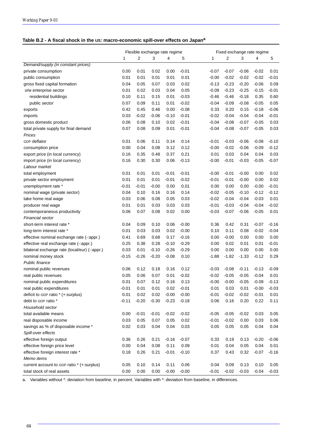# **Table B.2 - A fiscal shock in the US: macro-economic spill-over effects on Japan<sup>a</sup>**

|                                                |         | Flexible exchange rate regime |         |         |         |         | Fixed exchange rate regime |         |         |         |  |  |
|------------------------------------------------|---------|-------------------------------|---------|---------|---------|---------|----------------------------|---------|---------|---------|--|--|
|                                                | 1       | 2                             | 3       | 4       | 5       | 1       | $\overline{2}$             | 3       | 4       | 5       |  |  |
| Demand/supply (in constant prices)             |         |                               |         |         |         |         |                            |         |         |         |  |  |
| private consumption                            | 0.00    | 0.01                          | 0.02    | 0.00    | $-0.01$ | $-0.07$ | $-0.07$                    | $-0.06$ | $-0.02$ | 0.01    |  |  |
| public consumption                             | 0.01    | 0.01                          | 0.01    | 0.01    | 0.01    | $-0.00$ | $-0.02$                    | $-0.02$ | $-0.02$ | $-0.01$ |  |  |
| gross fixed capital formation                  | 0.04    | 0.05                          | 0.07    | 0.03    | 0.02    | $-0.13$ | $-0.23$                    | $-0.20$ | $-0.06$ | 0.09    |  |  |
| o/w enterprise sector                          | 0.01    | 0.02                          | 0.03    | 0.04    | 0.05    | $-0.09$ | $-0.23$                    | $-0.25$ | $-0.15$ | $-0.01$ |  |  |
| residential buildings                          | 0.10    | 0.11                          | 0.15    | 0.01    | $-0.03$ | $-0.46$ | $-0.46$                    | $-0.18$ | 0.35    | 0.60    |  |  |
| public sector                                  | 0.07    | 0.09                          | 0.11    | 0.01    | $-0.02$ | $-0.04$ | $-0.09$                    | $-0.08$ | $-0.05$ | 0.05    |  |  |
| exports                                        | 0.42    | 0.45                          | 0.46    | 0.00    | $-0.08$ | 0.33    | 0.20                       | 0.15    | $-0.18$ | $-0.06$ |  |  |
| imports                                        | 0.03    | $-0.02$                       | $-0.06$ | $-0.10$ | $-0.01$ | $-0.02$ | $-0.04$                    | $-0.04$ | $-0.04$ | $-0.01$ |  |  |
| gross domestic product                         | 0.06    | 0.08                          | 0.10    | 0.02    | $-0.01$ | $-0.04$ | $-0.08$                    | $-0.07$ | $-0.05$ | 0.03    |  |  |
| total private supply for final demand          | 0.07    | 0.08                          | 0.09    | 0.01    | $-0.01$ | $-0.04$ | $-0.08$                    | $-0.07$ | $-0.05$ | 0.03    |  |  |
| Prices                                         |         |                               |         |         |         |         |                            |         |         |         |  |  |
| GDP deflator                                   | 0.01    | 0.06                          | 0.11    | 0.14    | 0.14    | $-0.01$ | $-0.03$                    | $-0.06$ | $-0.08$ | $-0.10$ |  |  |
| consumption price                              | 0.00    | 0.04                          | 0.08    | 0.12    | 0.12    | $-0.00$ | $-0.02$                    | $-0.06$ | $-0.09$ | $-0.12$ |  |  |
| export price (in local currency)               | 0.16    | 0.35                          | 0.48    | 0.37    | 0.21    | 0.01    | 0.03                       | 0.04    | 0.04    | 0.03    |  |  |
| import price (in local currency)               | 0.16    | 0.30                          | 0.30    | 0.06    | $-0.13$ | $-0.00$ | $-0.01$                    | $-0.03$ | $-0.05$ | $-0.07$ |  |  |
| Labour market                                  |         |                               |         |         |         |         |                            |         |         |         |  |  |
| total employment                               | 0.01    | 0.01                          | 0.01    | $-0.01$ | $-0.01$ | $-0.00$ | $-0.01$                    | $-0.00$ | 0.00    | 0.02    |  |  |
| private sector employment                      | 0.01    | 0.01                          | 0.01    | $-0.01$ | $-0.02$ | $-0.01$ | $-0.01$                    | $-0.00$ | 0.00    | 0.02    |  |  |
| unemployment rate *                            | $-0.01$ | $-0.01$                       | $-0.00$ | 0.00    | 0.01    | 0.00    | 0.00                       | 0.00    | $-0.00$ | $-0.01$ |  |  |
| nominal wage (private sector)                  | 0.04    | 0.10                          | 0.16    | 0.16    | 0.14    | $-0.02$ | $-0.05$                    | $-0.10$ | $-0.12$ | $-0.12$ |  |  |
| take home real wage                            | 0.03    | 0.06                          | 0.08    | 0.05    | 0.03    | $-0.02$ | $-0.04$                    | $-0.04$ | $-0.03$ | 0.01    |  |  |
| producer real wage                             | 0.01    | 0.01                          | 0.03    | 0.03    | 0.03    | $-0.01$ | $-0.03$                    | $-0.04$ | $-0.04$ | $-0.02$ |  |  |
| contemporaneous productivity                   | 0.06    | 0.07                          | 0.08    | 0.02    | 0.00    | $-0.03$ | $-0.07$                    | $-0.06$ | $-0.05$ | 0.01    |  |  |
| Financial sector                               |         |                               |         |         |         |         |                            |         |         |         |  |  |
| short-term interest rate *                     | 0.04    | 0.09                          | 0.10    | 0.06    | $-0.00$ | 0.36    | 0.42                       | 0.31    | $-0.07$ | $-0.16$ |  |  |
| long-term interest rate *                      | 0.01    | 0.03                          | 0.03    | 0.02    | $-0.00$ | 0.10    | 0.11                       | 0.08    | $-0.02$ | $-0.04$ |  |  |
| effective nominal exchange rate (-: appr.)     | 0.41    | 0.69                          | 0.68    | 0.17    | $-0.16$ | 0.00    | $-0.00$                    | 0.00    | 0.00    | 0.00    |  |  |
| effective real exchange rate (-: appr.)        | 0.25    | 0.38                          | 0.28    | $-0.10$ | $-0.29$ | 0.00    | 0.02                       | 0.01    | 0.01    | $-0.01$ |  |  |
| bilateral exchange rate (local/eur) (-: appr.) | 0.03    | 0.01                          | $-0.10$ | $-0.26$ | $-0.29$ | 0.00    | 0.00                       | 0.00    | 0.00    | 0.00    |  |  |
| nominal money stock                            | $-0.15$ | $-0.26$                       | $-0.20$ | $-0.08$ | 0.10    | $-1.88$ | $-1.82$                    | $-1.33$ | $-0.12$ | 0.29    |  |  |
| Public finance                                 |         |                               |         |         |         |         |                            |         |         |         |  |  |
| nominal public revenues                        | 0.06    | 0.12                          | 0.18    | 0.16    | 0.12    | $-0.03$ | $-0.08$                    | $-0.11$ | $-0.13$ | $-0.09$ |  |  |
| real public revenues                           | 0.05    | 0.06                          | 0.07    | 0.01    | $-0.02$ | $-0.02$ | $-0.05$                    | $-0.05$ | $-0.04$ | 0.01    |  |  |
| nominal public expenditures                    | 0.01    | 0.07                          | 0.12    | 0.16    | 0.13    | $-0.00$ | $-0.00$                    | $-0.05$ | $-0.09$ | $-0.13$ |  |  |
| real public expenditures                       | $-0.01$ | 0.01                          | 0.01    | 0.02    | $-0.01$ | 0.01    | 0.03                       | 0.01    | $-0.00$ | $-0.03$ |  |  |
| deficit to GDP ratio * (+:surplus)             | 0.01    | 0.02                          | 0.02    | $-0.00$ | $-0.00$ | $-0.01$ | $-0.02$                    | $-0.02$ | $-0.01$ | 0.01    |  |  |
| debt to GDP ratio *                            | $-0.11$ | $-0.20$                       | $-0.30$ | $-0.23$ | $-0.18$ | 0.06    | 0.16                       | 0.20    | 0.22    | 0.11    |  |  |
| Household sector                               |         |                               |         |         |         |         |                            |         |         |         |  |  |
| total available means                          | 0.00    | $-0.01$                       | $-0.01$ | $-0.02$ | $-0.02$ | $-0.05$ | $-0.05$                    | $-0.02$ | 0.03    | 0.05    |  |  |
| real disposable income                         | 0.03    | 0.05                          | 0.07    | 0.05    | 0.02    | $-0.01$ | $-0.02$                    | 0.00    | 0.03    | 0.06    |  |  |
| savings as % of disposable income *            | 0.02    | 0.03                          | 0.04    | 0.04    | 0.03    | 0.05    | 0.05                       | 0.05    | 0.04    | 0.04    |  |  |
| Spill-over effects                             |         |                               |         |         |         |         |                            |         |         |         |  |  |
| effective foreign output                       | 0.36    | 0.26                          | 0.21    | $-0.16$ | $-0.07$ | 0.33    | 0.19                       | 0.13    | $-0.20$ | $-0.06$ |  |  |
| effective foreign price level                  | 0.00    | 0.04                          | 0.08    | 0.11    | 0.09    | 0.01    | 0.04                       | 0.05    | 0.04    | 0.01    |  |  |
| effective foreign interest rate *              | 0.18    | 0.26                          | 0.21    | $-0.01$ | $-0.10$ | 0.37    | 0.43                       | 0.32    | $-0.07$ | $-0.16$ |  |  |
| Memo items                                     |         |                               |         |         |         |         |                            |         |         |         |  |  |
| current account to GDP ratio * (+:surplus)     | 0.05    | 0.10                          | 0.14    | 0.11    | 0.06    | 0.04    | 0.09                       | 0.13    | 0.10    | 0.05    |  |  |
| total stock of real assets                     | 0.00    | 0.00                          | 0.00    | $-0.00$ | $-0.00$ | $-0.01$ | $-0.02$                    | $-0.03$ | $-0.04$ | $-0.03$ |  |  |
|                                                |         |                               |         |         |         |         |                            |         |         |         |  |  |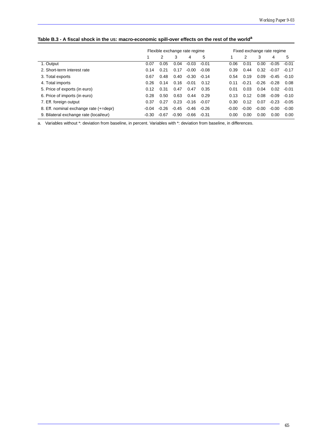| Table B.3 - A fiscal shock in the US: macro-economic spill-over effects on the rest of the world <sup>a</sup> |  |
|---------------------------------------------------------------------------------------------------------------|--|
|---------------------------------------------------------------------------------------------------------------|--|

|                                        |         | Flexible exchange rate regime |         |         |         | Fixed exchange rate regime |         |         |         |         |  |
|----------------------------------------|---------|-------------------------------|---------|---------|---------|----------------------------|---------|---------|---------|---------|--|
|                                        |         | 2                             | 3       | 4       | 5       |                            | 2       | 3       | 4       | 5       |  |
| 1. Output                              | 0.07    | 0.05                          | 0.04    | $-0.03$ | $-0.01$ | 0.06                       | 0.01    | 0.00    | $-0.05$ | $-0.01$ |  |
| 2. Short-term interest rate            | 0.14    | 0.21                          | 0.17    | $-0.00$ | $-0.08$ | 0.39                       | 0.44    | 0.32    | $-0.07$ | $-0.17$ |  |
| 3. Total exports                       | 0.67    | 0.48                          | 0.40    | $-0.30$ | $-0.14$ | 0.54                       | 0.19    | 0.09    | -0.45   | $-0.10$ |  |
| 4. Total imports                       | 0.26    | 0.14                          | 0.16    | $-0.01$ | 0.12    | 0.11                       | $-0.21$ | $-0.26$ | $-0.28$ | 0.08    |  |
| 5. Price of exports (in euro)          | 0.12    | 0.31                          | 0.47    | 0.47    | 0.35    | 0.01                       | 0.03    | 0.04    | 0.02    | $-0.01$ |  |
| 6. Price of imports (in euro)          | 0.28    | 0.50                          | 0.63    | 0.44    | 0.29    | 0.13                       | 0.12    | 0.08    | $-0.09$ | $-0.10$ |  |
| 7. Eff. foreign output                 | 0.37    | 0.27                          | 0.23    | -0.16   | $-0.07$ | 0.30                       | 0.12    | 0.07    | $-0.23$ | $-0.05$ |  |
| 8. Eff. nominal exchange rate (+=depr) | $-0.04$ | $-0.26$                       | $-0.45$ | $-0.46$ | $-0.26$ | $-0.00$                    | $-0.00$ | $-0.00$ | $-0.00$ | $-0.00$ |  |
| 9. Bilateral exchange rate (local/eur) | $-0.30$ | $-0.67$                       | $-0.90$ | -0.66   | -0.31   | 0.00                       | 0.00    | 0.00    | 0.00    | 0.00    |  |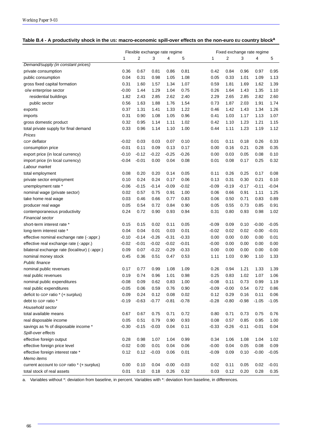| Table B.4 - A productivity shock in the US: macro-economic spill-over effects on the non-euro EU country block <sup>a</sup> |
|-----------------------------------------------------------------------------------------------------------------------------|
|-----------------------------------------------------------------------------------------------------------------------------|

|                                                |         | Flexible exchange rate regime |         |         |         |         | Fixed exchange rate regime |         |         |         |  |
|------------------------------------------------|---------|-------------------------------|---------|---------|---------|---------|----------------------------|---------|---------|---------|--|
|                                                | 1       | $\overline{2}$                | 3       | 4       | 5       | 1       | 2                          | 3       | 4       | 5       |  |
| Demand/supply (in constant prices)             |         |                               |         |         |         |         |                            |         |         |         |  |
| private consumption                            | 0.36    | 0.67                          | 0.81    | 0.86    | 0.81    | 0.42    | 0.84                       | 0.96    | 0.97    | 0.95    |  |
| public consumption                             | 0.04    | 0.31                          | 0.98    | 1.05    | 1.08    | 0.05    | 0.33                       | 1.01    | 1.09    | 1.13    |  |
| gross fixed capital formation                  | 0.31    | 1.60                          | 1.57    | 1.34    | 1.07    | 0.59    | 1.81                       | 1.69    | 1.62    | 1.39    |  |
| o/w enterprise sector                          | $-0.00$ | 1.44                          | 1.29    | 1.04    | 0.75    | 0.26    | 1.64                       | 1.43    | 1.35    | 1.10    |  |
| residential buildings                          | 1.82    | 2.43                          | 2.85    | 2.62    | 2.40    | 2.29    | 2.65                       | 2.85    | 2.82    | 2.60    |  |
| public sector                                  | 0.56    | 1.63                          | 1.88    | 1.76    | 1.54    | 0.73    | 1.87                       | 2.03    | 1.91    | 1.74    |  |
| exports                                        | 0.37    | 1.31                          | 1.41    | 1.33    | 1.22    | 0.46    | 1.42                       | 1.43    | 1.34    | 1.26    |  |
| imports                                        | 0.31    | 0.90                          | 1.08    | 1.05    | 0.96    | 0.41    | 1.03                       | 1.17    | 1.13    | 1.07    |  |
| gross domestic product                         | 0.32    | 0.95                          | 1.14    | 1.11    | 1.02    | 0.42    | 1.10                       | 1.23    | 1.21    | 1.15    |  |
| total private supply for final demand          | 0.33    | 0.96                          | 1.14    | 1.10    | 1.00    | 0.44    | 1.11                       | 1.23    | 1.19    | 1.12    |  |
| Prices                                         |         |                               |         |         |         |         |                            |         |         |         |  |
| GDP deflator                                   | $-0.02$ | 0.03                          | 0.03    | 0.07    | 0.10    | 0.01    | 0.11                       | 0.18    | 0.26    | 0.33    |  |
| consumption price                              | $-0.01$ | 0.11                          | 0.09    | 0.13    | 0.17    | 0.00    | 0.16                       | 0.21    | 0.28    | 0.35    |  |
| export price (in local currency)               | $-0.10$ | $-0.12$                       | $-0.22$ | $-0.25$ | $-0.26$ | 0.00    | 0.03                       | 0.05    | 0.08    | 0.10    |  |
| import price (in local currency)               | $-0.04$ | $-0.01$                       | 0.00    | 0.04    | 0.08    | 0.01    | 0.08                       | 0.17    | 0.25    | 0.32    |  |
| Labour market                                  |         |                               |         |         |         |         |                            |         |         |         |  |
| total employment                               | 0.08    | 0.20                          | 0.20    | 0.14    | 0.05    | 0.11    | 0.26                       | 0.25    | 0.17    | 0.08    |  |
| private sector employment                      | 0.10    | 0.24                          | 0.24    | 0.17    | 0.06    | 0.13    | 0.31                       | 0.30    | 0.21    | 0.10    |  |
| unemployment rate *                            | $-0.06$ | $-0.15$                       | $-0.14$ | $-0.09$ | $-0.02$ | $-0.09$ | $-0.19$                    | $-0.17$ | $-0.11$ | $-0.04$ |  |
| nominal wage (private sector)                  | 0.02    | 0.57                          | 0.75    | 0.91    | 1.00    | 0.06    | 0.66                       | 0.91    | 1.11    | 1.25    |  |
| take home real wage                            | 0.03    | 0.46                          | 0.66    | 0.77    | 0.83    | 0.06    | 0.50                       | 0.71    | 0.83    | 0.89    |  |
| producer real wage                             | 0.05    | 0.54                          | 0.72    | 0.84    | 0.90    | 0.05    | 0.55                       | 0.73    | 0.85    | 0.91    |  |
| contemporaneous productivity                   | 0.24    | 0.72                          | 0.90    | 0.93    | 0.94    | 0.31    | 0.80                       | 0.93    | 0.98    | 1.02    |  |
| Financial sector                               |         |                               |         |         |         |         |                            |         |         |         |  |
| short-term interest rate *                     | 0.15    | 0.15                          | 0.02    | 0.11    | 0.05    | $-0.09$ | 0.09                       | 0.10    | $-0.00$ | $-0.05$ |  |
| long-term interest rate *                      | 0.04    | 0.04                          | 0.01    | 0.03    | 0.01    | $-0.02$ | 0.02                       | 0.02    | $-0.00$ | $-0.01$ |  |
| effective nominal exchange rate (-: appr.)     | $-0.10$ | $-0.14$                       | $-0.26$ | $-0.31$ | $-0.33$ | 0.00    | 0.00                       | 0.00    | 0.00    | 0.01    |  |
| effective real exchange rate (-: appr.)        | $-0.02$ | $-0.01$                       | $-0.02$ | $-0.02$ | $-0.01$ | $-0.00$ | 0.00                       | 0.00    | 0.00    | 0.00    |  |
| bilateral exchange rate (local/eur) (-: appr.) | 0.09    | 0.07                          | $-0.22$ | $-0.29$ | $-0.33$ | 0.00    | 0.00                       | 0.00    | 0.00    | 0.00    |  |
| nominal money stock                            | 0.45    | 0.36                          | 0.51    | 0.47    | 0.53    | 1.11    | 1.03                       | 0.90    | 1.10    | 1.33    |  |
| Public finance                                 |         |                               |         |         |         |         |                            |         |         |         |  |
| nominal public revenues                        | 0.17    | 0.77                          | 0.99    | 1.08    | 1.09    | 0.26    | 0.94                       | 1.21    | 1.33    | 1.39    |  |
| real public revenues                           | 0.19    | 0.74                          | 0.96    | 1.01    | 0.98    | 0.25    | 0.83                       | 1.02    | 1.07    | 1.06    |  |
| nominal public expenditures                    | $-0.08$ | 0.09                          | 0.62    | 0.83    | 1.00    | $-0.08$ | 0.11                       | 0.73    | 0.99    | 1.19    |  |
| real public expenditures                       | $-0.05$ | 0.06                          | 0.59    | 0.76    | 0.90    | $-0.09$ | $-0.00$                    | 0.54    | 0.72    | 0.86    |  |
| deficit to GDP ratio * (+:surplus)             | 0.09    | 0.24                          | 0.12    | 0.08    | 0.02    | 0.12    | 0.29                       | 0.16    | 0.11    | 0.06    |  |
| debt to GDP ratio *                            | $-0.19$ | $-0.63$                       | $-0.77$ | $-0.81$ | $-0.78$ | $-0.28$ | $-0.80$                    | $-0.98$ | $-1.05$ | $-1.05$ |  |
| Household sector                               |         |                               |         |         |         |         |                            |         |         |         |  |
| total available means                          | 0.67    | 0.67                          | 0.75    | 0.71    | 0.72    | 0.80    | 0.71                       | 0.73    | 0.75    | 0.76    |  |
| real disposable income                         | 0.05    | 0.51                          | 0.79    | 0.90    | 0.93    | 0.08    | 0.57                       | 0.85    | 0.95    | 1.00    |  |
| savings as % of disposable income *            | $-0.30$ | $-0.15$                       | $-0.03$ | 0.04    | 0.11    | $-0.33$ | $-0.26$                    | $-0.11$ | $-0.01$ | 0.04    |  |
| Spill-over effects                             |         |                               |         |         |         |         |                            |         |         |         |  |
| effective foreign output                       | 0.28    | 0.98                          | 1.07    | 1.04    | 0.99    | 0.34    | 1.06                       | 1.08    | 1.04    | 1.02    |  |
| effective foreign price level                  | $-0.02$ | 0.00                          | 0.01    | 0.04    | 0.06    | $-0.00$ | 0.04                       | 0.05    | 0.08    | 0.09    |  |
| effective foreign interest rate *              | 0.12    | 0.12                          | $-0.03$ | 0.06    | 0.01    | $-0.09$ | 0.09                       | 0.10    | $-0.00$ | $-0.05$ |  |
| Memo items                                     |         |                               |         |         |         |         |                            |         |         |         |  |
| current account to GDP ratio * (+:surplus)     | 0.00    | 0.10                          | 0.04    | $-0.00$ | $-0.03$ | 0.02    | 0.11                       | 0.05    | 0.02    | $-0.01$ |  |
| total stock of real assets                     | 0.01    | 0.10                          | 0.18    | 0.26    | 0.32    | 0.03    | 0.12                       | 0.20    | 0.28    | 0.35    |  |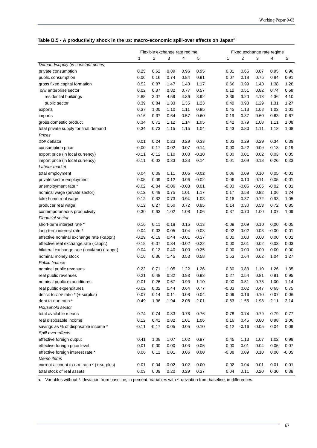|  | Table B.5 - A productivity shock in the US: macro-economic spill-over effects on Japan <sup>a</sup> |  |
|--|-----------------------------------------------------------------------------------------------------|--|
|  |                                                                                                     |  |

|                                                | Flexible exchange rate regime |         | Fixed exchange rate regime |         |         |         |         |         |         |         |
|------------------------------------------------|-------------------------------|---------|----------------------------|---------|---------|---------|---------|---------|---------|---------|
|                                                | 1                             | 2       | 3                          | 4       | 5       | 1       | 2       | 3       | 4       | 5       |
| Demand/supply (in constant prices)             |                               |         |                            |         |         |         |         |         |         |         |
| private consumption                            | 0.25                          | 0.62    | 0.89                       | 0.96    | 0.95    | 0.31    | 0.65    | 0.87    | 0.95    | 0.96    |
| public consumption                             | 0.06                          | 0.16    | 0.74                       | 0.84    | 0.91    | 0.07    | 0.18    | 0.75    | 0.84    | 0.91    |
| gross fixed capital formation                  | 0.52                          | 0.87    | 1.47                       | 1.40    | 1.17    | 0.66    | 0.99    | 1.40    | 1.38    | 1.28    |
| o/w enterprise sector                          | 0.02                          | 0.37    | 0.82                       | 0.77    | 0.57    | 0.10    | 0.51    | 0.82    | 0.74    | 0.68    |
| residential buildings                          | 2.88                          | 3.07    | 4.59                       | 4.36    | 3.92    | 3.36    | 3.20    | 4.13    | 4.36    | 4.10    |
| public sector                                  | 0.39                          | 0.84    | 1.33                       | 1.35    | 1.23    | 0.49    | 0.93    | 1.29    | 1.31    | 1.27    |
| exports                                        | 0.37                          | 1.00    | 1.10                       | 1.11    | 0.95    | 0.45    | 1.13    | 1.08    | 1.03    | 1.01    |
| imports                                        | 0.16                          | 0.37    | 0.64                       | 0.57    | 0.60    | 0.19    | 0.37    | 0.60    | 0.63    | 0.67    |
| gross domestic product                         | 0.34                          | 0.71    | 1.12                       | 1.14    | 1.05    | 0.42    | 0.79    | 1.08    | 1.11    | 1.08    |
| total private supply for final demand          | 0.34                          | 0.73    | 1.15                       | 1.15    | 1.04    | 0.43    | 0.80    | 1.11    | 1.12    | 1.08    |
| Prices                                         |                               |         |                            |         |         |         |         |         |         |         |
| GDP deflator                                   | 0.01                          | 0.24    | 0.23                       | 0.29    | 0.33    | 0.03    | 0.29    | 0.29    | 0.34    | 0.39    |
| consumption price                              | $-0.00$                       | 0.17    | 0.02                       | 0.07    | 0.14    | 0.00    | 0.22    | 0.09    | 0.13    | 0.19    |
| export price (in local currency)               | $-0.11$                       | $-0.12$ | 0.10                       | 0.03    | $-0.10$ | 0.00    | 0.01    | 0.02    | 0.03    | 0.05    |
| import price (in local currency)               | $-0.11$                       | $-0.02$ | 0.33                       | 0.28    | 0.14    | 0.01    | 0.09    | 0.18    | 0.26    | 0.33    |
| Labour market                                  |                               |         |                            |         |         |         |         |         |         |         |
| total employment                               | 0.04                          | 0.09    | 0.11                       | 0.06    | $-0.02$ | 0.06    | 0.09    | 0.10    | 0.05    | $-0.01$ |
| private sector employment                      | 0.05                          | 0.09    | 0.12                       | 0.06    | $-0.02$ | 0.06    | 0.10    | 0.11    | 0.05    | $-0.01$ |
| unemployment rate *                            | $-0.02$                       | $-0.04$ | $-0.06$                    | $-0.03$ | 0.01    | $-0.03$ | $-0.05$ | $-0.05$ | $-0.02$ | 0.01    |
| nominal wage (private sector)                  | 0.12                          | 0.49    | 0.75                       | 1.01    | 1.17    | 0.17    | 0.58    | 0.82    | 1.06    | 1.24    |
| take home real wage                            | 0.12                          | 0.32    | 0.73                       | 0.94    | 1.03    | 0.16    | 0.37    | 0.72    | 0.93    | 1.05    |
| producer real wage                             | 0.12                          | 0.27    | 0.50                       | 0.72    | 0.85    | 0.14    | 0.30    | 0.53    | 0.72    | 0.85    |
| contemporaneous productivity                   | 0.30                          | 0.63    | 1.02                       | 1.08    | 1.06    | 0.37    | 0.70    | 1.00    | 1.07    | 1.09    |
| Financial sector                               |                               |         |                            |         |         |         |         |         |         |         |
| short-term interest rate *                     | 0.16                          | 0.11    | $-0.18$                    | 0.15    | 0.13    | $-0.08$ | 0.09    | 0.10    | 0.00    | $-0.05$ |
| long-term interest rate *                      | 0.04                          | 0.03    | $-0.05$                    | 0.04    | 0.03    | $-0.02$ | 0.02    | 0.03    | $-0.00$ | $-0.01$ |
| effective nominal exchange rate (-: appr.)     | $-0.29$                       | $-0.19$ | 0.44                       | $-0.01$ | $-0.37$ | 0.00    | 0.00    | 0.00    | 0.00    | 0.01    |
| effective real exchange rate (-: appr.)        | $-0.18$                       | $-0.07$ | 0.34                       | $-0.02$ | $-0.22$ | 0.00    | 0.01    | 0.02    | 0.03    | 0.03    |
| bilateral exchange rate (local/eur) (-: appr.) | 0.04                          | 0.12    | 0.40                       | 0.00    | $-0.35$ | 0.00    | 0.00    | 0.00    | 0.00    | 0.00    |
| nominal money stock                            | 0.16                          | 0.36    | 1.45                       | 0.53    | 0.58    | 1.53    | 0.64    | 0.62    | 1.04    | 1.27    |
| Public finance                                 |                               |         |                            |         |         |         |         |         |         |         |
| nominal public revenues                        | 0.22                          | 0.71    | 1.05                       | 1.22    | 1.26    | 0.30    | 0.83    | 1.10    | 1.26    | 1.35    |
| real public revenues                           | 0.21                          | 0.48    | 0.82                       | 0.93    | 0.93    | 0.27    | 0.54    | 0.81    | 0.91    | 0.95    |
| nominal public expenditures                    | $-0.01$                       | 0.26    | 0.67                       | 0.93    | 1.10    | $-0.00$ | 0.31    | 0.76    | 1.00    | 1.14    |
| real public expenditures                       | $-0.02$                       | 0.02    | 0.44                       | 0.64    | 0.77    | $-0.03$ | 0.02    | 0.47    | 0.65    | 0.75    |
| deficit to GDP ratio * (+:surplus)             | 0.07                          | 0.14    | 0.11                       | 0.08    | 0.04    | 0.09    | 0.16    | 0.10    | 0.07    | 0.06    |
| debt to GDP ratio *                            | $-0.49$                       | $-1.36$ | $-1.94$                    | $-2.08$ | $-2.01$ | $-0.63$ | $-1.55$ | $-1.98$ | $-2.11$ | $-2.14$ |
| Household sector                               |                               |         |                            |         |         |         |         |         |         |         |
| total available means                          | 0.74                          | 0.74    | 0.83                       | 0.78    | 0.76    | 0.78    | 0.74    | 0.79    | 0.79    | 0.77    |
| real disposable income                         | 0.12                          | 0.41    | 0.82                       | 1.01    | 1.06    | 0.16    | 0.45    | 0.80    | 0.98    | 1.06    |
| savings as % of disposable income *            | $-0.11$                       | $-0.17$ | $-0.05$                    | 0.05    | 0.10    | $-0.12$ | $-0.16$ | $-0.05$ | 0.04    | 0.09    |
| Spill-over effects                             |                               |         |                            |         |         |         |         |         |         |         |
| effective foreign output                       | 0.41                          | 1.08    | 1.07                       | 1.02    | 0.97    | 0.45    | 1.13    | 1.07    | 1.02    | 0.99    |
| effective foreign price level                  | 0.01                          | 0.00    | 0.00                       | 0.03    | 0.05    | 0.00    | 0.01    | 0.04    | 0.05    | 0.07    |
| effective foreign interest rate *              | 0.06                          | 0.11    | 0.01                       | 0.06    | 0.00    | $-0.08$ | 0.09    | 0.10    | 0.00    | $-0.05$ |
| Memo items                                     |                               |         |                            |         |         |         |         |         |         |         |
| current account to GDP ratio * (+:surplus)     | 0.01                          | 0.04    | 0.02                       | 0.02    | $-0.00$ | 0.02    | 0.04    | 0.01    | 0.01    | $-0.01$ |
| total stock of real assets                     | 0.03                          | 0.09    | 0.20                       | 0.29    | 0.37    | 0.04    | 0.11    | 0.20    | 0.30    | 0.38    |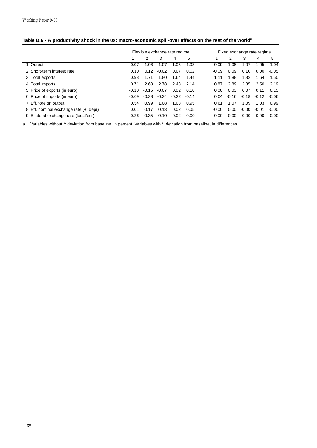| Table B.6 - A productivity shock in the US: macro-economic spill-over effects on the rest of the world <sup>a</sup> |  |
|---------------------------------------------------------------------------------------------------------------------|--|
|                                                                                                                     |  |

|                                        |         |         | Flexible exchange rate regime |         |         | Fixed exchange rate regime |         |         |         |         |  |
|----------------------------------------|---------|---------|-------------------------------|---------|---------|----------------------------|---------|---------|---------|---------|--|
|                                        |         | 2       | 3                             | 4       | 5       |                            | 2       | 3       | 4       | 5       |  |
| 1. Output                              | 0.07    | 1.06    | 1.07                          | 1.05    | 1.03    | 0.09                       | 1.08    | 1.07    | 1.05    | 1.04    |  |
| 2. Short-term interest rate            | 0.10    | 0.12    | $-0.02$                       | 0.07    | 0.02    | $-0.09$                    | 0.09    | 0.10    | 0.00    | $-0.05$ |  |
| 3. Total exports                       | 0.98    | 1.71    | 1.80                          | 1.64    | 1.44    | 1.11                       | 1.88    | 1.82    | 1.64    | 1.50    |  |
| 4. Total imports                       | 0.71    | 2.68    | 2.78                          | 2.48    | 2.14    | 0.87                       | 2.89    | 2.85    | 2.50    | 2.19    |  |
| 5. Price of exports (in euro)          | $-0.10$ | $-0.15$ | $-0.07$                       | 0.02    | 0.10    | 0.00                       | 0.03    | 0.07    | 0.11    | 0.15    |  |
| 6. Price of imports (in euro)          | $-0.09$ | $-0.38$ | $-0.34$                       | $-0.22$ | $-0.14$ | 0.04                       | $-0.16$ | $-0.18$ | $-0.12$ | $-0.06$ |  |
| 7. Eff. foreign output                 | 0.54    | 0.99    | 1.08                          | 1.03    | 0.95    | 0.61                       | 1.07    | 1.09    | 1.03    | 0.99    |  |
| 8. Eff. nominal exchange rate (+=depr) | 0.01    | 0.17    | 0.13                          | 0.02    | 0.05    | $-0.00$                    | 0.00    | $-0.00$ | $-0.01$ | $-0.00$ |  |
| 9. Bilateral exchange rate (local/eur) | 0.26    | 0.35    | 0.10                          | 0.02    | $-0.00$ | 0.00                       | 0.00    | 0.00    | 0.00    | 0.00    |  |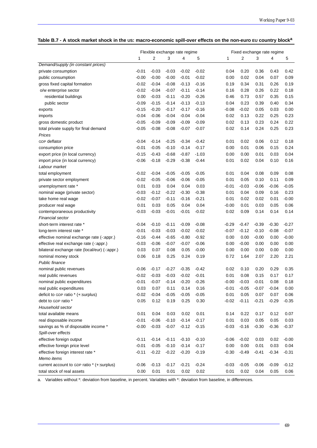| Table B.7 - A stock market shock in the US: macro-economic spill-over effects on the non-euro EU country block <sup>a</sup> |  |  |
|-----------------------------------------------------------------------------------------------------------------------------|--|--|
|                                                                                                                             |  |  |

|                                               |         | Flexible exchange rate regime |         |         |         | Fixed exchange rate regime |         |         |         |         |
|-----------------------------------------------|---------|-------------------------------|---------|---------|---------|----------------------------|---------|---------|---------|---------|
|                                               | 1       | 2                             | 3       | 4       | 5       | 1                          | 2       | 3       | 4       | 5       |
| Demand/supply (in constant prices)            |         |                               |         |         |         |                            |         |         |         |         |
| private consumption                           | $-0.01$ | $-0.03$                       | $-0.03$ | $-0.02$ | $-0.02$ | 0.04                       | 0.20    | 0.36    | 0.43    | 0.42    |
| public consumption                            | $-0.00$ | $-0.00$                       | $-0.00$ | $-0.01$ | $-0.02$ | 0.00                       | 0.02    | 0.04    | 0.07    | 0.09    |
| gross fixed capital formation                 | $-0.02$ | $-0.04$                       | $-0.08$ | $-0.13$ | $-0.16$ | 0.19                       | 0.34    | 0.31    | 0.26    | 0.19    |
| o/w enterprise sector                         | $-0.02$ | $-0.04$                       | $-0.07$ | $-0.11$ | $-0.14$ | 0.16                       | 0.28    | 0.26    | 0.22    | 0.18    |
| residential buildings                         | 0.00    | $-0.03$                       | $-0.11$ | $-0.20$ | $-0.26$ | 0.46                       | 0.73    | 0.57    | 0.35    | 0.15    |
| public sector                                 | $-0.09$ | $-0.15$                       | $-0.14$ | $-0.13$ | $-0.13$ | 0.04                       | 0.23    | 0.39    | 0.40    | 0.34    |
| exports                                       | $-0.15$ | $-0.20$                       | $-0.17$ | $-0.17$ | $-0.16$ | $-0.08$                    | $-0.02$ | 0.05    | 0.03    | 0.00    |
| imports                                       | $-0.04$ | $-0.06$                       | $-0.04$ | $-0.04$ | $-0.04$ | 0.02                       | 0.13    | 0.22    | 0.25    | 0.23    |
| gross domestic product                        | $-0.05$ | $-0.09$                       | $-0.09$ | $-0.09$ | $-0.09$ | 0.02                       | 0.13    | 0.23    | 0.24    | 0.22    |
| total private supply for final demand         | $-0.05$ | $-0.08$                       | $-0.08$ | $-0.07$ | $-0.07$ | 0.02                       | 0.14    | 0.24    | 0.25    | 0.23    |
| Prices                                        |         |                               |         |         |         |                            |         |         |         |         |
| <b>GDP</b> deflator                           | $-0.04$ | $-0.14$                       | $-0.25$ | $-0.34$ | $-0.42$ | 0.01                       | 0.02    | 0.06    | 0.12    | 0.18    |
| consumption price                             | $-0.01$ | $-0.05$                       | $-0.10$ | $-0.14$ | $-0.17$ | 0.00                       | 0.01    | 0.06    | 0.15    | 0.24    |
| export price (in local currency)              | $-0.15$ | $-0.43$                       | $-0.68$ | $-0.87$ | $-1.03$ | 0.00                       | 0.00    | 0.01    | 0.03    | 0.04    |
| import price (in local currency)              | $-0.06$ | $-0.18$                       | $-0.29$ | $-0.38$ | $-0.44$ | 0.01                       | 0.02    | 0.04    | 0.10    | 0.16    |
| Labour market                                 |         |                               |         |         |         |                            |         |         |         |         |
| total employment                              | $-0.02$ | $-0.04$                       | $-0.05$ | $-0.05$ | $-0.05$ | 0.01                       | 0.04    | 0.08    | 0.09    | 0.08    |
| private sector employment                     | $-0.02$ | $-0.05$                       | $-0.06$ | $-0.06$ | $-0.05$ | 0.01                       | 0.05    | 0.10    | 0.11    | 0.09    |
| unemployment rate *                           | 0.01    | 0.03                          | 0.04    | 0.04    | 0.03    | $-0.01$                    | $-0.03$ | $-0.06$ | $-0.06$ | $-0.05$ |
| nominal wage (private sector)                 | $-0.03$ | $-0.12$                       | $-0.22$ | $-0.30$ | $-0.38$ | 0.01                       | 0.04    | 0.09    | 0.16    | 0.23    |
| take home real wage                           | $-0.02$ | $-0.07$                       | $-0.11$ | $-0.16$ | $-0.21$ | 0.01                       | 0.02    | 0.02    | 0.01    | $-0.00$ |
| producer real wage                            | 0.01    | 0.03                          | 0.05    | 0.04    | 0.04    | $-0.00$                    | 0.01    | 0.03    | 0.05    | 0.06    |
| contemporaneous productivity                  | $-0.03$ | $-0.03$                       | $-0.01$ | $-0.01$ | $-0.02$ | 0.02                       | 0.09    | 0.14    | 0.14    | 0.14    |
| Financial sector                              |         |                               |         |         |         |                            |         |         |         |         |
| short-term interest rate *                    | $-0.04$ | $-0.10$                       | $-0.11$ | $-0.09$ | $-0.08$ | $-0.29$                    | $-0.47$ | $-0.39$ | $-0.30$ | $-0.27$ |
| long-term interest rate *                     | $-0.01$ | $-0.03$                       | $-0.03$ | $-0.02$ | $-0.02$ | $-0.07$                    | $-0.12$ | $-0.10$ | $-0.08$ | $-0.07$ |
| effective nominal exchange rate (-:appr.)     | $-0.16$ | $-0.44$                       | $-0.65$ | $-0.80$ | $-0.92$ | 0.00                       | 0.00    | $-0.00$ | 0.00    | $-0.00$ |
| effective real exchange rate (-: appr.)       | $-0.03$ | $-0.06$                       | $-0.07$ | $-0.07$ | $-0.06$ | 0.00                       | $-0.00$ | 0.00    | 0.00    | 0.00    |
| bilateral exchange rate (local/eur) (-:appr.) | 0.03    | 0.07                          | 0.08    | 0.05    | $-0.00$ | 0.00                       | 0.00    | 0.00    | 0.00    | 0.00    |
| nominal money stock                           | 0.06    | 0.18                          | 0.25    | 0.24    | 0.19    | 0.72                       | 1.64    | 2.07    | 2.20    | 2.21    |
| Public finance                                |         |                               |         |         |         |                            |         |         |         |         |
| nominal public revenues                       | $-0.06$ | $-0.17$                       | $-0.27$ | $-0.35$ | $-0.42$ | 0.02                       | 0.10    | 0.20    | 0.29    | 0.35    |
| real public revenues                          | $-0.02$ | $-0.03$                       | $-0.03$ | $-0.02$ | $-0.01$ | 0.01                       | 0.08    | 0.15    | 0.17    | 0.17    |
| nominal public expenditures                   | $-0.01$ | $-0.07$                       | $-0.14$ | $-0.20$ | $-0.26$ | $-0.00$                    | $-0.03$ | $-0.01$ | 0.08    | 0.18    |
| real public expenditures                      | 0.03    | 0.07                          | 0.11    | 0.14    | 0.16    | $-0.01$                    | $-0.05$ | $-0.07$ | $-0.04$ | 0.00    |
| deficit to GDP ratio * (+:surplus)            | $-0.02$ | $-0.04$                       | $-0.05$ | $-0.05$ | $-0.05$ | 0.01                       | 0.05    | 0.07    | 0.07    | 0.06    |
| debt to GDP ratio *                           | 0.05    | 0.12                          | 0.19    | 0.25    | 0.30    | $-0.02$                    | $-0.11$ | $-0.21$ | $-0.29$ | $-0.35$ |
| Household sector                              |         |                               |         |         |         |                            |         |         |         |         |
| total available means                         | 0.01    | 0.04                          | 0.03    | 0.02    | 0.01    | 0.14                       | 0.22    | 0.17    | 0.12    | 0.07    |
| real disposable income                        | $-0.01$ | $-0.06$                       | $-0.10$ | $-0.14$ | $-0.17$ | 0.01                       | 0.03    | 0.05    | 0.05    | 0.03    |
| savings as % of disposable income *           | $-0.00$ | $-0.03$                       | $-0.07$ | $-0.12$ | $-0.15$ | $-0.03$                    | $-0.16$ | $-0.30$ | $-0.36$ | $-0.37$ |
| Spill-over effects                            |         |                               |         |         |         |                            |         |         |         |         |
| effective foreign output                      | $-0.11$ | $-0.14$                       | $-0.11$ | $-0.10$ | $-0.10$ | $-0.06$                    | $-0.02$ | 0.03    | 0.02    | $-0.00$ |
| effective foreign price level                 | $-0.01$ | $-0.05$                       | $-0.10$ | $-0.14$ | $-0.17$ | 0.00                       | 0.00    | 0.01    | 0.03    | 0.04    |
| effective foreign interest rate *             | $-0.11$ | $-0.22$                       | $-0.22$ | $-0.20$ | $-0.19$ | $-0.30$                    | $-0.49$ | $-0.41$ | $-0.34$ | $-0.31$ |
| Memo items                                    |         |                               |         |         |         |                            |         |         |         |         |
| current account to GDP ratio * (+:surplus)    | $-0.06$ | $-0.13$                       | $-0.17$ | $-0.21$ | $-0.24$ | $-0.03$                    | $-0.05$ | $-0.06$ | $-0.09$ | $-0.12$ |
| total stock of real assets                    | 0.00    | 0.01                          | 0.01    | 0.02    | 0.02    | 0.01                       | 0.02    | 0.04    | 0.05    | 0.06    |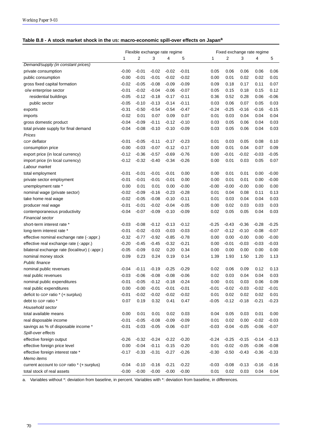## **Table B.8 - A stock market shock in the US: macro-economic spill-over effects on Japan<sup>a</sup>**

|                                                | Flexible exchange rate regime |         |         |         |         |         | Fixed exchange rate regime |         |         |         |  |  |
|------------------------------------------------|-------------------------------|---------|---------|---------|---------|---------|----------------------------|---------|---------|---------|--|--|
|                                                | 1                             | 2       | 3       | 4       | 5       | 1       | 2                          | 3       | 4       | 5       |  |  |
| Demand/supply (in constant prices)             |                               |         |         |         |         |         |                            |         |         |         |  |  |
| private consumption                            | $-0.00$                       | $-0.01$ | $-0.02$ | $-0.02$ | $-0.01$ | 0.05    | 0.06                       | 0.06    | 0.06    | 0.06    |  |  |
| public consumption                             | $-0.00$                       | $-0.01$ | $-0.01$ | $-0.02$ | $-0.02$ | 0.00    | 0.01                       | 0.02    | 0.02    | 0.01    |  |  |
| gross fixed capital formation                  | $-0.02$                       | $-0.05$ | $-0.08$ | $-0.09$ | $-0.09$ | 0.09    | 0.18                       | 0.17    | 0.11    | 0.07    |  |  |
| o/w enterprise sector                          | $-0.01$                       | $-0.02$ | $-0.04$ | $-0.06$ | $-0.07$ | 0.05    | 0.15                       | 0.18    | 0.15    | 0.12    |  |  |
| residential buildings                          | $-0.05$                       | $-0.12$ | $-0.18$ | $-0.17$ | $-0.11$ | 0.36    | 0.52                       | 0.28    | 0.06    | $-0.06$ |  |  |
| public sector                                  | $-0.05$                       | $-0.10$ | $-0.13$ | $-0.14$ | $-0.11$ | 0.03    | 0.06                       | 0.07    | 0.05    | 0.03    |  |  |
| exports                                        | $-0.31$                       | $-0.50$ | $-0.54$ | $-0.54$ | $-0.47$ | $-0.24$ | $-0.25$                    | $-0.16$ | $-0.16$ | $-0.15$ |  |  |
| imports                                        | $-0.02$                       | 0.01    | 0.07    | 0.09    | 0.07    | 0.01    | 0.03                       | 0.04    | 0.04    | 0.04    |  |  |
| gross domestic product                         | $-0.04$                       | $-0.09$ | $-0.11$ | $-0.12$ | $-0.10$ | 0.03    | 0.05                       | 0.06    | 0.04    | 0.03    |  |  |
| total private supply for final demand          | $-0.04$                       | $-0.08$ | $-0.10$ | $-0.10$ | $-0.09$ | 0.03    | 0.05                       | 0.06    | 0.04    | 0.03    |  |  |
| Prices                                         |                               |         |         |         |         |         |                            |         |         |         |  |  |
| GDP deflator                                   | $-0.01$                       | $-0.05$ | $-0.11$ | $-0.17$ | $-0.23$ | 0.01    | 0.03                       | 0.05    | 0.08    | 0.10    |  |  |
| consumption price                              | $-0.00$                       | $-0.03$ | $-0.07$ | $-0.12$ | $-0.17$ | 0.00    | 0.01                       | 0.04    | 0.07    | 0.09    |  |  |
| export price (in local currency)               | $-0.12$                       | $-0.36$ | $-0.57$ | $-0.69$ | $-0.76$ | 0.00    | $-0.01$                    | $-0.02$ | $-0.03$ | $-0.05$ |  |  |
| import price (in local currency)               | $-0.12$                       | $-0.32$ | $-0.40$ | $-0.34$ | $-0.26$ | 0.00    | 0.01                       | 0.03    | 0.05    | 0.07    |  |  |
| Labour market                                  |                               |         |         |         |         |         |                            |         |         |         |  |  |
| total employment                               | $-0.01$                       | $-0.01$ | $-0.01$ | $-0.01$ | 0.00    | 0.00    | 0.01                       | 0.01    | 0.00    | $-0.00$ |  |  |
| private sector employment                      | $-0.01$                       | $-0.01$ | $-0.01$ | $-0.01$ | 0.00    | 0.00    | 0.01                       | 0.01    | 0.00    | $-0.00$ |  |  |
| unemployment rate *                            | 0.00                          | 0.01    | 0.01    | 0.00    | $-0.00$ | $-0.00$ | $-0.00$                    | $-0.00$ | 0.00    | 0.00    |  |  |
| nominal wage (private sector)                  | $-0.02$                       | $-0.09$ | $-0.16$ | $-0.23$ | $-0.28$ | 0.01    | 0.04                       | 0.08    | 0.11    | 0.13    |  |  |
| take home real wage                            | $-0.02$                       | $-0.05$ | $-0.08$ | $-0.10$ | $-0.11$ | 0.01    | 0.03                       | 0.04    | 0.04    | 0.03    |  |  |
| producer real wage                             | $-0.01$                       | $-0.01$ | $-0.02$ | $-0.04$ | $-0.05$ | 0.00    | 0.02                       | 0.03    | 0.03    | 0.03    |  |  |
| contemporaneous productivity                   | $-0.04$                       | $-0.07$ | $-0.09$ | $-0.10$ | $-0.09$ | 0.02    | 0.05                       | 0.05    | 0.04    | 0.03    |  |  |
| Financial sector                               |                               |         |         |         |         |         |                            |         |         |         |  |  |
| short-term interest rate *                     | $-0.03$                       | $-0.08$ | $-0.12$ | $-0.13$ | $-0.12$ | $-0.25$ | $-0.43$                    | $-0.36$ | $-0.28$ | $-0.25$ |  |  |
| long-term interest rate *                      | $-0.01$                       | $-0.02$ | $-0.03$ | $-0.03$ | $-0.03$ | $-0.07$ | $-0.12$                    | $-0.10$ | $-0.08$ | $-0.07$ |  |  |
| effective nominal exchange rate (-: appr.)     | $-0.32$                       | $-0.77$ | $-0.92$ | $-0.85$ | $-0.78$ | 0.00    | 0.00                       | $-0.00$ | 0.00    | $-0.00$ |  |  |
| effective real exchange rate (-: appr.)        | $-0.20$                       | $-0.45$ | $-0.45$ | $-0.32$ | $-0.21$ | 0.00    | $-0.01$                    | $-0.03$ | $-0.03$ | $-0.03$ |  |  |
| bilateral exchange rate (local/eur) (-: appr.) | $-0.05$                       | $-0.09$ | 0.02    | 0.20    | 0.34    | 0.00    | 0.00                       | 0.00    | 0.00    | 0.00    |  |  |
| nominal money stock                            | 0.09                          | 0.23    | 0.24    | 0.19    | 0.14    | 1.39    | 1.93                       | 1.50    | 1.20    | 1.13    |  |  |
| Public finance                                 |                               |         |         |         |         |         |                            |         |         |         |  |  |
| nominal public revenues                        | $-0.04$                       | $-0.11$ | $-0.19$ | $-0.25$ | $-0.29$ | 0.02    | 0.06                       | 0.09    | 0.12    | 0.13    |  |  |
| real public revenues                           | $-0.03$                       | $-0.06$ | $-0.08$ | $-0.08$ | $-0.06$ | 0.02    | 0.03                       | 0.04    | 0.04    | 0.03    |  |  |
| nominal public expenditures                    | $-0.01$                       | $-0.05$ | $-0.12$ | $-0.18$ | $-0.24$ | 0.00    | 0.01                       | 0.03    | 0.06    | 0.09    |  |  |
| real public expenditures                       | 0.00                          | $-0.00$ | $-0.01$ | $-0.01$ | $-0.01$ | $-0.01$ | $-0.02$                    | $-0.03$ | $-0.02$ | $-0.01$ |  |  |
| deficit to GDP ratio * (+:surplus)             | $-0.01$                       | $-0.02$ | $-0.02$ | $-0.02$ | $-0.02$ | 0.01    | 0.02                       | 0.02    | 0.02    | 0.01    |  |  |
| debt to GDP ratio *                            | 0.07                          | 0.19    | 0.32    | 0.41    | 0.47    | $-0.05$ | $-0.12$                    | $-0.18$ | $-0.21$ | $-0.23$ |  |  |
| Household sector                               |                               |         |         |         |         |         |                            |         |         |         |  |  |
| total available means                          | 0.00                          | 0.01    | 0.01    | 0.02    | 0.03    | 0.04    | 0.05                       | 0.03    | 0.01    | 0.00    |  |  |
| real disposable income                         | $-0.01$                       | $-0.05$ | $-0.08$ | $-0.09$ | $-0.09$ | 0.01    | 0.02                       | 0.00    | $-0.02$ | $-0.03$ |  |  |
| savings as % of disposable income *            | $-0.01$                       | $-0.03$ | $-0.05$ | $-0.06$ | $-0.07$ | $-0.03$ | $-0.04$                    | $-0.05$ | $-0.06$ | $-0.07$ |  |  |
| Spill-over effects                             |                               |         |         |         |         |         |                            |         |         |         |  |  |
| effective foreign output                       | $-0.26$                       | $-0.32$ | $-0.24$ | $-0.22$ | $-0.20$ | $-0.24$ | $-0.25$                    | $-0.15$ | $-0.14$ | $-0.13$ |  |  |
| effective foreign price level                  | 0.00                          | $-0.04$ | $-0.11$ | $-0.15$ | $-0.20$ | 0.01    | $-0.02$                    | $-0.05$ | $-0.06$ | $-0.08$ |  |  |
| effective foreign interest rate *              | $-0.17$                       | $-0.33$ | $-0.31$ | $-0.27$ | $-0.26$ | $-0.30$ | $-0.50$                    | $-0.43$ | $-0.36$ | $-0.33$ |  |  |
| Memo items                                     |                               |         |         |         |         |         |                            |         |         |         |  |  |
| current account to GDP ratio * (+:surplus)     | $-0.04$                       | $-0.10$ | $-0.16$ | $-0.21$ | $-0.22$ | $-0.03$ | $-0.08$                    | $-0.13$ | $-0.16$ | $-0.16$ |  |  |
| total stock of real assets                     | $-0.00$                       | $-0.00$ | $-0.00$ | $-0.00$ | $-0.00$ | 0.01    | 0.02                       | 0.03    | 0.04    | 0.04    |  |  |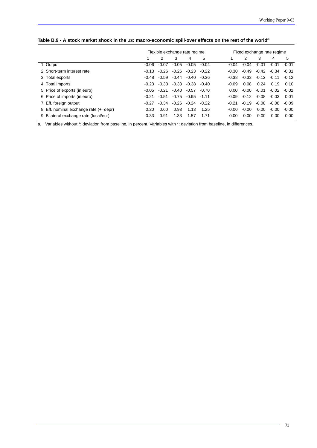|                                        | Flexible exchange rate regime | Fixed exchange rate regime |         |         |         |         |         |         |         |         |
|----------------------------------------|-------------------------------|----------------------------|---------|---------|---------|---------|---------|---------|---------|---------|
|                                        |                               | 2                          | 3       | 4       | 5       |         | 2       | 3       | 4       | 5       |
| 1. Output                              | $-0.06$                       | $-0.07$                    | $-0.05$ | $-0.05$ | $-0.04$ | $-0.04$ | $-0.04$ | $-0.01$ | $-0.01$ | $-0.01$ |
| 2. Short-term interest rate            | $-0.13$                       | $-0.26$                    | -0.26   | $-0.23$ | $-0.22$ | $-0.30$ | $-0.49$ | $-0.42$ | $-0.34$ | $-0.31$ |
| 3. Total exports                       | $-0.48$                       | $-0.59$                    | $-0.44$ | -0.40   | $-0.36$ | $-0.38$ | $-0.33$ | $-0.12$ | $-0.11$ | $-0.12$ |
| 4. Total imports                       | $-0.23$                       | $-0.33$                    | $-0.33$ | $-0.38$ | $-0.40$ | $-0.09$ | 0.08    | 0.24    | 0.19    | 0.10    |
| 5. Price of exports (in euro)          | $-0.05$                       | $-0.21$                    | $-0.40$ | $-0.57$ | $-0.70$ | 0.00    | $-0.00$ | $-0.01$ | $-0.02$ | $-0.02$ |
| 6. Price of imports (in euro)          | $-0.21$                       | $-0.51$                    | $-0.75$ | -0.95   | $-1.11$ | $-0.09$ | $-0.12$ | $-0.08$ | $-0.03$ | 0.01    |
| 7. Eff. foreign output                 | $-0.27$                       | $-0.34$                    | $-0.26$ | -0.24   | $-0.22$ | $-0.21$ | $-0.19$ | $-0.08$ | $-0.08$ | $-0.09$ |
| 8. Eff. nominal exchange rate (+=depr) | 0.20                          | 0.60                       | 0.93    | 1.13    | 1.25    | $-0.00$ | $-0.00$ | 0.00    | $-0.00$ | $-0.00$ |
| 9. Bilateral exchange rate (local/eur) | 0.33                          | 0.91                       | 1.33    | 1.57    | 1.71    | 0.00    | 0.00    | 0.00    | 0.00    | 0.00    |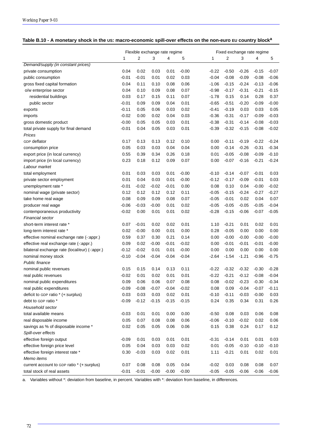| Table B.10 - A monetary shock in the US: macro-economic spill-over effects on the non-euro EU country block <sup>a</sup> |  |  |
|--------------------------------------------------------------------------------------------------------------------------|--|--|
|                                                                                                                          |  |  |

|                                                | Flexible exchange rate regime |         |         |         |         | Fixed exchange rate regime |         |         |         |         |  |
|------------------------------------------------|-------------------------------|---------|---------|---------|---------|----------------------------|---------|---------|---------|---------|--|
|                                                | 1                             | 2       | 3       | 4       | 5       | 1                          | 2       | 3       | 4       | 5       |  |
| Demand/supply (in constant prices)             |                               |         |         |         |         |                            |         |         |         |         |  |
| private consumption                            | 0.04                          | 0.02    | 0.03    | 0.01    | $-0.00$ | $-0.22$                    | $-0.50$ | $-0.26$ | $-0.15$ | $-0.07$ |  |
| public consumption                             | $-0.01$                       | $-0.01$ | 0.01    | 0.02    | 0.03    | $-0.04$                    | $-0.08$ | $-0.09$ | $-0.08$ | $-0.06$ |  |
| gross fixed capital formation                  | 0.04                          | 0.11    | 0.10    | 0.08    | 0.06    | $-1.06$                    | $-0.15$ | $-0.24$ | $-0.13$ | $-0.06$ |  |
| o/w enterprise sector                          | 0.04                          | 0.10    | 0.09    | 0.08    | 0.07    | $-0.98$                    | $-0.17$ | $-0.31$ | $-0.21$ | $-0.15$ |  |
| residential buildings                          | 0.03                          | 0.17    | 0.15    | 0.11    | 0.07    | $-1.78$                    | 0.15    | 0.14    | 0.28    | 0.37    |  |
| public sector                                  | $-0.01$                       | 0.09    | 0.09    | 0.04    | 0.01    | $-0.65$                    | $-0.51$ | $-0.20$ | $-0.09$ | $-0.00$ |  |
| exports                                        | $-0.11$                       | 0.05    | 0.06    | 0.03    | 0.02    | $-0.41$                    | $-0.19$ | 0.03    | 0.03    | 0.05    |  |
| imports                                        | $-0.02$                       | 0.00    | 0.02    | 0.04    | 0.03    | $-0.36$                    | $-0.31$ | $-0.17$ | $-0.09$ | $-0.03$ |  |
| gross domestic product                         | $-0.00$                       | 0.05    | 0.05    | 0.03    | 0.01    | $-0.38$                    | $-0.31$ | $-0.14$ | $-0.08$ | $-0.03$ |  |
| total private supply for final demand          | $-0.01$                       | 0.04    | 0.05    | 0.03    | 0.01    | $-0.39$                    | $-0.32$ | $-0.15$ | $-0.08$ | $-0.02$ |  |
| Prices                                         |                               |         |         |         |         |                            |         |         |         |         |  |
| GDP deflator                                   | 0.17                          | 0.13    | 0.13    | 0.12    | 0.10    | 0.00                       | $-0.11$ | $-0.19$ | $-0.22$ | $-0.24$ |  |
| consumption price                              | 0.05                          | 0.03    | 0.03    | 0.04    | 0.04    | 0.00                       | $-0.14$ | $-0.26$ | $-0.31$ | $-0.34$ |  |
| export price (in local currency)               | 0.55                          | 0.39    | 0.34    | 0.26    | 0.18    | 0.01                       | $-0.05$ | $-0.08$ | $-0.09$ | $-0.10$ |  |
| import price (in local currency)               | 0.23                          | 0.18    | 0.12    | 0.09    | 0.07    | 0.00                       | $-0.07$ | $-0.16$ | $-0.21$ | $-0.24$ |  |
| Labour market                                  |                               |         |         |         |         |                            |         |         |         |         |  |
| total employment                               | 0.01                          | 0.03    | 0.03    | 0.01    | $-0.00$ | $-0.10$                    | $-0.14$ | $-0.07$ | $-0.01$ | 0.03    |  |
| private sector employment                      | 0.01                          | 0.04    | 0.03    | 0.01    | $-0.00$ | $-0.12$                    | $-0.17$ | $-0.09$ | $-0.01$ | 0.03    |  |
| unemployment rate *                            | $-0.01$                       | $-0.02$ | $-0.02$ | $-0.01$ | 0.00    | 0.08                       | 0.10    | 0.04    | $-0.00$ | $-0.02$ |  |
| nominal wage (private sector)                  | 0.12                          | 0.12    | 0.12    | 0.12    | 0.11    | $-0.05$                    | $-0.15$ | $-0.24$ | $-0.27$ | $-0.27$ |  |
| take home real wage                            | 0.08                          | 0.09    | 0.09    | 0.08    | 0.07    | $-0.05$                    | $-0.01$ | 0.02    | 0.04    | 0.07    |  |
| producer real wage                             | $-0.06$                       | $-0.03$ | $-0.00$ | 0.01    | 0.02    | $-0.05$                    | $-0.05$ | $-0.05$ | $-0.05$ | $-0.04$ |  |
| contemporaneous productivity                   | $-0.02$                       | 0.00    | 0.01    | 0.01    | 0.02    | $-0.28$                    | $-0.15$ | $-0.06$ | $-0.07$ | $-0.05$ |  |
| Financial sector                               |                               |         |         |         |         |                            |         |         |         |         |  |
| short-term interest rate *                     | 0.07                          | $-0.01$ | 0.02    | 0.02    | 0.01    | 1.10                       | $-0.21$ | 0.01    | 0.02    | 0.01    |  |
| long-term interest rate *                      | 0.02                          | $-0.00$ | 0.00    | 0.01    | 0.00    | 0.28                       | $-0.05$ | 0.00    | 0.00    | 0.00    |  |
| effective nominal exchange rate (-: appr.)     | 0.59                          | 0.37    | 0.30    | 0.21    | 0.14    | 0.00                       | $-0.00$ | $-0.00$ | $-0.00$ | $-0.00$ |  |
| effective real exchange rate (-: appr.)        | 0.09                          | 0.02    | $-0.00$ | $-0.01$ | $-0.02$ | 0.00                       | $-0.01$ | $-0.01$ | $-0.01$ | $-0.00$ |  |
| bilateral exchange rate (local/eur) (-: appr.) | $-0.12$                       | $-0.02$ | 0.01    | 0.01    | $-0.00$ | 0.00                       | 0.00    | 0.00    | 0.00    | 0.00    |  |
| nominal money stock                            | $-0.10$                       | $-0.04$ | $-0.04$ | $-0.04$ | $-0.04$ | $-2.64$                    | $-1.54$ | $-1.21$ | $-0.96$ | $-0.75$ |  |
| Public finance                                 |                               |         |         |         |         |                            |         |         |         |         |  |
| nominal public revenues                        | 0.15                          | 0.15    | 0.14    | 0.13    | 0.11    | $-0.22$                    | $-0.32$ | $-0.32$ | $-0.30$ | $-0.28$ |  |
| real public revenues                           | $-0.02$                       | 0.01    | 0.02    | 0.01    | 0.01    | $-0.22$                    | $-0.21$ | $-0.12$ | $-0.08$ | $-0.04$ |  |
| nominal public expenditures                    | 0.09                          | 0.06    | 0.06    | 0.07    | 0.08    | 0.08                       | $-0.02$ | $-0.23$ | $-0.30$ | $-0.34$ |  |
| real public expenditures                       | $-0.09$                       | $-0.08$ | $-0.07$ | $-0.04$ | $-0.02$ | 0.08                       | 0.09    | $-0.04$ | $-0.07$ | $-0.11$ |  |
| deficit to GDP ratio * (+:surplus)             | 0.03                          | 0.03    | 0.03    | 0.02    | 0.01    | $-0.10$                    | $-0.11$ | $-0.03$ | $-0.00$ | 0.03    |  |
| debt to GDP ratio *                            | $-0.09$                       | $-0.12$ | $-0.15$ | $-0.15$ | $-0.15$ | 0.24                       | 0.35    | 0.34    | 0.31    | 0.26    |  |
| Household sector                               |                               |         |         |         |         |                            |         |         |         |         |  |
| total available means                          | $-0.03$                       | 0.01    | 0.01    | 0.00    | 0.00    | $-0.50$                    | 0.08    | 0.03    | 0.06    | 0.08    |  |
| real disposable income                         | 0.05                          | 0.07    | 0.08    | 0.08    | 0.06    | $-0.06$                    | $-0.10$ | $-0.02$ | 0.02    | 0.06    |  |
| savings as % of disposable income *            | 0.02                          | 0.05    | 0.05    | 0.06    | 0.06    | 0.15                       | 0.38    | 0.24    | 0.17    | 0.12    |  |
| Spill-over effects                             |                               |         |         |         |         |                            |         |         |         |         |  |
| effective foreign output                       | $-0.09$                       | 0.01    | 0.03    | 0.01    | 0.01    | $-0.31$                    | $-0.14$ | 0.01    | 0.01    | 0.03    |  |
| effective foreign price level                  | 0.05                          | 0.04    | 0.03    | 0.03    | 0.02    | 0.01                       | $-0.05$ | $-0.10$ | $-0.10$ | $-0.10$ |  |
| effective foreign interest rate *              | 0.30                          | $-0.03$ | 0.03    | 0.02    | 0.01    | 1.11                       | $-0.21$ | 0.01    | 0.02    | 0.01    |  |
| Memo items                                     |                               |         |         |         |         |                            |         |         |         |         |  |
| current account to GDP ratio * (+:surplus)     | 0.07                          | 0.08    | 0.08    | 0.05    | 0.04    | $-0.02$                    | 0.03    | 0.08    | 0.08    | 0.07    |  |
| total stock of real assets                     | $-0.01$                       | $-0.01$ | $-0.00$ | $-0.00$ | $-0.00$ | $-0.05$                    | $-0.05$ | $-0.06$ | $-0.06$ | $-0.06$ |  |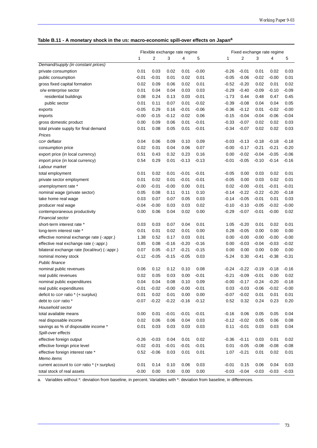|  | Table B.11 - A monetary shock in the US: macro-economic spill-over effects on Japana |  |
|--|--------------------------------------------------------------------------------------|--|
|  |                                                                                      |  |

|                                               |         | Flexible exchange rate regime |         |         |         | Fixed exchange rate regime |         |         |         |         |  |
|-----------------------------------------------|---------|-------------------------------|---------|---------|---------|----------------------------|---------|---------|---------|---------|--|
|                                               | 1       | 2                             | 3       | 4       | 5       | 1                          | 2       | 3       | 4       | 5       |  |
| Demand/supply (in constant prices)            |         |                               |         |         |         |                            |         |         |         |         |  |
| private consumption                           | 0.01    | 0.03                          | 0.02    | 0.01    | $-0.00$ | $-0.26$                    | $-0.01$ | 0.01    | 0.02    | 0.03    |  |
| public consumption                            | $-0.01$ | $-0.01$                       | 0.01    | 0.02    | 0.01    | $-0.05$                    | $-0.06$ | $-0.02$ | $-0.00$ | 0.01    |  |
| gross fixed capital formation                 | 0.02    | 0.09                          | 0.06    | 0.02    | 0.01    | $-0.52$                    | $-0.20$ | 0.02    | 0.01    | 0.02    |  |
| o/w enterprise sector                         | 0.01    | 0.04                          | 0.04    | 0.03    | 0.03    | $-0.29$                    | $-0.40$ | $-0.09$ | $-0.10$ | $-0.09$ |  |
| residential buildings                         | 0.08    | 0.24                          | 0.13    | 0.03    | $-0.01$ | $-1.73$                    | 0.44    | 0.48    | 0.47    | 0.45    |  |
| public sector                                 | 0.01    | 0.11                          | 0.07    | 0.01    | $-0.02$ | $-0.39$                    | $-0.08$ | 0.04    | 0.04    | 0.05    |  |
| exports                                       | $-0.05$ | 0.29                          | 0.16    | -0.01   | $-0.06$ | $-0.36$                    | $-0.12$ | 0.01    | $-0.02$ | $-0.00$ |  |
| imports                                       | $-0.00$ | $-0.15$                       | $-0.12$ | $-0.02$ | 0.06    | $-0.15$                    | $-0.04$ | $-0.04$ | $-0.06$ | $-0.04$ |  |
| gross domestic product                        | 0.00    | 0.09                          | 0.06    | 0.01    | $-0.01$ | $-0.33$                    | $-0.07$ | 0.02    | 0.02    | 0.03    |  |
| total private supply for final demand         | 0.01    | 0.08                          | 0.05    | 0.01    | $-0.01$ | $-0.34$                    | $-0.07$ | 0.02    | 0.02    | 0.03    |  |
| Prices                                        |         |                               |         |         |         |                            |         |         |         |         |  |
| <b>GDP</b> deflator                           | 0.04    | 0.06                          | 0.09    | 0.10    | 0.09    | $-0.03$                    | $-0.13$ | $-0.18$ | $-0.18$ | $-0.18$ |  |
| consumption price                             | 0.02    | 0.01                          | 0.04    | 0.06    | 0.07    | $-0.00$                    | $-0.17$ | $-0.21$ | $-0.21$ | $-0.20$ |  |
| export price (in local currency)              | 0.51    | 0.43                          | 0.32    | 0.23    | 0.16    | 0.00                       | $-0.02$ | $-0.04$ | $-0.05$ | $-0.06$ |  |
| import price (in local currency)              | 0.54    | 0.29                          | 0.01    | $-0.13$ | $-0.13$ | $-0.01$                    | $-0.05$ | $-0.10$ | $-0.14$ | $-0.16$ |  |
| Labour market                                 |         |                               |         |         |         |                            |         |         |         |         |  |
| total employment                              | 0.01    | 0.02                          | 0.01    | $-0.01$ | $-0.01$ | $-0.05$                    | 0.00    | 0.03    | 0.02    | 0.01    |  |
| private sector employment                     | 0.01    | 0.02                          | 0.01    | $-0.01$ | $-0.01$ | $-0.05$                    | 0.00    | 0.03    | 0.02    | 0.01    |  |
| unemployment rate *                           | $-0.00$ | $-0.01$                       | $-0.00$ | 0.00    | 0.01    | 0.02                       | $-0.00$ | $-0.01$ | $-0.01$ | $-0.01$ |  |
| nominal wage (private sector)                 | 0.05    | 0.08                          | 0.11    | 0.11    | 0.10    | $-0.14$                    | $-0.22$ | $-0.22$ | $-0.20$ | $-0.18$ |  |
| take home real wage                           | 0.03    | 0.07                          | 0.07    | 0.05    | 0.03    | $-0.14$                    | $-0.05$ | $-0.01$ | 0.01    | 0.03    |  |
| producer real wage                            | $-0.04$ | $-0.00$                       | 0.03    | 0.03    | 0.02    | $-0.10$                    | $-0.10$ | $-0.05$ | $-0.02$ | $-0.00$ |  |
| contemporaneous productivity                  | 0.00    | 0.06                          | 0.04    | 0.02    | 0.00    | $-0.29$                    | $-0.07$ | $-0.01$ | $-0.00$ | 0.02    |  |
| <b>Financial sector</b>                       |         |                               |         |         |         |                            |         |         |         |         |  |
| short-term interest rate *                    | 0.03    | 0.03                          | 0.07    | 0.04    | 0.01    | 1.05                       | $-0.20$ | 0.01    | 0.02    | 0.01    |  |
| long-term interest rate *                     | 0.01    | 0.01                          | 0.02    | 0.01    | 0.00    | 0.28                       | $-0.05$ | 0.00    | 0.00    | 0.00    |  |
| effective nominal exchange rate (-:appr.)     | 1.38    | 0.52                          | 0.17    | 0.03    | 0.01    | 0.00                       | $-0.00$ | $-0.00$ | $-0.00$ | $-0.00$ |  |
| effective real exchange rate (-:appr.)        | 0.85    | 0.08                          | $-0.16$ | $-0.20$ | $-0.16$ | 0.00                       | $-0.03$ | $-0.04$ | $-0.03$ | $-0.02$ |  |
| bilateral exchange rate (local/eur) (-:appr.) | 0.07    | 0.05                          | $-0.17$ | $-0.21$ | $-0.15$ | 0.00                       | 0.00    | 0.00    | 0.00    | 0.00    |  |
| nominal money stock                           | $-0.12$ | $-0.05$                       | $-0.15$ | $-0.05$ | 0.03    | $-5.24$                    | 0.30    | $-0.41$ | $-0.38$ | $-0.31$ |  |
| <b>Public finance</b>                         |         |                               |         |         |         |                            |         |         |         |         |  |
| nominal public revenues                       | 0.06    | 0.12                          | 0.12    | 0.10    | 0.08    | $-0.24$                    | $-0.22$ | $-0.19$ | $-0.18$ | $-0.16$ |  |
| real public revenues                          | 0.02    | 0.05                          | 0.03    | 0.00    | $-0.01$ | $-0.21$                    | $-0.09$ | $-0.01$ | 0.00    | 0.02    |  |
| nominal public expenditures                   | 0.04    | 0.04                          | 0.08    | 0.10    | 0.09    | $-0.00$                    | $-0.17$ | $-0.24$ | $-0.20$ | $-0.18$ |  |
| real public expenditures                      | $-0.01$ | $-0.02$                       | $-0.00$ | $-0.00$ | $-0.01$ | 0.03                       | $-0.03$ | $-0.06$ | $-0.02$ | $-0.00$ |  |
| deficit to GDP ratio * (+:surplus)            | 0.01    | 0.02                          | 0.01    | 0.00    | 0.00    | $-0.07$                    | $-0.02$ | 0.01    | 0.01    | 0.01    |  |
| debt to GDP ratio *                           | $-0.07$ | $-0.22$                       | $-0.22$ | $-0.16$ | $-0.12$ | 0.52                       | 0.32    | 0.24    | 0.23    | 0.20    |  |
| Household sector                              |         |                               |         |         |         |                            |         |         |         |         |  |
| total available means                         | 0.00    | 0.01                          | $-0.01$ | $-0.01$ | $-0.01$ | $-0.16$                    | 0.06    | 0.05    | 0.05    | 0.04    |  |
| real disposable income                        | 0.02    | 0.06                          | 0.06    | 0.04    | 0.03    | $-0.12$                    | $-0.02$ | 0.05    | 0.06    | 0.08    |  |
| savings as % of disposable income *           | 0.01    | 0.03                          | 0.03    | 0.03    | 0.03    | 0.11                       | $-0.01$ | 0.03    | 0.03    | 0.04    |  |
| Spill-over effects                            |         |                               |         |         |         |                            |         |         |         |         |  |
| effective foreign output                      | $-0.26$ | $-0.03$                       | 0.04    | 0.01    | 0.02    | $-0.36$                    | $-0.11$ | 0.03    | 0.01    | 0.02    |  |
| effective foreign price level                 | $-0.02$ | $-0.01$                       | $-0.01$ | $-0.01$ | $-0.01$ | 0.01                       | $-0.05$ | $-0.08$ | $-0.08$ | $-0.08$ |  |
| effective foreign interest rate *             | 0.52    | $-0.06$                       | 0.03    | 0.01    | 0.01    | 1.07                       | $-0.21$ | 0.01    | 0.02    | 0.01    |  |
| Memo items                                    |         |                               |         |         |         |                            |         |         |         |         |  |
| current account to GDP ratio * (+:surplus)    | 0.01    | 0.14                          | 0.10    | 0.06    | 0.03    | $-0.01$                    | 0.15    | 0.06    | 0.04    | 0.03    |  |
| total stock of real assets                    | $-0.00$ | 0.00                          | 0.00    | 0.00    | 0.00    | $-0.03$                    | $-0.04$ | $-0.03$ | $-0.03$ | $-0.03$ |  |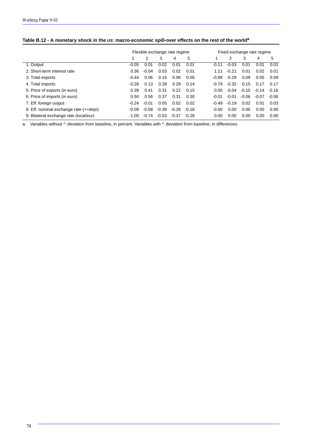| Table B.12 - A monetary shock in the US: macro-economic spill-over effects on the rest of the world <sup>a</sup> |  |
|------------------------------------------------------------------------------------------------------------------|--|
|                                                                                                                  |  |

|                                        | Flexible exchange rate regime |         |         |         |         | Fixed exchange rate regime |         |         |         |         |  |
|----------------------------------------|-------------------------------|---------|---------|---------|---------|----------------------------|---------|---------|---------|---------|--|
|                                        |                               | 2       | 3       | 4       | 5       |                            | 2       | 3       | 4       | 5       |  |
| 1. Output                              | $-0.05$                       | 0.01    | 0.02    | 0.01    | 0.01    | $-0.11$                    | $-0.03$ | 0.01    | 0.01    | 0.01    |  |
| 2. Short-term interest rate            | 0.36                          | $-0.04$ | 0.03    | 0.02    | 0.01    | 1.11                       | $-0.21$ | 0.01    | 0.02    | 0.01    |  |
| 3. Total exports                       | $-0.44$                       | 0.06    | 0.15    | 0.06    | 0.05    | -0.89                      | $-0.29$ | 0.09    | 0.05    | 0.09    |  |
| 4. Total imports                       | $-0.26$                       | 0.13    | 0.39    | 0.29    | 0.14    | $-0.79$                    | $-0.32$ | 0.15    | 0.17    | 0.17    |  |
| 5. Price of exports (in euro)          | 0.39                          | 0.41    | 0.31    | 0.22    | 0.15    | 0.00                       | $-0.04$ | $-0.10$ | $-0.14$ | $-0.16$ |  |
| 6. Price of imports (in euro)          | 0.50                          | 0.56    | 0.37    | 0.31    | 0.30    | $-0.01$                    | $-0.01$ | $-0.06$ | $-0.07$ | $-0.06$ |  |
| 7. Eff. foreign output                 | $-0.24$                       | $-0.01$ | 0.05    | 0.02    | 0.02    | $-0.49$                    | $-0.19$ | 0.02    | 0.01    | 0.03    |  |
| 8. Eff. nominal exchange rate (+=depr) | $-0.08$                       | $-0.58$ | $-0.39$ | $-0.26$ | $-0.18$ | $-0.00$                    | 0.00    | 0.00    | 0.00    | 0.00    |  |
| 9. Bilateral exchange rate (local/eur) | $-1.00$                       | $-0.74$ | $-0.53$ | $-0.37$ | $-0.26$ | 0.00                       | 0.00    | 0.00    | 0.00    | 0.00    |  |